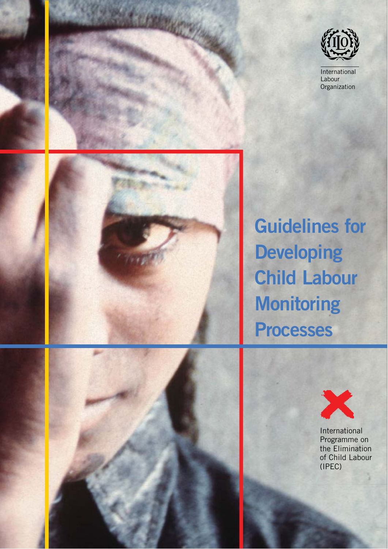

International Labour **Organization** 



# **Guidelines for Developing Child Labour Monitoring Processes**





International Programme on the Elimination of Child Labour (IPEC)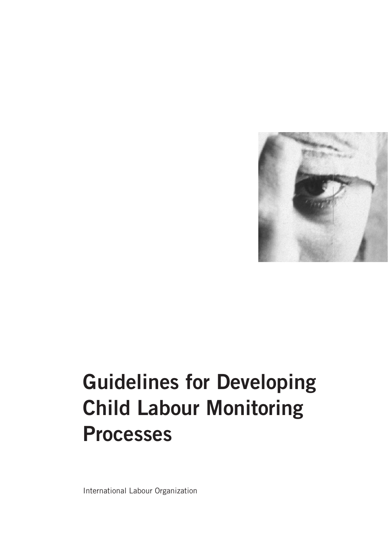

# **Guidelines for Developing Child Labour Monitoring Processes**

International Labour Organization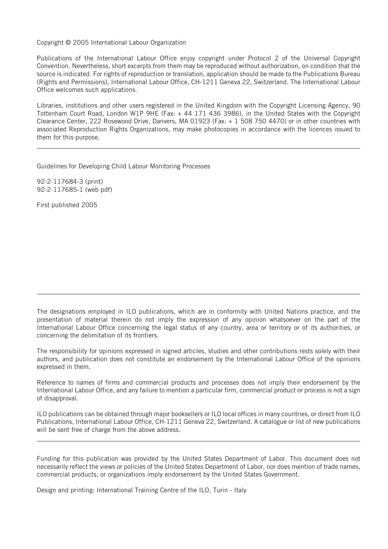Copyright © 2005 International Labour Organization

Publications of the International Labour Office enjoy copyright under Protocol 2 of the Universal Copyright Convention. Nevertheless, short excerpts from them may be reproduced without authorization, on condition that the source is indicated. For rights of reproduction or translation, application should be made to the Publications Bureau (Rights and Permissions), International Labour Office, CH-1211 Geneva 22, Switzerland. The International Labour Office welcomes such applications.

Libraries, institutions and other users registered in the United Kingdom with the Copyright Licensing Agency, 90 Tottenham Court Road, London W1P 9HE (Fax: + 44 171 436 3986), in the United States with the Copyright Clearance Center, 222 Rosewood Drive, Danvers, MA 01923 (Fax: + 1 508 750 4470) or in other countries with associated Reproduction Rights Organizations, may make photocopies in accordance with the licences issued to them for this purpose.

Guidelines for Developing Child Labour Monitoring Processes

92-2-117684-3 (print) 92-2-117685-1 (web pdf)

First published 2005

The designations employed in ILO publications, which are in conformity with United Nations practice, and the presentation of material therein do not imply the expression of any opinion whatsoever on the part of the International Labour Office concerning the legal status of any country, area or territory or of its authorities, or concerning the delimitation of its frontiers.

The responsibility for opinions expressed in signed articles, studies and other contributions rests solely with their authors, and publication does not constitute an endorsement by the International Labour Office of the opinions expressed in them.

Reference to names of firms and commercial products and processes does not imply their endorsement by the International Labour Office, and any failure to mention a particular firm, commercial product or process is not a sign of disapproval.

ILO publications can be obtained through major booksellers or ILO local offices in many countries, or direct from ILO Publications, International Labour Office, CH-1211 Geneva 22, Switzerland. A catalogue or list of new publications will be sent free of charge from the above address.

Funding for this publication was provided by the United States Department of Labor. This document does not necessarily reflect the views or policies of the United States Department of Labor, nor does mention of trade names, commercial products, or organizations imply endorsement by the United States Government.

Design and printing: International Training Centre of the ILO, Turin - Italy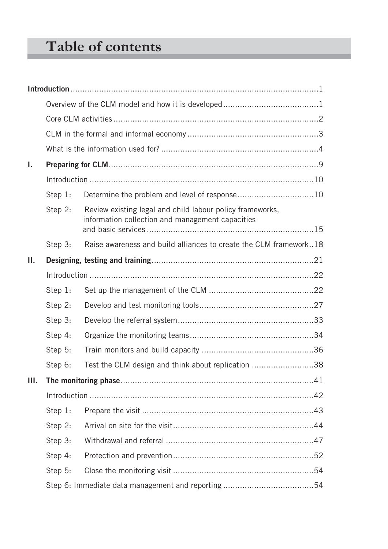# **Table of contents**

| L.   |         |                                                                                                               |  |
|------|---------|---------------------------------------------------------------------------------------------------------------|--|
|      |         |                                                                                                               |  |
|      | Step 1: | Determine the problem and level of response10                                                                 |  |
|      | Step 2: | Review existing legal and child labour policy frameworks,<br>information collection and management capacities |  |
|      | Step 3: | Raise awareness and build alliances to create the CLM framework18                                             |  |
| Ш.   |         |                                                                                                               |  |
|      |         |                                                                                                               |  |
|      | Step 1: |                                                                                                               |  |
|      | Step 2: |                                                                                                               |  |
|      | Step 3: |                                                                                                               |  |
|      | Step 4: |                                                                                                               |  |
|      | Step 5: |                                                                                                               |  |
|      | Step 6: | Test the CLM design and think about replication 38                                                            |  |
| III. |         |                                                                                                               |  |
|      |         |                                                                                                               |  |
|      | Step 1: |                                                                                                               |  |
|      | Step 2: |                                                                                                               |  |
|      | Step 3: |                                                                                                               |  |
|      | Step 4: |                                                                                                               |  |
|      | Step 5: |                                                                                                               |  |
|      |         |                                                                                                               |  |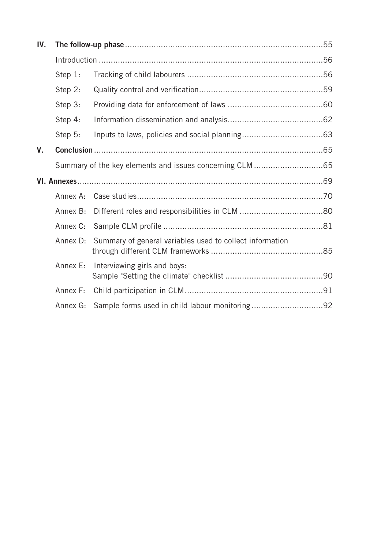| IV. |          |                                                          |  |
|-----|----------|----------------------------------------------------------|--|
|     |          |                                                          |  |
|     | Step 1:  |                                                          |  |
|     | Step 2:  |                                                          |  |
|     | Step 3:  |                                                          |  |
|     | Step 4:  |                                                          |  |
|     | Step 5:  |                                                          |  |
| V.  |          |                                                          |  |
|     |          |                                                          |  |
|     |          |                                                          |  |
|     | Annex A: |                                                          |  |
|     | Annex B: |                                                          |  |
|     | Annex C: |                                                          |  |
|     | Annex D: | Summary of general variables used to collect information |  |
|     | Annex E: | Interviewing girls and boys:                             |  |
|     | Annex F: |                                                          |  |
|     | Annex G: | Sample forms used in child labour monitoring92           |  |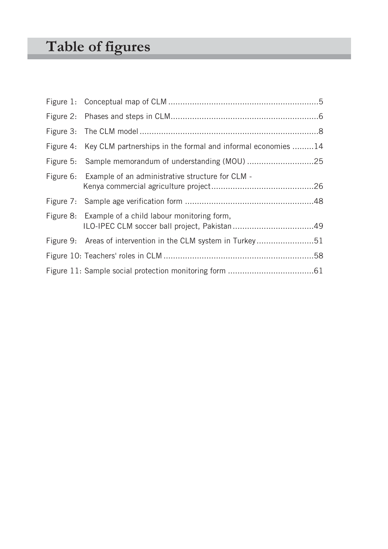# **Table of figures**

| Figure 4: Key CLM partnerships in the formal and informal economies 14 |  |
|------------------------------------------------------------------------|--|
|                                                                        |  |
| Figure 6: Example of an administrative structure for CLM -             |  |
|                                                                        |  |
| Figure 8: Example of a child labour monitoring form,                   |  |
| Figure 9: Areas of intervention in the CLM system in Turkey51          |  |
|                                                                        |  |
|                                                                        |  |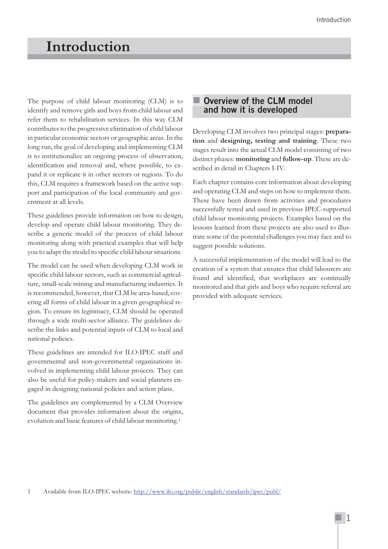# **Introduction**

The purpose of child labour monitoring (CLM) is to identify and remove girls and boys from child labour and refer them to rehabilitation services. In this way CLM contributes to the progressive elimination of child labour in particular economic sectors or geographic areas. In the long run, the goal of developing and implementing CLM is to institutionalize an ongoing process of observation, identification and removal and, where possible, to expand it or replicate it in other sectors or regions. To do this, CLM requires a framework based on the active support and participation of the local community and government at all levels.

These guidelines provide information on how to design, develop and operate child labour monitoring. They describe a generic model of the process of child labour monitoring along with practical examples that will help you to adapt the model to specific child labour situations.

The model can be used when developing CLM work in specific child labour sectors, such as commercial agriculture, small-scale mining and manufacturing industries. It is recommended, however, that CLM be area-based, covering all forms of child labour in a given geographical region. To ensure its legitimacy, CLM should be operated through a wide multi-sector alliance. The guidelines describe the links and potential inputs of CLM to local and national policies.

These guidelines are intended for ILO-IPEC staff and governmental and non-governmental organizations involved in implementing child labour projects. They can also be useful for policy-makers and social planners engaged in designing national policies and action plans.

The guidelines are complemented by a CLM Overview document that provides information about the origins, evolution and basic features of child labour monitoring.1

#### **Overview of the CLM model and how it is developed**

Developing CLM involves two principal stages: **preparation** and **designing, testing and training**. These two stages result into the actual CLM model consisting of two distinct phases: **monitoring** and **follow-up**. These are described in detail in Chapters I-IV.

Each chapter contains core information about developing and operating CLM and steps on how to implement them. These have been drawn from activities and procedures successfully tested and used in previous IPEC-supported child labour monitoring projects. Examples based on the lessons learned from these projects are also used to illustrate some of the potential challenges you may face and to suggest possible solutions.

A successful implementation of the model will lead to the creation of a system that ensures that child labourers are found and identified, that workplaces are continually monitored and that girls and boys who require referral are provided with adequate services.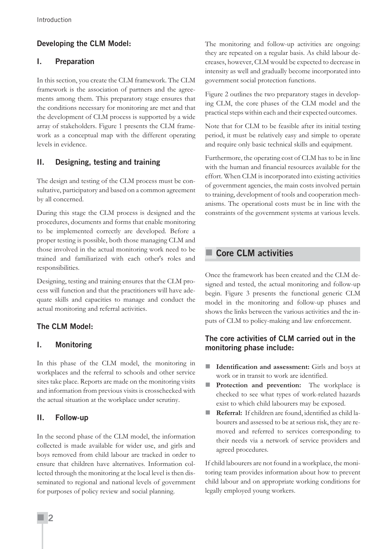# **Developing the CLM Model:**

# **I. Preparation**

In this section, you create the CLM framework. The CLM framework is the association of partners and the agreements among them. This preparatory stage ensures that the conditions necessary for monitoring are met and that the development of CLM process is supported by a wide array of stakeholders. Figure 1 presents the CLM framework as a conceptual map with the different operating levels in evidence.

# **II. Designing, testing and training**

The design and testing of the CLM process must be consultative, participatory and based on a common agreement by all concerned.

During this stage the CLM process is designed and the procedures, documents and forms that enable monitoring to be implemented correctly are developed. Before a proper testing is possible, both those managing CLM and those involved in the actual monitoring work need to be trained and familiarized with each other's roles and responsibilities.

Designing, testing and training ensures that the CLM process will function and that the practitioners will have adequate skills and capacities to manage and conduct the actual monitoring and referral activities.

# **The CLM Model:**

# **I. Monitoring**

In this phase of the CLM model, the monitoring in workplaces and the referral to schools and other service sites take place. Reports are made on the monitoring visits and information from previous visits is crosschecked with the actual situation at the workplace under scrutiny.

# **II. Follow-up**

In the second phase of the CLM model, the information collected is made available for wider use, and girls and boys removed from child labour are tracked in order to ensure that children have alternatives. Information collected through the monitoring at the local level is then disseminated to regional and national levels of government for purposes of policy review and social planning.

The monitoring and follow-up activities are ongoing: they are repeated on a regular basis. As child labour decreases, however, CLM would be expected to decrease in intensity as well and gradually become incorporated into government social protection functions.

Figure 2 outlines the two preparatory stages in developing CLM, the core phases of the CLM model and the practical steps within each and their expected outcomes.

Note that for CLM to be feasible after its initial testing period, it must be relatively easy and simple to operate and require only basic technical skills and equipment.

Furthermore, the operating cost of CLM has to be in line with the human and financial resources available for the effort. When CLM is incorporated into existing activities of government agencies, the main costs involved pertain to training, development of tools and cooperation mechanisms. The operational costs must be in line with the constraints of the government systems at various levels.

# **Core CLM activities**

Once the framework has been created and the CLM designed and tested, the actual monitoring and follow-up begin. Figure 3 presents the functional generic CLM model in the monitoring and follow-up phases and shows the links between the various activities and the inputs of CLM to policy-making and law enforcement.

# **The core activities of CLM carried out in the monitoring phase include:**

- **Identification and assessment:** Girls and boys at work or in transit to work are identified.
- **Protection and prevention:** The workplace is checked to see what types of work-related hazards exist to which child labourers may be exposed.
- **Referral:** If children are found, identified as child labourers and assessed to be at serious risk, they are removed and referred to services corresponding to their needs via a network of service providers and agreed procedures.

If child labourers are not found in a workplace, the monitoring team provides information about how to prevent child labour and on appropriate working conditions for legally employed young workers.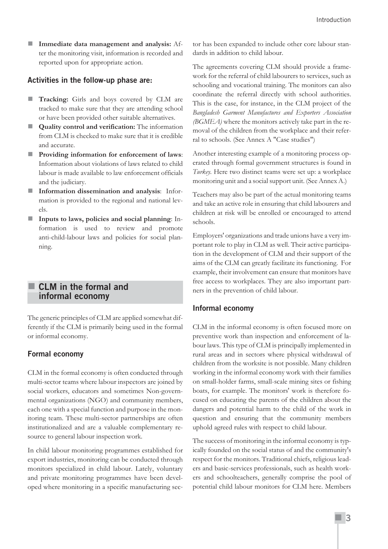**Immediate data management and analysis:** After the monitoring visit, information is recorded and reported upon for appropriate action.

#### **Activities in the follow-up phase are:**

- **Tracking:** Girls and boys covered by CLM are tracked to make sure that they are attending school or have been provided other suitable alternatives.
- **Quality control and verification:** The information from CLM is checked to make sure that it is credible and accurate.
- **Providing information for enforcement of laws**: Information about violations of laws related to child labour is made available to law enforcement officials and the judiciary.
- **Information dissemination and analysis**: Information is provided to the regional and national levels.
- **Inputs to laws, policies and social planning**: Information is used to review and promote anti-child-labour laws and policies for social planning.

# **CLM in the formal and informal economy**

The generic principles of CLM are applied somewhat differently if the CLM is primarily being used in the formal or informal economy.

#### **Formal economy**

CLM in the formal economy is often conducted through multi-sector teams where labour inspectors are joined by social workers, educators and sometimes Non-governmental organizations (NGO) and community members, each one with a special function and purpose in the monitoring team. These multi-sector partnerships are often institutionalized and are a valuable complementary resource to general labour inspection work.

In child labour monitoring programmes established for export industries, monitoring can be conducted through monitors specialized in child labour. Lately, voluntary and private monitoring programmes have been developed where monitoring in a specific manufacturing sector has been expanded to include other core labour standards in addition to child labour.

The agreements covering CLM should provide a framework for the referral of child labourers to services, such as schooling and vocational training. The monitors can also coordinate the referral directly with school authorities. This is the case, for instance, in the CLM project of the *Bangladesh Garment Manufactures and Exporters Association (BGMEA)* where the monitors actively take part in the removal of the children from the workplace and their referral to schools. (See Annex A "Case studies")

Another interesting example of a monitoring process operated through formal government structures is found in *Turkey.* Here two distinct teams were set up: a workplace monitoring unit and a social support unit. (See Annex A.)

Teachers may also be part of the actual monitoring teams and take an active role in ensuring that child labourers and children at risk will be enrolled or encouraged to attend schools.

Employers' organizations and trade unions have a very important role to play in CLM as well. Their active participation in the development of CLM and their support of the aims of the CLM can greatly facilitate its functioning. For example, their involvement can ensure that monitors have free access to workplaces. They are also important partners in the prevention of child labour.

#### **Informal economy**

CLM in the informal economy is often focused more on preventive work than inspection and enforcement of labour laws. This type of CLM is principally implemented in rural areas and in sectors where physical withdrawal of children from the worksite is not possible. Many children working in the informal economy work with their families on small-holder farms, small-scale mining sites or fishing boats, for example. The monitors' work is therefore focused on educating the parents of the children about the dangers and potential harm to the child of the work in question and ensuring that the community members uphold agreed rules with respect to child labour.

The success of monitoring in the informal economy is typically founded on the social status of and the community's respect for the monitors. Traditional chiefs, religious leaders and basic-services professionals, such as health workers and schoolteachers, generally comprise the pool of potential child labour monitors for CLM here. Members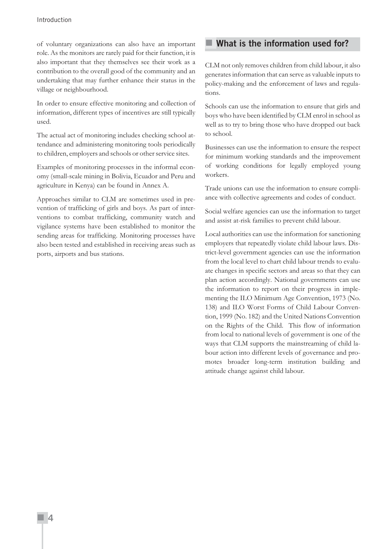of voluntary organizations can also have an important role. As the monitors are rarely paid for their function, it is also important that they themselves see their work as a contribution to the overall good of the community and an undertaking that may further enhance their status in the village or neighbourhood.

In order to ensure effective monitoring and collection of information, different types of incentives are still typically used.

The actual act of monitoring includes checking school attendance and administering monitoring tools periodically to children, employers and schools or other service sites.

Examples of monitoring processes in the informal economy (small-scale mining in Bolivia, Ecuador and Peru and agriculture in Kenya) can be found in Annex A.

Approaches similar to CLM are sometimes used in prevention of trafficking of girls and boys. As part of interventions to combat trafficking, community watch and vigilance systems have been established to monitor the sending areas for trafficking. Monitoring processes have also been tested and established in receiving areas such as ports, airports and bus stations.

# **What is the information used for?**

CLM not only removes children from child labour, it also generates information that can serve as valuable inputs to policy-making and the enforcement of laws and regulations.

Schools can use the information to ensure that girls and boys who have been identified by CLM enrol in school as well as to try to bring those who have dropped out back to school.

Businesses can use the information to ensure the respect for minimum working standards and the improvement of working conditions for legally employed young workers.

Trade unions can use the information to ensure compliance with collective agreements and codes of conduct.

Social welfare agencies can use the information to target and assist at-risk families to prevent child labour.

Local authorities can use the information for sanctioning employers that repeatedly violate child labour laws. District-level government agencies can use the information from the local level to chart child labour trends to evaluate changes in specific sectors and areas so that they can plan action accordingly. National governments can use the information to report on their progress in implementing the ILO Minimum Age Convention, 1973 (No. 138) and ILO Worst Forms of Child Labour Convention, 1999 (No. 182) and the United Nations Convention on the Rights of the Child. This flow of information from local to national levels of government is one of the ways that CLM supports the mainstreaming of child labour action into different levels of governance and promotes broader long-term institution building and attitude change against child labour.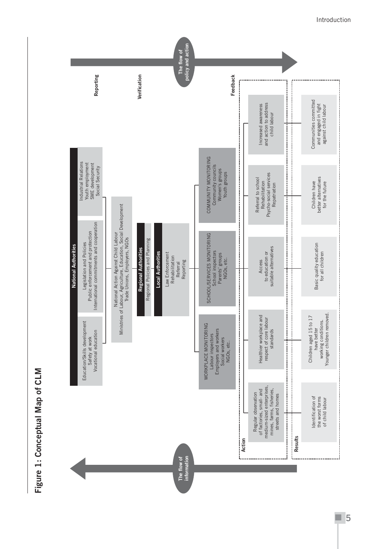# Figure 1: Conceptual Map of CLM **Figure 1: Conceptual Map of CLM**



٠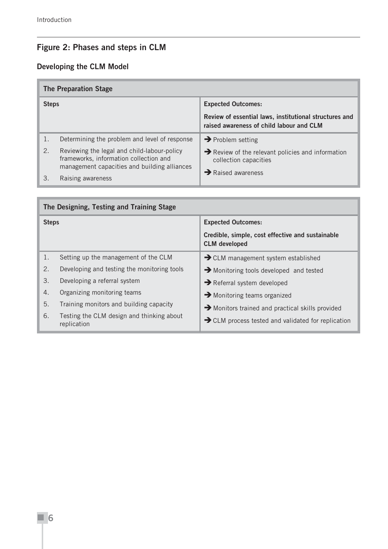# **Figure 2: Phases and steps in CLM**

# **Developing the CLM Model**

| <b>The Preparation Stage</b> |                                                                                                                                       |                                                                                                    |  |
|------------------------------|---------------------------------------------------------------------------------------------------------------------------------------|----------------------------------------------------------------------------------------------------|--|
| <b>Steps</b>                 |                                                                                                                                       | <b>Expected Outcomes:</b>                                                                          |  |
|                              |                                                                                                                                       | Review of essential laws, institutional structures and<br>raised awareness of child labour and CLM |  |
|                              | Determining the problem and level of response                                                                                         | $\rightarrow$ Problem setting                                                                      |  |
| 2.                           | Reviewing the legal and child-labour-policy<br>frameworks, information collection and<br>management capacities and building alliances | $\rightarrow$ Review of the relevant policies and information<br>collection capacities             |  |
| 3                            | Raising awareness                                                                                                                     | $\rightarrow$ Raised awareness                                                                     |  |

| The Designing, Testing and Training Stage |                                                          |                                                                          |  |
|-------------------------------------------|----------------------------------------------------------|--------------------------------------------------------------------------|--|
| <b>Steps</b>                              |                                                          | <b>Expected Outcomes:</b>                                                |  |
|                                           |                                                          | Credible, simple, cost effective and sustainable<br><b>CLM</b> developed |  |
| 1.                                        | Setting up the management of the CLM                     | $\rightarrow$ CLM management system established                          |  |
| 2.                                        | Developing and testing the monitoring tools              | $\rightarrow$ Monitoring tools developed and tested                      |  |
| 3.                                        | Developing a referral system                             | $\rightarrow$ Referral system developed                                  |  |
| 4.                                        | Organizing monitoring teams                              | $\rightarrow$ Monitoring teams organized                                 |  |
| 5.                                        | Training monitors and building capacity                  | Monitors trained and practical skills provided                           |  |
| 6.                                        | Testing the CLM design and thinking about<br>replication | CLM process tested and validated for replication                         |  |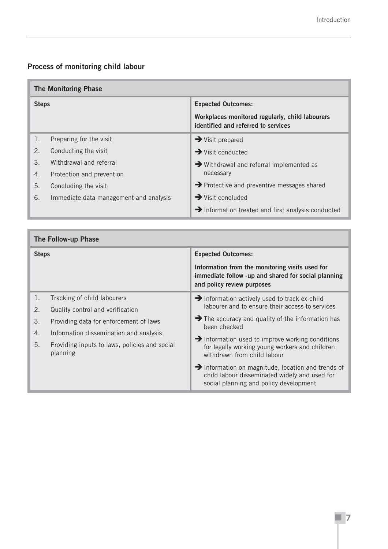# **Process of monitoring child labour**

| <b>The Monitoring Phase</b> |                                        |                                                                                        |  |
|-----------------------------|----------------------------------------|----------------------------------------------------------------------------------------|--|
| <b>Steps</b>                |                                        | <b>Expected Outcomes:</b>                                                              |  |
|                             |                                        | Workplaces monitored regularly, child labourers<br>identified and referred to services |  |
| 1.                          | Preparing for the visit                | $\rightarrow$ Visit prepared                                                           |  |
| 2.                          | Conducting the visit                   | $\rightarrow$ Visit conducted                                                          |  |
| 3.                          | Withdrawal and referral                | $\rightarrow$ Withdrawal and referral implemented as                                   |  |
| 4.                          | Protection and prevention              | necessary                                                                              |  |
| 5.                          | Concluding the visit                   | $\rightarrow$ Protective and preventive messages shared                                |  |
| 6.                          | Immediate data management and analysis | $\rightarrow$ Visit concluded                                                          |  |
|                             |                                        | $\rightarrow$ Information treated and first analysis conducted                         |  |

| The Follow-up Phase |                                                           |                                                                                                                                               |  |
|---------------------|-----------------------------------------------------------|-----------------------------------------------------------------------------------------------------------------------------------------------|--|
| <b>Steps</b>        |                                                           | <b>Expected Outcomes:</b>                                                                                                                     |  |
|                     |                                                           | Information from the monitoring visits used for<br>immediate follow -up and shared for social planning<br>and policy review purposes          |  |
| 1.                  | Tracking of child labourers                               | Information actively used to track ex-child                                                                                                   |  |
| 2.                  | Quality control and verification                          | labourer and to ensure their access to services                                                                                               |  |
| 3.                  | Providing data for enforcement of laws                    | $\rightarrow$ The accuracy and quality of the information has<br>been checked                                                                 |  |
| 4.                  | Information dissemination and analysis                    |                                                                                                                                               |  |
| 5.                  | Providing inputs to laws, policies and social<br>planning | $\rightarrow$ Information used to improve working conditions<br>for legally working young workers and children<br>withdrawn from child labour |  |
|                     |                                                           | Information on magnitude, location and trends of<br>child labour disseminated widely and used for<br>social planning and policy development   |  |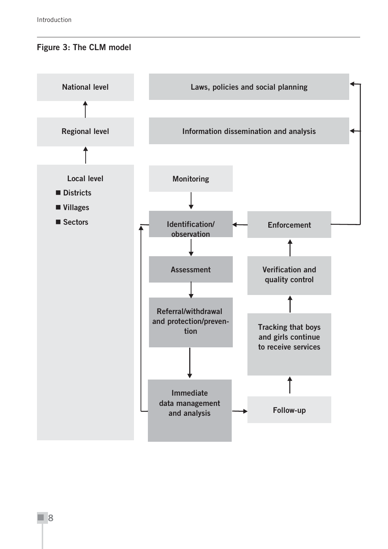# **Figure 3: The CLM model**

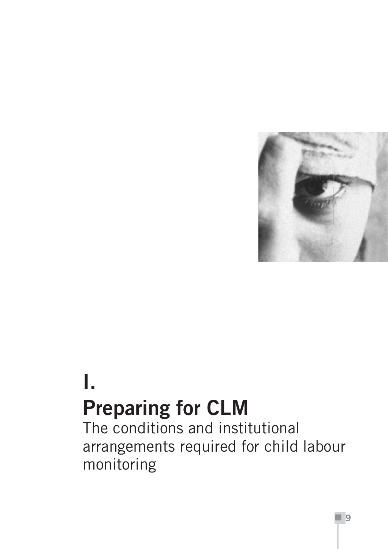

# **I. Preparing for CLM**

The conditions and institutional arrangements required for child labour monitoring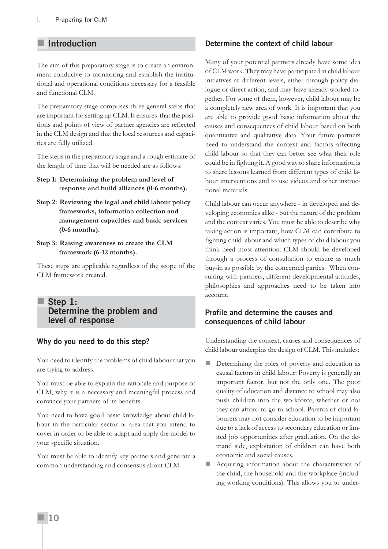# **Introduction**

The aim of this preparatory stage is to create an environment conducive to monitoring and establish the institutional and operational conditions necessary for a feasible and functional CLM.

The preparatory stage comprises three general steps that are important for setting up CLM. It ensures that the positions and points of view of partner agencies are reflected in the CLM design and that the local resources and capacities are fully utilized.

The steps in the preparatory stage and a rough estimate of the length of time that will be needed are as follows:

- **Step 1: Determining the problem and level of response and build alliances (0-6 months).**
- **Step 2: Reviewing the legal and child labour policy frameworks, information collection and management capacities and basic services (0-6 months).**
- **Step 3: Raising awareness to create the CLM framework (6-12 months).**

These steps are applicable regardless of the scope of the CLM framework created.

# **Step 1: Determine the problem and level of response**

#### **Why do you need to do this step?**

You need to identify the problems of child labour that you are trying to address.

You must be able to explain the rationale and purpose of CLM, why it is a necessary and meaningful process and convince your partners of its benefits.

You need to have good basic knowledge about child labour in the particular sector or area that you intend to cover in order to be able to adapt and apply the model to your specific situation.

You must be able to identify key partners and generate a common understanding and consensus about CLM.

#### **Determine the context of child labour**

Many of your potential partners already have some idea of CLM work. They may have participated in child labour initiatives at different levels, either through policy dialogue or direct action, and may have already worked together. For some of them, however, child labour may be a completely new area of work. It is important that you are able to provide good basic information about the causes and consequences of child labour based on both quantitative and qualitative data. Your future partners need to understand the context and factors affecting child labour so that they can better see what their role could be in fighting it. A good way to share information is to share lessons learned from different types of child labour interventions and to use videos and other instructional materials.

Child labour can occur anywhere - in developed and developing economies alike - but the nature of the problem and the context varies. You must be able to describe why taking action is important, how CLM can contribute to fighting child labour and which types of child labour you think need most attention. CLM should be developed through a process of consultation to ensure as much buy-in as possible by the concerned parties. When consulting with partners, different developmental attitudes, philosophies and approaches need to be taken into account.

#### **Profile and determine the causes and consequences of child labour**

Understanding the context, causes and consequences of child labour underpins the design of CLM. This includes:

- Determining the roles of poverty and education as causal factors in child labour: Poverty is generally an important factor, but not the only one. The poor quality of education and distance to school may also push children into the workforce, whether or not they can afford to go to school. Parents of child labourers may not consider education to be important due to a lack of access to secondary education or limited job opportunities after graduation. On the demand side, exploitation of children can have both economic and social causes.
- Acquiring information about the characteristics of the child, the household and the workplace (including working conditions): This allows you to under-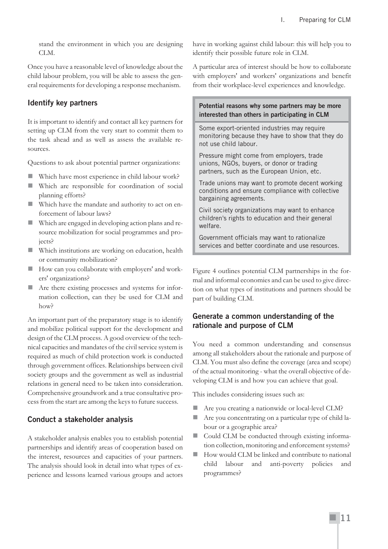stand the environment in which you are designing CLM.

Once you have a reasonable level of knowledge about the child labour problem, you will be able to assess the general requirements for developing a response mechanism.

# **Identify key partners**

It is important to identify and contact all key partners for setting up CLM from the very start to commit them to the task ahead and as well as assess the available resources.

Questions to ask about potential partner organizations:

- Which have most experience in child labour work?
- Which are responsible for coordination of social planning efforts?
- Which have the mandate and authority to act on enforcement of labour laws?
- Which are engaged in developing action plans and resource mobilization for social programmes and projects?
- Which institutions are working on education, health or community mobilization?
- How can you collaborate with employers' and workers' organizations?
- Are there existing processes and systems for information collection, can they be used for CLM and how?

An important part of the preparatory stage is to identify and mobilize political support for the development and design of the CLM process. A good overview of the technical capacities and mandates of the civil service system is required as much of child protection work is conducted through government offices. Relationships between civil society groups and the government as well as industrial relations in general need to be taken into consideration. Comprehensive groundwork and a true consultative process from the start are among the keys to future success.

# **Conduct a stakeholder analysis**

A stakeholder analysis enables you to establish potential partnerships and identify areas of cooperation based on the interest, resources and capacities of your partners. The analysis should look in detail into what types of experience and lessons learned various groups and actors have in working against child labour: this will help you to identify their possible future role in CLM.

A particular area of interest should be how to collaborate with employers' and workers' organizations and benefit from their workplace-level experiences and knowledge.

#### **Potential reasons why some partners may be more interested than others in participating in CLM**

Some export-oriented industries may require monitoring because they have to show that they do not use child labour.

Pressure might come from employers, trade unions, NGOs, buyers, or donor or trading partners, such as the European Union, etc.

Trade unions may want to promote decent working conditions and ensure compliance with collective bargaining agreements.

Civil society organizations may want to enhance children's rights to education and their general welfare.

Government officials may want to rationalize services and better coordinate and use resources.

Figure 4 outlines potential CLM partnerships in the formal and informal economies and can be used to give direction on what types of institutions and partners should be part of building CLM.

# **Generate a common understanding of the rationale and purpose of CLM**

You need a common understanding and consensus among all stakeholders about the rationale and purpose of CLM. You must also define the coverage (area and scope) of the actual monitoring - what the overall objective of developing CLM is and how you can achieve that goal.

This includes considering issues such as:

- Are you creating a nationwide or local-level CLM?
- Are you concentrating on a particular type of child labour or a geographic area?
- Could CLM be conducted through existing information collection, monitoring and enforcement systems?
- How would CLM be linked and contribute to national child labour and anti-poverty policies and programmes?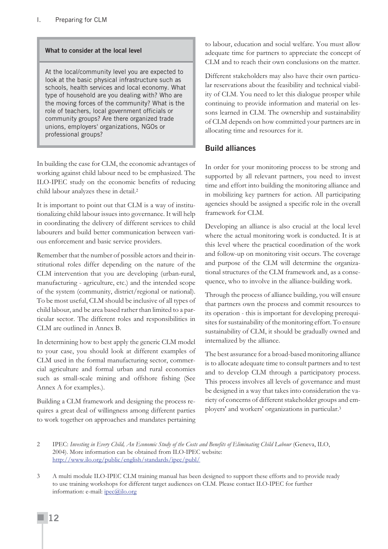#### **What to consider at the local level**

At the local/community level you are expected to look at the basic physical infrastructure such as schools, health services and local economy. What type of household are you dealing with? Who are the moving forces of the community? What is the role of teachers, local government officials or community groups? Are there organized trade unions, employers' organizations, NGOs or professional groups?

In building the case for CLM, the economic advantages of working against child labour need to be emphasized. The ILO-IPEC study on the economic benefits of reducing child labour analyzes these in detail.2

It is important to point out that CLM is a way of institutionalizing child labour issues into governance. It will help in coordinating the delivery of different services to child labourers and build better communication between various enforcement and basic service providers.

Remember that the number of possible actors and their institutional roles differ depending on the nature of the CLM intervention that you are developing (urban-rural, manufacturing - agriculture, etc.) and the intended scope of the system (community, district/regional or national). To be most useful, CLM should be inclusive of all types of child labour, and be area based rather than limited to a particular sector. The different roles and responsibilities in CLM are outlined in Annex B.

In determining how to best apply the generic CLM model to your case, you should look at different examples of CLM used in the formal manufacturing sector, commercial agriculture and formal urban and rural economies such as small-scale mining and offshore fishing (See Annex A for examples.).

Building a CLM framework and designing the process requires a great deal of willingness among different parties to work together on approaches and mandates pertaining to labour, education and social welfare. You must allow adequate time for partners to appreciate the concept of CLM and to reach their own conclusions on the matter.

Different stakeholders may also have their own particular reservations about the feasibility and technical viability of CLM. You need to let this dialogue prosper while continuing to provide information and material on lessons learned in CLM. The ownership and sustainability of CLM depends on how committed your partners are in allocating time and resources for it.

#### **Build alliances**

In order for your monitoring process to be strong and supported by all relevant partners, you need to invest time and effort into building the monitoring alliance and in mobilizing key partners for action. All participating agencies should be assigned a specific role in the overall framework for CLM.

Developing an alliance is also crucial at the local level where the actual monitoring work is conducted. It is at this level where the practical coordination of the work and follow-up on monitoring visit occurs. The coverage and purpose of the CLM will determine the organizational structures of the CLM framework and, as a consequence, who to involve in the alliance-building work.

Through the process of alliance building, you will ensure that partners own the process and commit resources to its operation - this is important for developing prerequisites for sustainability of the monitoring effort. To ensure sustainability of CLM, it should be gradually owned and internalized by the alliance.

The best assurance for a broad-based monitoring alliance is to allocate adequate time to consult partners and to test and to develop CLM through a participatory process. This process involves all levels of governance and must be designed in a way that takes into consideration the variety of concerns of different stakeholder groups and employers' and workers' organizations in particular.3

<sup>2</sup> IPEC: *Investing in Every Child, An Economic Study of the Costs and Benefits of Eliminating Child Labour* (Geneva, ILO, 2004). More information can be obtained from ILO-IPEC website: http://www.ilo.org/public/english/standards/ipec/publ/

<sup>3</sup> A multi module ILO-IPEC CLM training manual has been designed to support these efforts and to provide ready to use training workshops for different target audiences on CLM. Please contact ILO-IPEC for further information: e-mail: ipec@ilo.org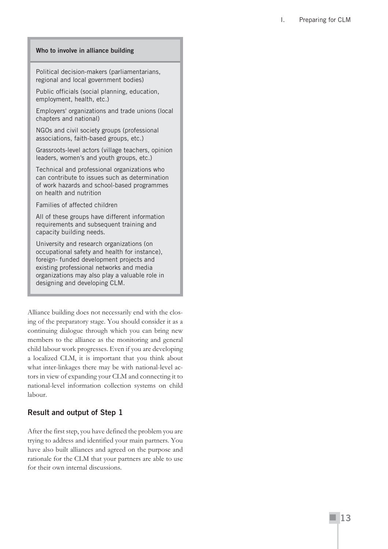I. Preparing for CLM

#### **Who to involve in alliance building**

Political decision-makers (parliamentarians, regional and local government bodies)

Public officials (social planning, education, employment, health, etc.)

Employers' organizations and trade unions (local chapters and national)

NGOs and civil society groups (professional associations, faith-based groups, etc.)

Grassroots-level actors (village teachers, opinion leaders, women's and youth groups, etc.)

Technical and professional organizations who can contribute to issues such as determination of work hazards and school-based programmes on health and nutrition

Families of affected children

All of these groups have different information requirements and subsequent training and capacity building needs.

University and research organizations (on occupational safety and health for instance), foreign- funded development projects and existing professional networks and media organizations may also play a valuable role in designing and developing CLM.

Alliance building does not necessarily end with the closing of the preparatory stage. You should consider it as a continuing dialogue through which you can bring new members to the alliance as the monitoring and general child labour work progresses. Even if you are developing a localized CLM, it is important that you think about what inter-linkages there may be with national-level actors in view of expanding your CLM and connecting it to national-level information collection systems on child labour.

#### **Result and output of Step 1**

After the first step, you have defined the problem you are trying to address and identified your main partners. You have also built alliances and agreed on the purpose and rationale for the CLM that your partners are able to use for their own internal discussions.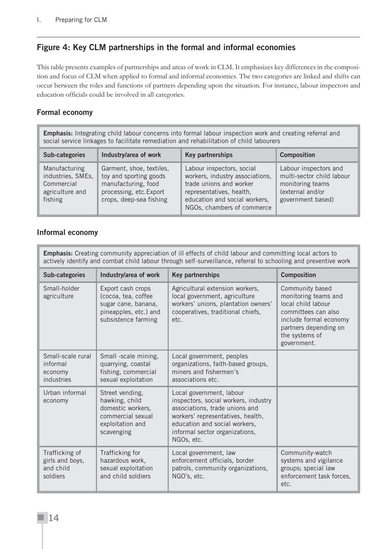# **Figure 4: Key CLM partnerships in the formal and informal economies**

This table presents examples of partnerships and areas of work in CLM. It emphasizes key differences in the composition and focus of CLM when applied to formal and informal economies. The two categories are linked and shifts can occur between the roles and functions of partners depending upon the situation. For instance, labour inspectors and education officials could be involved in all categories.

# **Formal economy**

**Emphasis:** Integrating child labour concerns into formal labour inspection work and creating referral and social service linkages to facilitate remediation and rehabilitation of child labourers

| Sub-categories                                                                 | Industry/area of work                                                                                                           | Key partnerships                                                                                                                                                                   | <b>Composition</b>                                                                                              |
|--------------------------------------------------------------------------------|---------------------------------------------------------------------------------------------------------------------------------|------------------------------------------------------------------------------------------------------------------------------------------------------------------------------------|-----------------------------------------------------------------------------------------------------------------|
| Manufacturing<br>industries, SMEs,<br>Commercial<br>agriculture and<br>fishing | Garment, shoe, textiles,<br>toy and sporting goods<br>manufacturing, food<br>processing, etc. Export<br>crops, deep-sea fishing | Labour inspectors, social<br>workers, industry associations,<br>trade unions and worker<br>representatives, health,<br>education and social workers,<br>NGOs, chambers of commerce | Labour inspectors and<br>multi-sector child labour<br>monitoring teams<br>(external and/or<br>government based) |

#### **Informal economy**

| <b>Emphasis:</b> Creating community appreciation of ill effects of child labour and committing local actors to<br>actively identify and combat child labour through self-surveillance, referral to schooling and preventive work |                                                                                                                 |                                                                                                                                                                                                                          |                                                                                                                                                                          |
|----------------------------------------------------------------------------------------------------------------------------------------------------------------------------------------------------------------------------------|-----------------------------------------------------------------------------------------------------------------|--------------------------------------------------------------------------------------------------------------------------------------------------------------------------------------------------------------------------|--------------------------------------------------------------------------------------------------------------------------------------------------------------------------|
| Sub-categories                                                                                                                                                                                                                   | Industry/area of work                                                                                           | Key partnerships                                                                                                                                                                                                         | <b>Composition</b>                                                                                                                                                       |
| Small-holder<br>agriculture                                                                                                                                                                                                      | Export cash crops<br>(cocoa, tea, coffee<br>sugar cane, banana,<br>pineapples, etc.) and<br>subsistence farming | Agricultural extension workers,<br>local government, agriculture<br>workers' unions, plantation owners'<br>cooperatives, traditional chiefs,<br>etc.                                                                     | Community based<br>monitoring teams and<br>local child labour<br>committees can also<br>include formal economy<br>partners depending on<br>the systems of<br>government. |
| Small-scale rural<br>informal<br>economy<br>industries                                                                                                                                                                           | Small -scale mining,<br>quarrying, coastal<br>fishing, commercial<br>sexual exploitation                        | Local government, peoples<br>organizations, faith-based groups,<br>miners and fishermen's<br>associations etc.                                                                                                           |                                                                                                                                                                          |
| Urban informal<br>economy                                                                                                                                                                                                        | Street vending,<br>hawking, child<br>domestic workers,<br>commercial sexual<br>exploitation and<br>scavenging   | Local government, labour<br>inspectors, social workers, industry<br>associations, trade unions and<br>workers' representatives, health,<br>education and social workers,<br>informal sector organizations,<br>NGOs, etc. |                                                                                                                                                                          |
| Trafficking of<br>girls and boys,<br>and child<br>soldiers                                                                                                                                                                       | Trafficking for<br>hazardous work,<br>sexual exploitation<br>and child soldiers                                 | Local government, law<br>enforcement officials, border<br>patrols, community organizations,<br>NGO's, etc.                                                                                                               | Community-watch<br>systems and vigilance<br>groups; special law<br>enforcement task forces.<br>etc.                                                                      |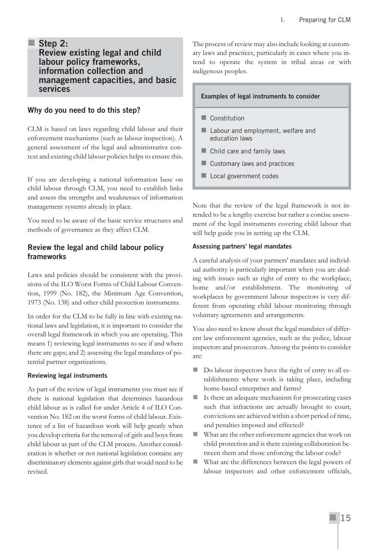#### **Step 2: Review existing legal and child labour policy frameworks, information collection and management capacities, and basic services**

#### **Why do you need to do this step?**

CLM is based on laws regarding child labour and their enforcement mechanisms (such as labour inspection). A general assessment of the legal and administrative context and existing child labour policies helps to ensure this.

If you are developing a national information base on child labour through CLM, you need to establish links and assess the strengths and weaknesses of information management systems already in place.

You need to be aware of the basic service structures and methods of governance as they affect CLM.

#### **Review the legal and child labour policy frameworks**

Laws and policies should be consistent with the provisions of the ILO Worst Forms of Child Labour Convention, 1999 (No. 182), the Minimum Age Convention, 1973 (No. 138) and other child protection instruments.

In order for the CLM to be fully in line with existing national laws and legislation, it is important to consider the overall legal framework in which you are operating. This means 1) reviewing legal instruments to see if and where there are gaps; and 2) assessing the legal mandates of potential partner organizations.

#### **Reviewing legal instruments**

As part of the review of legal instruments you must see if there is national legislation that determines hazardous child labour as is called for under Article 4 of ILO Convention No. 182 on the worst forms of child labour. Existence of a list of hazardous work will help greatly when you develop criteria for the removal of girls and boys from child labour as part of the CLM process. Another consideration is whether or not national legislation contains any discriminatory elements against girls that would need to be revised.

The process of review may also include looking at customary laws and practices, particularly in cases where you intend to operate the system in tribal areas or with indigenous peoples.

#### **Examples of legal instruments to consider**

- Constitution
- Labour and employment, welfare and education laws
- **Child care and family laws**
- Customary laws and practices
- Local government codes

Note that the review of the legal framework is not intended to be a lengthy exercise but rather a concise assessment of the legal instruments covering child labour that will help guide you in setting up the CLM.

#### **Assessing partners' legal mandates**

A careful analysis of your partners' mandates and individual authority is particularly important when you are dealing with issues such as right of entry to the workplace, home and/or establishment. The monitoring of workplaces by government labour inspectors is very different from operating child labour monitoring through voluntary agreements and arrangements.

You also need to know about the legal mandates of different law enforcement agencies, such as the police, labour inspectors and prosecutors. Among the points to consider are:

- Do labour inspectors have the right of entry to all establishments where work is taking place, including home-based enterprises and farms?
- Is there an adequate mechanism for prosecuting cases such that infractions are actually brought to court, convictions are achieved within a short period of time, and penalties imposed and effected?
- What are the other enforcement agencies that work on child protection and is there existing collaboration between them and those enforcing the labour code?
- What are the differences between the legal powers of labour inspectors and other enforcement officials,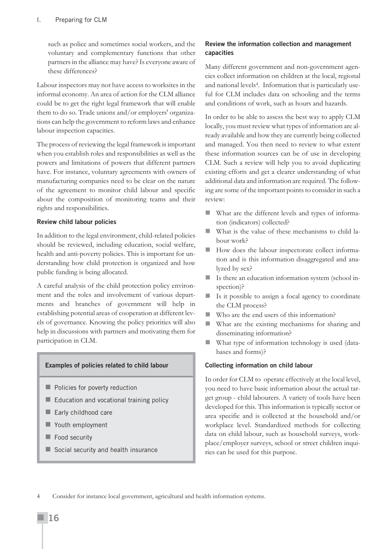such as police and sometimes social workers, and the voluntary and complementary functions that other partners in the alliance may have? Is everyone aware of these differences?

Labour inspectors may not have access to worksites in the informal economy. An area of action for the CLM alliance could be to get the right legal framework that will enable them to do so. Trade unions and/or employers' organizations can help the government to reform laws and enhance labour inspection capacities.

The process of reviewing the legal framework is important when you establish roles and responsibilities as well as the powers and limitations of powers that different partners have. For instance, voluntary agreements with owners of manufacturing companies need to be clear on the nature of the agreement to monitor child labour and specific about the composition of monitoring teams and their rights and responsibilities.

#### **Review child labour policies**

In addition to the legal environment, child-related policies should be reviewed, including education, social welfare, health and anti-poverty policies. This is important for understanding how child protection is organized and how public funding is being allocated.

A careful analysis of the child protection policy environment and the roles and involvement of various departments and branches of government will help in establishing potential areas of cooperation at different levels of governance. Knowing the policy priorities will also help in discussions with partners and motivating them for participation in CLM.

#### **Examples of policies related to child labour**

- **Policies for poverty reduction**
- **Education and vocational training policy**
- Early childhood care
- **Nouth employment**
- Food security
- Social security and health insurance

#### **Review the information collection and management capacities**

Many different government and non-government agencies collect information on children at the local, regional and national levels4. Information that is particularly useful for CLM includes data on schooling and the terms and conditions of work, such as hours and hazards.

In order to be able to assess the best way to apply CLM locally, you must review what types of information are already available and how they are currently being collected and managed. You then need to review to what extent these information sources can be of use in developing CLM. Such a review will help you to avoid duplicating existing efforts and get a clearer understanding of what additional data and information are required. The following are some of the important points to consider in such a review:

- What are the different levels and types of information (indicators) collected?
- What is the value of these mechanisms to child labour work?
- How does the labour inspectorate collect information and is this information disaggregated and analyzed by sex?
- Is there an education information system (school inspection)?
- Is it possible to assign a focal agency to coordinate the CLM process?
- Who are the end users of this information?
- What are the existing mechanisms for sharing and disseminating information?
- What type of information technology is used (databases and forms)?

#### **Collecting information on child labour**

In order for CLM to operate effectively at the local level, you need to have basic information about the actual target group - child labourers. A variety of tools have been developed for this. This information is typically sector or area specific and is collected at the household and/or workplace level. Standardized methods for collecting data on child labour, such as household surveys, workplace/employer surveys, school or street children inquiries can be used for this purpose.

Consider for instance local government, agricultural and health information systems.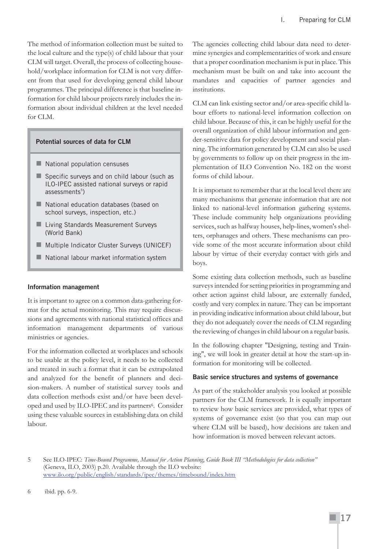The method of information collection must be suited to the local culture and the type(s) of child labour that your CLM will target. Overall, the process of collecting household/workplace information for CLM is not very different from that used for developing general child labour programmes. The principal difference is that baseline information for child labour projects rarely includes the information about individual children at the level needed for CLM.

#### **Potential sources of data for CLM**

- National population censuses
- Specific surveys and on child labour (such as ILO-IPEC assisted national surveys or rapid assessments<sup>5</sup>)
- National education databases (based on school surveys, inspection, etc.)
- **Living Standards Measurement Surveys** (World Bank)
- **Multiple Indicator Cluster Surveys (UNICEF)**
- National labour market information system

#### **Information management**

It is important to agree on a common data-gathering format for the actual monitoring. This may require discussions and agreements with national statistical offices and information management departments of various ministries or agencies.

For the information collected at workplaces and schools to be usable at the policy level, it needs to be collected and treated in such a format that it can be extrapolated and analyzed for the benefit of planners and decision-makers. A number of statistical survey tools and data collection methods exist and/or have been developed and used by ILO-IPEC and its partners<sup>6</sup>. Consider using these valuable sources in establishing data on child labour.

The agencies collecting child labour data need to determine synergies and complementarities of work and ensure that a proper coordination mechanism is put in place. This mechanism must be built on and take into account the mandates and capacities of partner agencies and institutions.

CLM can link existing sector and/or area-specific child labour efforts to national-level information collection on child labour. Because of this, it can be highly useful for the overall organization of child labour information and gender-sensitive data for policy development and social planning. The information generated by CLM can also be used by governments to follow up on their progress in the implementation of ILO Convention No. 182 on the worst forms of child labour.

It is important to remember that at the local level there are many mechanisms that generate information that are not linked to national-level information gathering systems. These include community help organizations providing services, such as halfway houses, help-lines, women's shelters, orphanages and others. These mechanisms can provide some of the most accurate information about child labour by virtue of their everyday contact with girls and boys.

Some existing data collection methods, such as baseline surveys intended for setting priorities in programming and other action against child labour, are externally funded, costly and very complex in nature. They can be important in providing indicative information about child labour, but they do not adequately cover the needs of CLM regarding the reviewing of changes in child labour on a regular basis.

In the following chapter "Designing, testing and Training", we will look in greater detail at how the start-up information for monitoring will be collected.

#### **Basic service structures and systems of governance**

As part of the stakeholder analysis you looked at possible partners for the CLM framework. It is equally important to review how basic services are provided, what types of systems of governance exist (so that you can map out where CLM will be based), how decisions are taken and how information is moved between relevant actors.

6 ibid. pp. 6-9.

<sup>5</sup> See ILO-IPEC: *Time-Bound Programme, Manual for Action Planning*, *Guide Book III "Methodologies for data collection"* (Geneva, ILO, 2003) p.20. Available through the ILO website: www.ilo.org/public/english/standards/ipec/themes/timebound/index.htm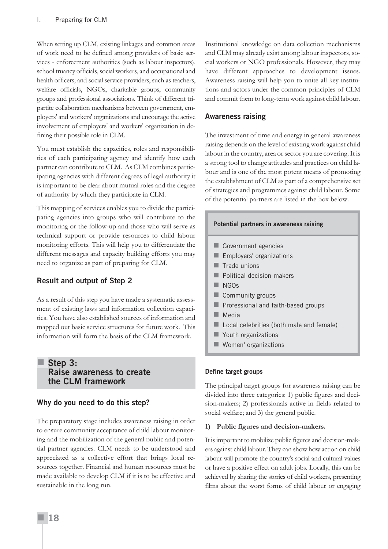When setting up CLM, existing linkages and common areas of work need to be defined among providers of basic services - enforcement authorities (such as labour inspectors), school truancy officials, social workers, and occupational and health officers; and social service providers, such as teachers, welfare officials, NGOs, charitable groups, community groups and professional associations. Think of different tripartite collaboration mechanisms between government, employers' and workers' organizations and encourage the active involvement of employers' and workers' organization in defining their possible role in CLM.

You must establish the capacities, roles and responsibilities of each participating agency and identify how each partner can contribute to CLM. As CLM combines participating agencies with different degrees of legal authority it is important to be clear about mutual roles and the degree of authority by which they participate in CLM.

This mapping of services enables you to divide the participating agencies into groups who will contribute to the monitoring or the follow-up and those who will serve as technical support or provide resources to child labour monitoring efforts. This will help you to differentiate the different messages and capacity building efforts you may need to organize as part of preparing for CLM.

# **Result and output of Step 2**

As a result of this step you have made a systematic assessment of existing laws and information collection capacities. You have also established sources of information and mapped out basic service structures for future work. This information will form the basis of the CLM framework.

# **Step 3: Raise awareness to create the CLM framework**

# **Why do you need to do this step?**

The preparatory stage includes awareness raising in order to ensure community acceptance of child labour monitoring and the mobilization of the general public and potential partner agencies. CLM needs to be understood and appreciated as a collective effort that brings local resources together. Financial and human resources must be made available to develop CLM if it is to be effective and sustainable in the long run.

Institutional knowledge on data collection mechanisms and CLM may already exist among labour inspectors, social workers or NGO professionals. However, they may have different approaches to development issues. Awareness raising will help you to unite all key institutions and actors under the common principles of CLM and commit them to long-term work against child labour.

#### **Awareness raising**

The investment of time and energy in general awareness raising depends on the level of existing work against child labour in the country, area or sector you are covering. It is a strong tool to change attitudes and practices on child labour and is one of the most potent means of promoting the establishment of CLM as part of a comprehensive set of strategies and programmes against child labour. Some of the potential partners are listed in the box below.

#### **Potential partners in awareness raising**

- Government agencies
- Employers' organizations
- Trade unions
- Political decision-makers
- NGO<sub>s</sub>
- Community groups
- **Professional and faith-based groups**
- $\blacksquare$  Media
- Local celebrities (both male and female)
- **Nouth organizations**
- **Women' organizations**

#### **Define target groups**

The principal target groups for awareness raising can be divided into three categories: 1) public figures and decision-makers; 2) professionals active in fields related to social welfare; and 3) the general public.

#### **1) Public figures and decision-makers.**

It is important to mobilize public figures and decision-makers against child labour. They can show how action on child labour will promote the country's social and cultural values or have a positive effect on adult jobs. Locally, this can be achieved by sharing the stories of child workers, presenting films about the worst forms of child labour or engaging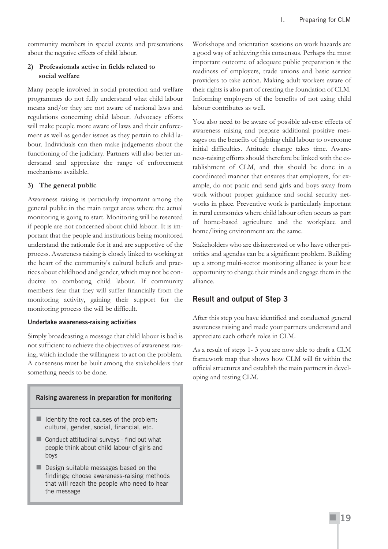community members in special events and presentations about the negative effects of child labour.

#### **2) Professionals active in fields related to social welfare**

Many people involved in social protection and welfare programmes do not fully understand what child labour means and/or they are not aware of national laws and regulations concerning child labour. Advocacy efforts will make people more aware of laws and their enforcement as well as gender issues as they pertain to child labour. Individuals can then make judgements about the functioning of the judiciary. Partners will also better understand and appreciate the range of enforcement mechanisms available.

#### **3) The general public**

Awareness raising is particularly important among the general public in the main target areas where the actual monitoring is going to start. Monitoring will be resented if people are not concerned about child labour. It is important that the people and institutions being monitored understand the rationale for it and are supportive of the process. Awareness raising is closely linked to working at the heart of the community's cultural beliefs and practices about childhood and gender, which may not be conducive to combating child labour. If community members fear that they will suffer financially from the monitoring activity, gaining their support for the monitoring process the will be difficult.

#### **Undertake awareness-raising activities**

Simply broadcasting a message that child labour is bad is not sufficient to achieve the objectives of awareness raising, which include the willingness to act on the problem. A consensus must be built among the stakeholders that something needs to be done.

#### **Raising awareness in preparation for monitoring**

- $\blacksquare$  Identify the root causes of the problem: cultural, gender, social, financial, etc.
- Conduct attitudinal surveys find out what people think about child labour of girls and boys
- Design suitable messages based on the findings; choose awareness-raising methods that will reach the people who need to hear the message

Workshops and orientation sessions on work hazards are a good way of achieving this consensus. Perhaps the most important outcome of adequate public preparation is the readiness of employers, trade unions and basic service providers to take action. Making adult workers aware of their rights is also part of creating the foundation of CLM. Informing employers of the benefits of not using child labour contributes as well.

You also need to be aware of possible adverse effects of awareness raising and prepare additional positive messages on the benefits of fighting child labour to overcome initial difficulties. Attitude change takes time. Awareness-raising efforts should therefore be linked with the establishment of CLM, and this should be done in a coordinated manner that ensures that employers, for example, do not panic and send girls and boys away from work without proper guidance and social security networks in place. Preventive work is particularly important in rural economies where child labour often occurs as part of home-based agriculture and the workplace and home/living environment are the same.

Stakeholders who are disinterested or who have other priorities and agendas can be a significant problem. Building up a strong multi-sector monitoring alliance is your best opportunity to change their minds and engage them in the alliance.

# **Result and output of Step 3**

After this step you have identified and conducted general awareness raising and made your partners understand and appreciate each other's roles in CLM.

As a result of steps 1- 3 you are now able to draft a CLM framework map that shows how CLM will fit within the official structures and establish the main partners in developing and testing CLM.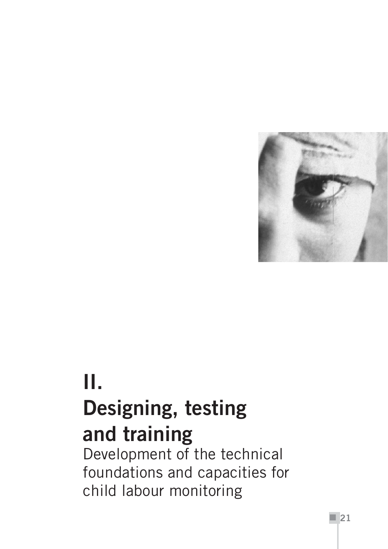

# **II. Designing, testing and training**

Development of the technical foundations and capacities for child labour monitoring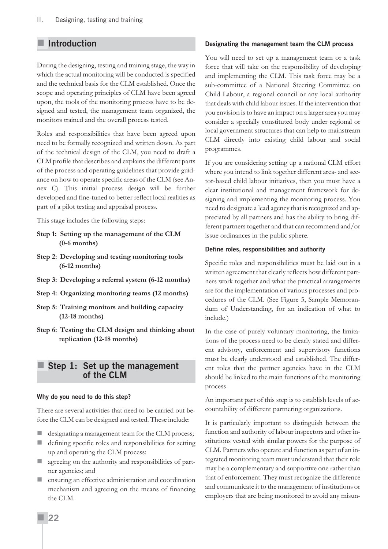# **Introduction**

During the designing, testing and training stage, the way in which the actual monitoring will be conducted is specified and the technical basis for the CLM established. Once the scope and operating principles of CLM have been agreed upon, the tools of the monitoring process have to be designed and tested, the management team organized, the monitors trained and the overall process tested.

Roles and responsibilities that have been agreed upon need to be formally recognized and written down. As part of the technical design of the CLM, you need to draft a CLM profile that describes and explains the different parts of the process and operating guidelines that provide guidance on how to operate specific areas of the CLM (see Annex C). This initial process design will be further developed and fine-tuned to better reflect local realities as part of a pilot testing and appraisal process.

This stage includes the following steps:

- **Step 1: Setting up the management of the CLM (0-6 months)**
- **Step 2: Developing and testing monitoring tools (6-12 months)**
- **Step 3: Developing a referral system (6-12 months)**
- **Step 4: Organizing monitoring teams (12 months)**
- **Step 5: Training monitors and building capacity (12-18 months)**
- **Step 6: Testing the CLM design and thinking about replication (12-18 months)**

#### **Step 1: Set up the management of the CLM**

#### **Why do you need to do this step?**

There are several activities that need to be carried out before the CLM can be designed and tested. These include:

- designating a management team for the CLM process;
- defining specific roles and responsibilities for setting up and operating the CLM process;
- agreeing on the authority and responsibilities of partner agencies; and
- **E** ensuring an effective administration and coordination mechanism and agreeing on the means of financing the CLM.

#### **Designating the management team the CLM process**

You will need to set up a management team or a task force that will take on the responsibility of developing and implementing the CLM. This task force may be a sub-committee of a National Steering Committee on Child Labour, a regional council or any local authority that deals with child labour issues. If the intervention that you envision is to have an impact on a larger area you may consider a specially constituted body under regional or local government structures that can help to mainstream CLM directly into existing child labour and social programmes.

If you are considering setting up a national CLM effort where you intend to link together different area- and sector-based child labour initiatives, then you must have a clear institutional and management framework for designing and implementing the monitoring process. You need to designate a lead agency that is recognized and appreciated by all partners and has the ability to bring different partners together and that can recommend and/or issue ordinances in the public sphere.

#### **Define roles, responsibilities and authority**

Specific roles and responsibilities must be laid out in a written agreement that clearly reflects how different partners work together and what the practical arrangements are for the implementation of various processes and procedures of the CLM. (See Figure 5, Sample Memorandum of Understanding, for an indication of what to include.)

In the case of purely voluntary monitoring, the limitations of the process need to be clearly stated and different advisory, enforcement and supervisory functions must be clearly understood and established. The different roles that the partner agencies have in the CLM should be linked to the main functions of the monitoring process

An important part of this step is to establish levels of accountability of different partnering organizations.

It is particularly important to distinguish between the function and authority of labour inspectors and other institutions vested with similar powers for the purpose of CLM. Partners who operate and function as part of an integrated monitoring team must understand that their role may be a complementary and supportive one rather than that of enforcement. They must recognize the difference and communicate it to the management of institutions or employers that are being monitored to avoid any misun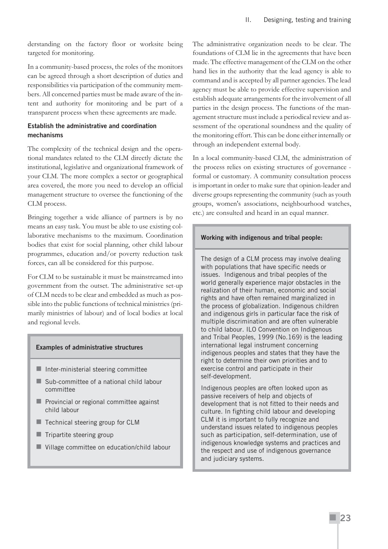derstanding on the factory floor or worksite being targeted for monitoring.

In a community-based process, the roles of the monitors can be agreed through a short description of duties and responsibilities via participation of the community members. All concerned parties must be made aware of the intent and authority for monitoring and be part of a transparent process when these agreements are made.

#### **Establish the administrative and coordination mechanisms**

The complexity of the technical design and the operational mandates related to the CLM directly dictate the institutional, legislative and organizational framework of your CLM. The more complex a sector or geographical area covered, the more you need to develop an official management structure to oversee the functioning of the CLM process.

Bringing together a wide alliance of partners is by no means an easy task. You must be able to use existing collaborative mechanisms to the maximum. Coordination bodies that exist for social planning, other child labour programmes, education and/or poverty reduction task forces, can all be considered for this purpose.

For CLM to be sustainable it must be mainstreamed into government from the outset. The administrative set-up of CLM needs to be clear and embedded as much as possible into the public functions of technical ministries (primarily ministries of labour) and of local bodies at local and regional levels.

#### **Examples of administrative structures**

- $\blacksquare$  Inter-ministerial steering committee
- Sub-committee of a national child labour committee
- **Provincial or regional committee against** child labour
- $\blacksquare$  Technical steering group for CLM
- $\blacksquare$  Tripartite steering group
- **Village committee on education/child labour**

The administrative organization needs to be clear. The foundations of CLM lie in the agreements that have been made. The effective management of the CLM on the other hand lies in the authority that the lead agency is able to command and is accepted by all partner agencies. The lead agency must be able to provide effective supervision and establish adequate arrangements for the involvement of all parties in the design process. The functions of the management structure must include a periodical review and assessment of the operational soundness and the quality of the monitoring effort. This can be done either internally or through an independent external body.

In a local community-based CLM, the administration of the process relies on existing structures of governance formal or customary. A community consultation process is important in order to make sure that opinion-leader and diverse groups representing the community (such as youth groups, women's associations, neighbourhood watches, etc.) are consulted and heard in an equal manner.

#### **Working with indigenous and tribal people:**

The design of a CLM process may involve dealing with populations that have specific needs or issues. Indigenous and tribal peoples of the world generally experience major obstacles in the realization of their human, economic and social rights and have often remained marginalized in the process of globalization. Indigenous children and indigenous girls in particular face the risk of multiple discrimination and are often vulnerable to child labour. ILO Convention on Indigenous and Tribal Peoples, 1999 (No.169) is the leading international legal instrument concerning indigenous peoples and states that they have the right to determine their own priorities and to exercise control and participate in their self-development.

Indigenous peoples are often looked upon as passive receivers of help and objects of development that is not fitted to their needs and culture. In fighting child labour and developing CLM it is important to fully recognize and understand issues related to indigenous peoples such as participation, self-determination, use of indigenous knowledge systems and practices and the respect and use of indigenous governance and judiciary systems.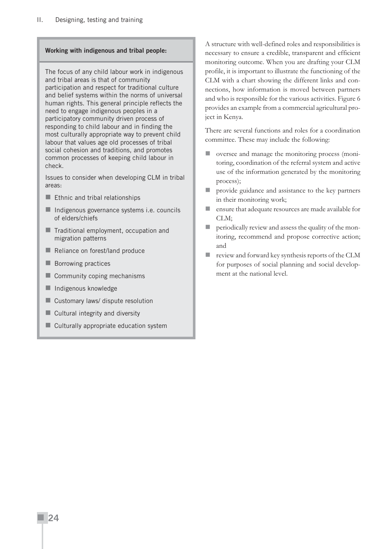#### **Working with indigenous and tribal people:**

The focus of any child labour work in indigenous and tribal areas is that of community participation and respect for traditional culture and belief systems within the norms of universal human rights. This general principle reflects the need to engage indigenous peoples in a participatory community driven process of responding to child labour and in finding the most culturally appropriate way to prevent child labour that values age old processes of tribal social cohesion and traditions, and promotes common processes of keeping child labour in check.

Issues to consider when developing CLM in tribal areas:

- $\blacksquare$  Ethnic and tribal relationships
- Indigenous governance systems i.e. councils of elders/chiefs
- **Traditional employment, occupation and** migration patterns
- Reliance on forest/land produce
- **Borrowing practices**
- Community coping mechanisms
- **Indigenous knowledge**
- **Customary laws/ dispute resolution**
- Cultural integrity and diversity
- Culturally appropriate education system

A structure with well-defined roles and responsibilities is necessary to ensure a credible, transparent and efficient monitoring outcome. When you are drafting your CLM profile, it is important to illustrate the functioning of the CLM with a chart showing the different links and connections, how information is moved between partners and who is responsible for the various activities. Figure 6 provides an example from a commercial agricultural project in Kenya.

There are several functions and roles for a coordination committee. These may include the following:

- oversee and manage the monitoring process (monitoring, coordination of the referral system and active use of the information generated by the monitoring process);
- provide guidance and assistance to the key partners in their monitoring work;
- ensure that adequate resources are made available for CLM;
- **P** periodically review and assess the quality of the monitoring, recommend and propose corrective action; and
- review and forward key synthesis reports of the CLM for purposes of social planning and social development at the national level.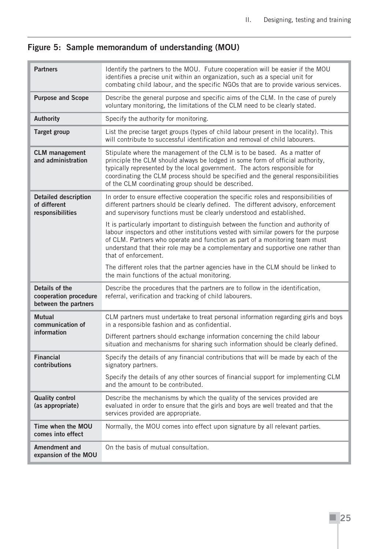# **Figure 5: Sample memorandum of understanding (MOU)**

| <b>Partners</b>                                                                                                                                                                                                                                                                                                      | Identify the partners to the MOU. Future cooperation will be easier if the MOU<br>identifies a precise unit within an organization, such as a special unit for<br>combating child labour, and the specific NGOs that are to provide various services.                                                                                                                             |  |  |
|----------------------------------------------------------------------------------------------------------------------------------------------------------------------------------------------------------------------------------------------------------------------------------------------------------------------|-----------------------------------------------------------------------------------------------------------------------------------------------------------------------------------------------------------------------------------------------------------------------------------------------------------------------------------------------------------------------------------|--|--|
| <b>Purpose and Scope</b>                                                                                                                                                                                                                                                                                             | Describe the general purpose and specific aims of the CLM. In the case of purely<br>voluntary monitoring, the limitations of the CLM need to be clearly stated.                                                                                                                                                                                                                   |  |  |
| <b>Authority</b>                                                                                                                                                                                                                                                                                                     | Specify the authority for monitoring.                                                                                                                                                                                                                                                                                                                                             |  |  |
| <b>Target group</b>                                                                                                                                                                                                                                                                                                  | List the precise target groups (types of child labour present in the locality). This<br>will contribute to successful identification and removal of child labourers.                                                                                                                                                                                                              |  |  |
| <b>CLM</b> management<br>and administration                                                                                                                                                                                                                                                                          | Stipulate where the management of the CLM is to be based. As a matter of<br>principle the CLM should always be lodged in some form of official authority,<br>typically represented by the local government. The actors responsible for<br>coordinating the CLM process should be specified and the general responsibilities<br>of the CLM coordinating group should be described. |  |  |
| <b>Detailed description</b><br>In order to ensure effective cooperation the specific roles and responsibilities of<br>different partners should be clearly defined. The different advisory, enforcement<br>of different<br>responsibilities<br>and supervisory functions must be clearly understood and established. |                                                                                                                                                                                                                                                                                                                                                                                   |  |  |
|                                                                                                                                                                                                                                                                                                                      | It is particularly important to distinguish between the function and authority of<br>labour inspectors and other institutions vested with similar powers for the purpose<br>of CLM. Partners who operate and function as part of a monitoring team must<br>understand that their role may be a complementary and supportive one rather than<br>that of enforcement.               |  |  |
|                                                                                                                                                                                                                                                                                                                      | The different roles that the partner agencies have in the CLM should be linked to<br>the main functions of the actual monitoring.                                                                                                                                                                                                                                                 |  |  |
| Details of the<br>cooperation procedure<br>between the partners                                                                                                                                                                                                                                                      | Describe the procedures that the partners are to follow in the identification,<br>referral, verification and tracking of child labourers.                                                                                                                                                                                                                                         |  |  |
| <b>Mutual</b><br>communication of                                                                                                                                                                                                                                                                                    | CLM partners must undertake to treat personal information regarding girls and boys<br>in a responsible fashion and as confidential.                                                                                                                                                                                                                                               |  |  |
| information                                                                                                                                                                                                                                                                                                          | Different partners should exchange information concerning the child labour<br>situation and mechanisms for sharing such information should be clearly defined.                                                                                                                                                                                                                    |  |  |
| <b>Financial</b><br>contributions                                                                                                                                                                                                                                                                                    | Specify the details of any financial contributions that will be made by each of the<br>signatory partners.                                                                                                                                                                                                                                                                        |  |  |
|                                                                                                                                                                                                                                                                                                                      | Specify the details of any other sources of financial support for implementing CLM<br>and the amount to be contributed.                                                                                                                                                                                                                                                           |  |  |
| <b>Quality control</b><br>(as appropriate)                                                                                                                                                                                                                                                                           | Describe the mechanisms by which the quality of the services provided are<br>evaluated in order to ensure that the girls and boys are well treated and that the<br>services provided are appropriate.                                                                                                                                                                             |  |  |
| Time when the MOU<br>comes into effect                                                                                                                                                                                                                                                                               | Normally, the MOU comes into effect upon signature by all relevant parties.                                                                                                                                                                                                                                                                                                       |  |  |
| <b>Amendment and</b><br>expansion of the MOU                                                                                                                                                                                                                                                                         | On the basis of mutual consultation.                                                                                                                                                                                                                                                                                                                                              |  |  |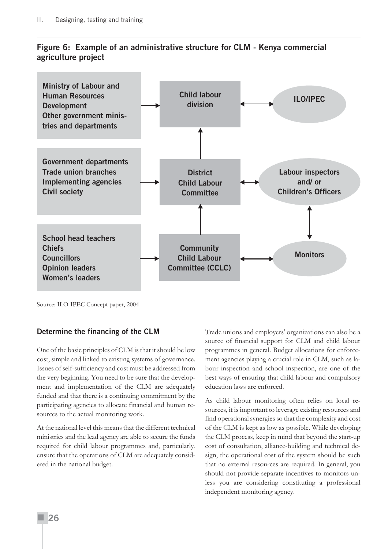# **Figure 6: Example of an administrative structure for CLM - Kenya commercial agriculture project**



Source: ILO-IPEC Concept paper, 2004

#### **Determine the financing of the CLM**

One of the basic principles of CLM is that it should be low cost, simple and linked to existing systems of governance. Issues of self-sufficiency and cost must be addressed from the very beginning. You need to be sure that the development and implementation of the CLM are adequately funded and that there is a continuing commitment by the participating agencies to allocate financial and human resources to the actual monitoring work.

At the national level this means that the different technical ministries and the lead agency are able to secure the funds required for child labour programmes and, particularly, ensure that the operations of CLM are adequately considered in the national budget.

Trade unions and employers' organizations can also be a source of financial support for CLM and child labour programmes in general. Budget allocations for enforcement agencies playing a crucial role in CLM, such as labour inspection and school inspection, are one of the best ways of ensuring that child labour and compulsory education laws are enforced.

As child labour monitoring often relies on local resources, it is important to leverage existing resources and find operational synergies so that the complexity and cost of the CLM is kept as low as possible. While developing the CLM process, keep in mind that beyond the start-up cost of consultation, alliance-building and technical design, the operational cost of the system should be such that no external resources are required. In general, you should not provide separate incentives to monitors unless you are considering constituting a professional independent monitoring agency.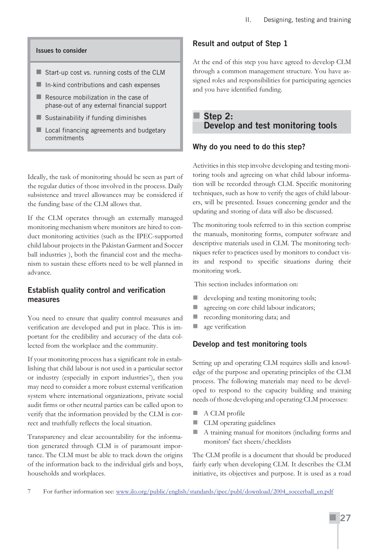#### **Issues to consider**

- Start-up cost vs. running costs of the CLM
- $\blacksquare$  In-kind contributions and cash expenses
- $\blacksquare$  Resource mobilization in the case of phase-out of any external financial support
- $\blacksquare$  Sustainability if funding diminishes
- Local financing agreements and budgetary commitments

Ideally, the task of monitoring should be seen as part of the regular duties of those involved in the process. Daily subsistence and travel allowances may be considered if the funding base of the CLM allows that.

If the CLM operates through an externally managed monitoring mechanism where monitors are hired to conduct monitoring activities (such as the IPEC-supported child labour projects in the Pakistan Garment and Soccer ball industries ), both the financial cost and the mechanism to sustain these efforts need to be well planned in advance.

#### **Establish quality control and verification measures**

You need to ensure that quality control measures and verification are developed and put in place. This is important for the credibility and accuracy of the data collected from the workplace and the community.

If your monitoring process has a significant role in establishing that child labour is not used in a particular sector or industry (especially in export industries<sup>7</sup>), then you may need to consider a more robust external verification system where international organizations, private social audit firms or other neutral parties can be called upon to verify that the information provided by the CLM is correct and truthfully reflects the local situation.

Transparency and clear accountability for the information generated through CLM is of paramount importance. The CLM must be able to track down the origins of the information back to the individual girls and boys, households and workplaces.

# **Result and output of Step 1**

At the end of this step you have agreed to develop CLM through a common management structure. You have assigned roles and responsibilities for participating agencies and you have identified funding.

# **Step 2: Develop and test monitoring tools**

# **Why do you need to do this step?**

Activities in this step involve developing and testing monitoring tools and agreeing on what child labour information will be recorded through CLM. Specific monitoring techniques, such as how to verify the ages of child labourers, will be presented. Issues concerning gender and the updating and storing of data will also be discussed.

The monitoring tools referred to in this section comprise the manuals, monitoring forms, computer software and descriptive materials used in CLM. The monitoring techniques refer to practices used by monitors to conduct visits and respond to specific situations during their monitoring work.

This section includes information on:

- $\blacksquare$  developing and testing monitoring tools;
- **all** agreeing on core child labour indicators;
- **recording monitoring data; and**
- age verification

#### **Develop and test monitoring tools**

Setting up and operating CLM requires skills and knowledge of the purpose and operating principles of the CLM process. The following materials may need to be developed to respond to the capacity building and training needs of those developing and operating CLM processes:

- A CLM profile
- **CLM** operating guidelines
- A training manual for monitors (including forms and monitors' fact sheets/checklists

The CLM profile is a document that should be produced fairly early when developing CLM. It describes the CLM initiative, its objectives and purpose. It is used as a road

<sup>7</sup> For further information see: www.ilo.org/public/english/standards/ipec/publ/download/2004\_soccerball\_en.pdf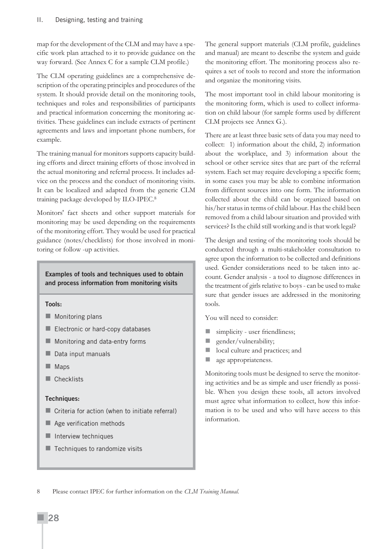map for the development of the CLM and may have a specific work plan attached to it to provide guidance on the way forward. (See Annex C for a sample CLM profile.)

The CLM operating guidelines are a comprehensive description of the operating principles and procedures of the system. It should provide detail on the monitoring tools, techniques and roles and responsibilities of participants and practical information concerning the monitoring activities. These guidelines can include extracts of pertinent agreements and laws and important phone numbers, for example.

The training manual for monitors supports capacity building efforts and direct training efforts of those involved in the actual monitoring and referral process. It includes advice on the process and the conduct of monitoring visits. It can be localized and adapted from the generic CLM training package developed by ILO-IPEC.8

Monitors' fact sheets and other support materials for monitoring may be used depending on the requirements of the monitoring effort. They would be used for practical guidance (notes/checklists) for those involved in monitoring or follow -up activities.

#### **Examples of tools and techniques used to obtain and process information from monitoring visits**

#### **Tools:**

- **Monitoring plans**
- Electronic or hard-copy databases
- **Monitoring and data-entry forms**
- Data input manuals
- **Maps**
- Checklists

#### **Techniques:**

- Criteria for action (when to initiate referral)
- Age verification methods
- $\blacksquare$  Interview techniques
- $\blacksquare$  Techniques to randomize visits

The general support materials (CLM profile, guidelines and manual) are meant to describe the system and guide the monitoring effort. The monitoring process also requires a set of tools to record and store the information and organize the monitoring visits.

The most important tool in child labour monitoring is the monitoring form, which is used to collect information on child labour (for sample forms used by different CLM projects see Annex G.).

There are at least three basic sets of data you may need to collect: 1) information about the child, 2) information about the workplace, and 3) information about the school or other service sites that are part of the referral system. Each set may require developing a specific form; in some cases you may be able to combine information from different sources into one form. The information collected about the child can be organized based on his/her status in terms of child labour. Has the child been removed from a child labour situation and provided with services? Is the child still working and is that work legal?

The design and testing of the monitoring tools should be conducted through a multi-stakeholder consultation to agree upon the information to be collected and definitions used. Gender considerations need to be taken into account. Gender analysis - a tool to diagnose differences in the treatment of girls relative to boys - can be used to make sure that gender issues are addressed in the monitoring tools.

You will need to consider:

- simplicity user friendliness;
- **gender/vulnerability;**
- local culture and practices; and
- age appropriateness.

Monitoring tools must be designed to serve the monitoring activities and be as simple and user friendly as possible. When you design these tools, all actors involved must agree what information to collect, how this information is to be used and who will have access to this information.

<sup>8</sup> Please contact IPEC for further information on the *CLM Training Manual.*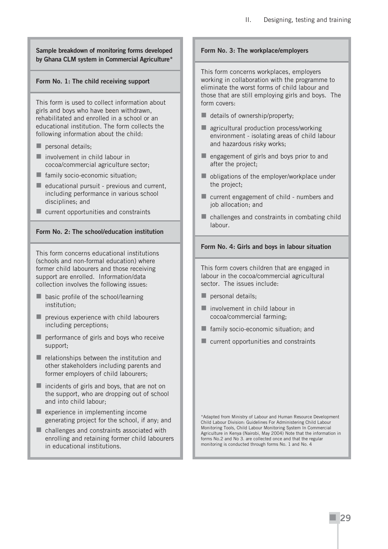#### **Sample breakdown of monitoring forms developed by Ghana CLM system in Commercial Agriculture\***

#### **Form No. 1: The child receiving support**

This form is used to collect information about girls and boys who have been withdrawn, rehabilitated and enrolled in a school or an educational institution. The form collects the following information about the child:

- personal details;
- **I** involvement in child labour in cocoa/commercial agriculture sector;
- $\blacksquare$  family socio-economic situation:
- $\blacksquare$  educational pursuit previous and current, including performance in various school disciplines; and
- **EX CURRENT CURRENT** current opportunities and constraints

#### **Form No. 2: The school/education institution**

This form concerns educational institutions (schools and non-formal education) where former child labourers and those receiving support are enrolled. Information/data collection involves the following issues:

- **basic profile of the school/learning** institution;
- **Paramers** previous experience with child labourers including perceptions;
- **Parager** performance of girls and boys who receive support;
- $\blacksquare$  relationships between the institution and other stakeholders including parents and former employers of child labourers;
- $\blacksquare$  incidents of girls and boys, that are not on the support, who are dropping out of school and into child labour;
- $\blacksquare$  experience in implementing income generating project for the school, if any; and
- challenges and constraints associated with enrolling and retaining former child labourers in educational institutions.

#### **Form No. 3: The workplace/employers**

This form concerns workplaces, employers working in collaboration with the programme to eliminate the worst forms of child labour and those that are still employing girls and boys. The form covers:

- details of ownership/property;
- **agricultural production process/working** environment - isolating areas of child labour and hazardous risky works;
- $\blacksquare$  engagement of girls and boys prior to and after the project;
- obligations of the employer/workplace under the project;
- current engagement of child numbers and job allocation; and
- challenges and constraints in combating child labour.

#### **Form No. 4: Girls and boys in labour situation**

This form covers children that are engaged in labour in the cocoa/commercial agricultural sector. The issues include:

- personal details;
- $\blacksquare$  involvement in child labour in cocoa/commercial farming;
- **F** family socio-economic situation; and
- **E** current opportunities and constraints

\*Adapted from Ministry of Labour and Human Resource Development Child Labour Division: Guidelines For Administering Child Labour Monitoring Tools, Child Labour Monitoring System In Commercial Agriculture in Kenya (Nairobi, May 2004) Note that the information in forms No.2 and No 3. are collected once and that the regular monitoring is conducted through forms No. 1 and No. 4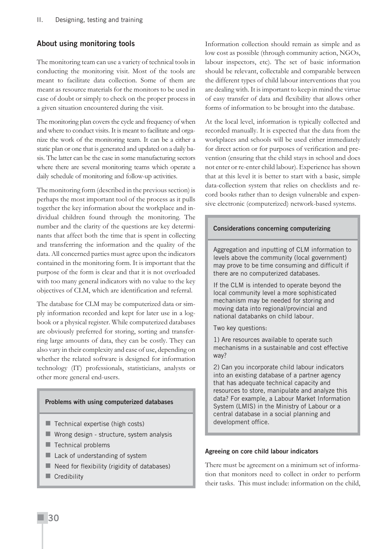#### **About using monitoring tools**

The monitoring team can use a variety of technical tools in conducting the monitoring visit. Most of the tools are meant to facilitate data collection. Some of them are meant as resource materials for the monitors to be used in case of doubt or simply to check on the proper process in a given situation encountered during the visit.

The monitoring plan covers the cycle and frequency of when and where to conduct visits. It is meant to facilitate and organize the work of the monitoring team. It can be a either a static plan or one that is generated and updated on a daily basis. The latter can be the case in some manufacturing sectors where there are several monitoring teams which operate a daily schedule of monitoring and follow-up activities.

The monitoring form (described in the previous section) is perhaps the most important tool of the process as it pulls together the key information about the workplace and individual children found through the monitoring. The number and the clarity of the questions are key determinants that affect both the time that is spent in collecting and transferring the information and the quality of the data. All concerned parties must agree upon the indicators contained in the monitoring form. It is important that the purpose of the form is clear and that it is not overloaded with too many general indicators with no value to the key objectives of CLM, which are identification and referral.

The database for CLM may be computerized data or simply information recorded and kept for later use in a logbook or a physical register. While computerized databases are obviously preferred for storing, sorting and transferring large amounts of data, they can be costly. They can also vary in their complexity and ease of use, depending on whether the related software is designed for information technology (IT) professionals, statisticians, analysts or other more general end-users.

#### **Problems with using computerized databases**

- $\blacksquare$  Technical expertise (high costs)
- $\blacksquare$  Wrong design structure, system analysis
- $\blacksquare$  Technical problems
- Lack of understanding of system
- $\blacksquare$  Need for flexibility (rigidity of databases)
- Credibility

Information collection should remain as simple and as low cost as possible (through community action, NGOs, labour inspectors, etc). The set of basic information should be relevant, collectable and comparable between the different types of child labour interventions that you are dealing with. It is important to keep in mind the virtue of easy transfer of data and flexibility that allows other forms of information to be brought into the database.

At the local level, information is typically collected and recorded manually. It is expected that the data from the workplaces and schools will be used either immediately for direct action or for purposes of verification and prevention (ensuring that the child stays in school and does not enter or re-enter child labour). Experience has shown that at this level it is better to start with a basic, simple data-collection system that relies on checklists and record books rather than to design vulnerable and expensive electronic (computerized) network-based systems.

#### **Considerations concerning computerizing**

Aggregation and inputting of CLM information to levels above the community (local government) may prove to be time consuming and difficult if there are no computerized databases.

If the CLM is intended to operate beyond the local community level a more sophisticated mechanism may be needed for storing and moving data into regional/provincial and national databanks on child labour.

Two key questions:

1) Are resources available to operate such mechanisms in a sustainable and cost effective way?

2) Can you incorporate child labour indicators into an existing database of a partner agency that has adequate technical capacity and resources to store, manipulate and analyze this data? For example, a Labour Market Information System (LMIS) in the Ministry of Labour or a central database in a social planning and development office.

#### **Agreeing on core child labour indicators**

There must be agreement on a minimum set of information that monitors need to collect in order to perform their tasks. This must include: information on the child,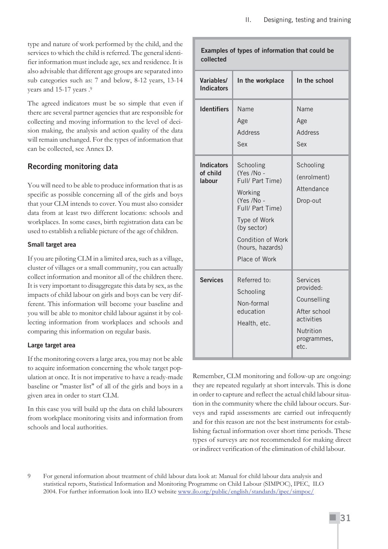type and nature of work performed by the child, and the services to which the child is referred. The general identifier information must include age, sex and residence. It is also advisable that different age groups are separated into sub categories such as: 7 and below, 8-12 years, 13-14 years and 15-17 years .9

The agreed indicators must be so simple that even if there are several partner agencies that are responsible for collecting and moving information to the level of decision making, the analysis and action quality of the data will remain unchanged. For the types of information that can be collected, see Annex D.

## **Recording monitoring data**

You will need to be able to produce information that is as specific as possible concerning all of the girls and boys that your CLM intends to cover. You must also consider data from at least two different locations: schools and workplaces. In some cases, birth registration data can be used to establish a reliable picture of the age of children.

#### **Small target area**

If you are piloting CLM in a limited area, such as a village, cluster of villages or a small community, you can actually collect information and monitor all of the children there. It is very important to disaggregate this data by sex, as the impacts of child labour on girls and boys can be very different. This information will become your baseline and you will be able to monitor child labour against it by collecting information from workplaces and schools and comparing this information on regular basis.

#### **Large target area**

If the monitoring covers a large area, you may not be able to acquire information concerning the whole target population at once. It is not imperative to have a ready-made baseline or "master list" of all of the girls and boys in a given area in order to start CLM.

In this case you will build up the data on child labourers from workplace monitoring visits and information from schools and local authorities.

| Examples of types of information that could be<br>collected |                                                                                                                                                                                          |                                                                                                               |  |  |
|-------------------------------------------------------------|------------------------------------------------------------------------------------------------------------------------------------------------------------------------------------------|---------------------------------------------------------------------------------------------------------------|--|--|
| Variables/<br><b>Indicators</b>                             | In the workplace                                                                                                                                                                         | In the school                                                                                                 |  |  |
| <b>Identifiers</b>                                          | <b>Name</b><br>Age<br><b>Address</b><br>Sex                                                                                                                                              | <b>Name</b><br>Age<br><b>Address</b><br>Sex                                                                   |  |  |
| <b>Indicators</b><br>of child<br>labour                     | Schooling<br>(Yes /No -<br>Full/ Part Time)<br>Working<br>(Yes /No -<br>Full/ Part Time)<br>Type of Work<br>(by sector)<br><b>Condition of Work</b><br>(hours, hazards)<br>Place of Work | Schooling<br>(enrolment)<br>Attendance<br>Drop-out                                                            |  |  |
| <b>Services</b>                                             | Referred to:<br>Schooling<br>Non-formal<br>education<br>Health, etc.                                                                                                                     | <b>Services</b><br>provided:<br>Counselling<br>After school<br>activities<br>Nutrition<br>programmes,<br>etc. |  |  |

Remember, CLM monitoring and follow-up are ongoing: they are repeated regularly at short intervals. This is done in order to capture and reflect the actual child labour situation in the community where the child labour occurs. Surveys and rapid assessments are carried out infrequently and for this reason are not the best instruments for establishing factual information over short time periods. These types of surveys are not recommended for making direct or indirect verification of the elimination of child labour.

9 For general information about treatment of child labour data look at: Manual for child labour data analysis and statistical reports, Statistical Information and Monitoring Programme on Child Labour (SIMPOC), IPEC, ILO 2004. For further information look into ILO website www.ilo.org/public/english/standards/ipec/simpoc/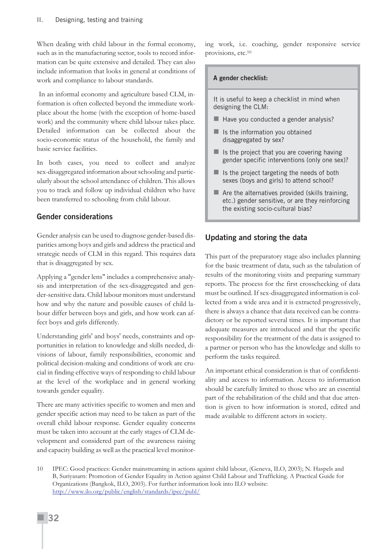When dealing with child labour in the formal economy, such as in the manufacturing sector, tools to record information can be quite extensive and detailed. They can also include information that looks in general at conditions of work and compliance to labour standards.

In an informal economy and agriculture based CLM, information is often collected beyond the immediate workplace about the home (with the exception of home-based work) and the community where child labour takes place. Detailed information can be collected about the socio-economic status of the household, the family and basic service facilities.

In both cases, you need to collect and analyze sex-disaggregated information about schooling and particularly about the school attendance of children. This allows you to track and follow up individual children who have been transferred to schooling from child labour.

#### **Gender considerations**

Gender analysis can be used to diagnose gender-based disparities among boys and girls and address the practical and strategic needs of CLM in this regard. This requires data that is disaggregated by sex.

Applying a "gender lens" includes a comprehensive analysis and interpretation of the sex-disaggregated and gender-sensitive data. Child labour monitors must understand how and why the nature and possible causes of child labour differ between boys and girls, and how work can affect boys and girls differently.

Understanding girls' and boys' needs, constraints and opportunities in relation to knowledge and skills needed, divisions of labour, family responsibilities, economic and political decision-making and conditions of work are crucial in finding effective ways of responding to child labour at the level of the workplace and in general working towards gender equality.

There are many activities specific to women and men and gender specific action may need to be taken as part of the overall child labour response. Gender equality concerns must be taken into account at the early stages of CLM development and considered part of the awareness raising and capacity building as well as the practical level monitoring work, i.e. coaching, gender responsive service provisions, etc.10

#### **A gender checklist:**

It is useful to keep a checklist in mind when designing the CLM:

- $\blacksquare$  Have you conducted a gender analysis?
- $\blacksquare$  Is the information you obtained disaggregated by sex?
- $\blacksquare$  Is the project that you are covering having gender specific interventions (only one sex)?
- $\blacksquare$  Is the project targeting the needs of both sexes (boys and girls) to attend school?
- $\blacksquare$  Are the alternatives provided (skills training, etc.) gender sensitive, or are they reinforcing the existing socio-cultural bias?

#### **Updating and storing the data**

This part of the preparatory stage also includes planning for the basic treatment of data, such as the tabulation of results of the monitoring visits and preparing summary reports. The process for the first crosschecking of data must be outlined. If sex-disaggregated information is collected from a wide area and it is extracted progressively, there is always a chance that data received can be contradictory or be reported several times. It is important that adequate measures are introduced and that the specific responsibility for the treatment of the data is assigned to a partner or person who has the knowledge and skills to perform the tasks required.

An important ethical consideration is that of confidentiality and access to information. Access to information should be carefully limited to those who are an essential part of the rehabilitation of the child and that due attention is given to how information is stored, edited and made available to different actors in society.

<sup>10</sup> IPEC: Good practices: Gender mainstreaming in actions against child labour, (Geneva, ILO, 2003); N. Haspels and B, Suriyasarn: Promotion of Gender Equality in Action against Child Labour and Trafficking. A Practical Guide for Organizations (Bangkok, ILO, 2003). For further information look into ILO website: http://www.ilo.org/public/english/standards/ipec/publ/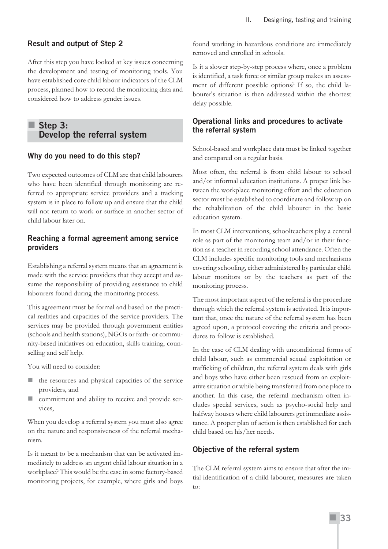#### **Result and output of Step 2**

After this step you have looked at key issues concerning the development and testing of monitoring tools. You have established core child labour indicators of the CLM process, planned how to record the monitoring data and considered how to address gender issues.

## ■ Step 3: **Develop the referral system**

#### **Why do you need to do this step?**

Two expected outcomes of CLM are that child labourers who have been identified through monitoring are referred to appropriate service providers and a tracking system is in place to follow up and ensure that the child will not return to work or surface in another sector of child labour later on.

#### **Reaching a formal agreement among service providers**

Establishing a referral system means that an agreement is made with the service providers that they accept and assume the responsibility of providing assistance to child labourers found during the monitoring process.

This agreement must be formal and based on the practical realities and capacities of the service providers. The services may be provided through government entities (schools and health stations), NGOs or faith- or community-based initiatives on education, skills training, counselling and self help.

You will need to consider:

- the resources and physical capacities of the service providers, and
- commitment and ability to receive and provide services,

When you develop a referral system you must also agree on the nature and responsiveness of the referral mechanism.

Is it meant to be a mechanism that can be activated immediately to address an urgent child labour situation in a workplace? This would be the case in some factory-based monitoring projects, for example, where girls and boys found working in hazardous conditions are immediately removed and enrolled in schools.

Is it a slower step-by-step process where, once a problem is identified, a task force or similar group makes an assessment of different possible options? If so, the child labourer's situation is then addressed within the shortest delay possible.

### **Operational links and procedures to activate the referral system**

School-based and workplace data must be linked together and compared on a regular basis.

Most often, the referral is from child labour to school and/or informal education institutions. A proper link between the workplace monitoring effort and the education sector must be established to coordinate and follow up on the rehabilitation of the child labourer in the basic education system.

In most CLM interventions, schoolteachers play a central role as part of the monitoring team and/or in their function as a teacher in recording school attendance. Often the CLM includes specific monitoring tools and mechanisms covering schooling, either administered by particular child labour monitors or by the teachers as part of the monitoring process.

The most important aspect of the referral is the procedure through which the referral system is activated. It is important that, once the nature of the referral system has been agreed upon, a protocol covering the criteria and procedures to follow is established.

In the case of CLM dealing with unconditional forms of child labour, such as commercial sexual exploitation or trafficking of children, the referral system deals with girls and boys who have either been rescued from an exploitative situation or while being transferred from one place to another. In this case, the referral mechanism often includes special services, such as psycho-social help and halfway houses where child labourers get immediate assistance. A proper plan of action is then established for each child based on his/her needs.

#### **Objective of the referral system**

The CLM referral system aims to ensure that after the initial identification of a child labourer, measures are taken to: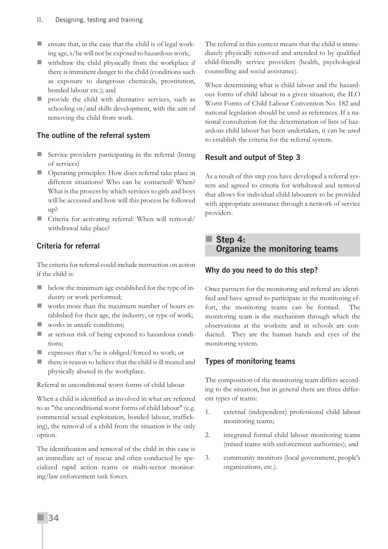- ensure that, in the case that the child is of legal working age, s/he will not be exposed to hazardous work;
- $\blacksquare$  withdraw the child physically from the workplace if there is imminent danger to the child (conditions such as exposure to dangerous chemicals, prostitution, bonded labour etc.); and
- provide the child with alternative services, such as schooling or/and skills development, with the aim of removing the child from work.

## **The outline of the referral system**

- Service providers participating in the referral (listing of services)
- **Depending principles:** How does referral take place in different situations? Who can be contacted? When? What is the process by which services to girls and boys will be accessed and how will this process be followed up?
- Criteria for activating referral: When will removal/ withdrawal take place?

## **Criteria for referral**

The criteria for referral could include instruction on action if the child is:

- **D** below the minimum age established for the type of industry or work performed;
- **Now** works more than the maximum number of hours established for their age, the industry, or type of work;
- works in unsafe conditions;
- at serious risk of being exposed to hazardous conditions;
- expresses that s/he is obliged/forced to work; or
- there is reason to believe that the child is ill treated and physically abused in the workplace.

Referral in unconditional worst forms of child labour

When a child is identified as involved in what are referred to as "the unconditional worst forms of child labour" (e.g. commercial sexual exploitation, bonded labour, trafficking), the removal of a child from the situation is the only option.

The identification and removal of the child in this case is an immediate act of rescue and often conducted by specialized rapid action teams or multi-sector monitoring/law enforcement task forces.

The referral in this context means that the child is immediately physically removed and attended to by qualified child-friendly service providers (health, psychological counselling and social assistance).

When determining what is child labour and the hazardous forms of child labour in a given situation, the ILO Worst Forms of Child Labour Convention No. 182 and national legislation should be used as references. If a national consultation for the determination of lists of hazardous child labour has been undertaken, it can be used to establish the criteria for the referral system.

## **Result and output of Step 3**

As a result of this step you have developed a referral system and agreed to criteria for withdrawal and removal that allows for individual child labourers to be provided with appropriate assistance through a network of service providers.

 **Step 4: Organize the monitoring teams**

## **Why do you need to do this step?**

Once partners for the monitoring and referral are identified and have agreed to participate in the monitoring effort, the monitoring teams can be formed. The monitoring team is the mechanism through which the observations at the worksite and in schools are conducted. They are the human hands and eyes of the monitoring system.

## **Types of monitoring teams**

The composition of the monitoring team differs according to the situation, but in general there are three different types of teams:

- 1. external (independent) professional child labour monitoring teams;
- 2. integrated formal child labour monitoring teams (mixed teams with enforcement authorities); and
- 3. community monitors (local government, people's organizations, etc.).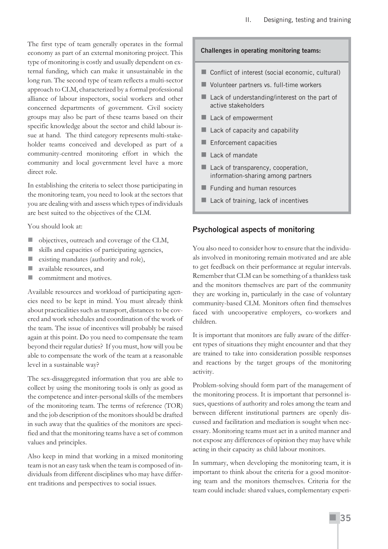The first type of team generally operates in the formal economy as part of an external monitoring project. This type of monitoring is costly and usually dependent on external funding, which can make it unsustainable in the long run. The second type of team reflects a multi-sector approach to CLM, characterized by a formal professional alliance of labour inspectors, social workers and other concerned departments of government. Civil society groups may also be part of these teams based on their specific knowledge about the sector and child labour issue at hand. The third category represents multi-stakeholder teams conceived and developed as part of a community-centred monitoring effort in which the community and local government level have a more direct role.

In establishing the criteria to select those participating in the monitoring team, you need to look at the sectors that you are dealing with and assess which types of individuals are best suited to the objectives of the CLM.

You should look at:

- $\blacksquare$  objectives, outreach and coverage of the CLM,
- skills and capacities of participating agencies,
- **E** existing mandates (authority and role),
- available resources, and
- **Commitment and motives.**

Available resources and workload of participating agencies need to be kept in mind. You must already think about practicalities such as transport, distances to be covered and work schedules and coordination of the work of the team. The issue of incentives will probably be raised again at this point. Do you need to compensate the team beyond their regular duties? If you must, how will you be able to compensate the work of the team at a reasonable level in a sustainable way?

The sex-disaggregated information that you are able to collect by using the monitoring tools is only as good as the competence and inter-personal skills of the members of the monitoring team. The terms of reference (TOR) and the job description of the monitors should be drafted in such away that the qualities of the monitors are specified and that the monitoring teams have a set of common values and principles.

Also keep in mind that working in a mixed monitoring team is not an easy task when the team is composed of individuals from different disciplines who may have different traditions and perspectives to social issues.

#### **Challenges in operating monitoring teams:**

- Conflict of interest (social economic, cultural)
- Volunteer partners vs. full-time workers
- Lack of understanding/interest on the part of active stakeholders
- Lack of empowerment
- Lack of capacity and capability
- Enforcement capacities
- $\blacksquare$  Lack of mandate
- Lack of transparency, cooperation, information-sharing among partners
- Funding and human resources
- Lack of training, lack of incentives

#### **Psychological aspects of monitoring**

You also need to consider how to ensure that the individuals involved in monitoring remain motivated and are able to get feedback on their performance at regular intervals. Remember that CLM can be something of a thankless task and the monitors themselves are part of the community they are working in, particularly in the case of voluntary community-based CLM. Monitors often find themselves faced with uncooperative employers, co-workers and children.

It is important that monitors are fully aware of the different types of situations they might encounter and that they are trained to take into consideration possible responses and reactions by the target groups of the monitoring activity.

Problem-solving should form part of the management of the monitoring process. It is important that personnel issues, questions of authority and roles among the team and between different institutional partners are openly discussed and facilitation and mediation is sought when necessary. Monitoring teams must act in a united manner and not expose any differences of opinion they may have while acting in their capacity as child labour monitors.

In summary, when developing the monitoring team, it is important to think about the criteria for a good monitoring team and the monitors themselves. Criteria for the team could include: shared values, complementary experi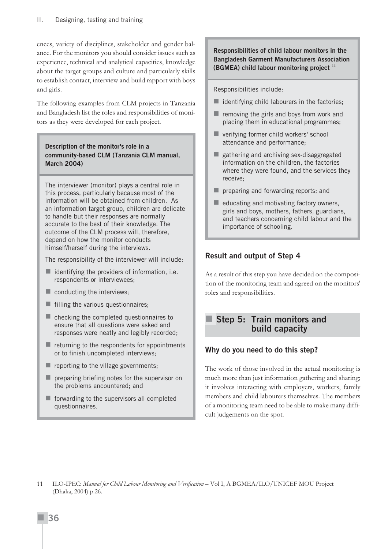ences, variety of disciplines, stakeholder and gender balance. For the monitors you should consider issues such as experience, technical and analytical capacities, knowledge about the target groups and culture and particularly skills to establish contact, interview and build rapport with boys and girls.

The following examples from CLM projects in Tanzania and Bangladesh list the roles and responsibilities of monitors as they were developed for each project.

#### **Description of the monitor's role in a community-based CLM (Tanzania CLM manual, March 2004)**

The interviewer (monitor) plays a central role in this process, particularly because most of the information will be obtained from children. As an information target group, children are delicate to handle but their responses are normally accurate to the best of their knowledge. The outcome of the CLM process will, therefore, depend on how the monitor conducts himself/herself during the interviews.

The responsibility of the interviewer will include:

- $\blacksquare$  identifying the providers of information, i.e. respondents or interviewees;
- $\blacksquare$  conducting the interviews;
- $\blacksquare$  filling the various questionnaires;
- $\blacksquare$  checking the completed questionnaires to ensure that all questions were asked and responses were neatly and legibly recorded;
- $\blacksquare$  returning to the respondents for appointments or to finish uncompleted interviews;
- $\blacksquare$  reporting to the village governments;
- **P** preparing briefing notes for the supervisor on the problems encountered; and
- $\blacksquare$  forwarding to the supervisors all completed questionnaires.

**Responsibilities of child labour monitors in the Bangladesh Garment Manufacturers Association (BGMEA) child labour monitoring project <sup>11</sup>**

Responsibilities include:

- $\blacksquare$  identifying child labourers in the factories;
- $\blacksquare$  removing the girls and boys from work and placing them in educational programmes;
- verifying former child workers' school attendance and performance;
- gathering and archiving sex-disaggregated information on the children, the factories where they were found, and the services they receive;
- **P** preparing and forwarding reports; and
- $\blacksquare$  educating and motivating factory owners, girls and boys, mothers, fathers, guardians, and teachers concerning child labour and the importance of schooling.

## **Result and output of Step 4**

As a result of this step you have decided on the composition of the monitoring team and agreed on the monitors' roles and responsibilities.

## **Step 5: Train monitors and build capacity**

## **Why do you need to do this step?**

The work of those involved in the actual monitoring is much more than just information gathering and sharing; it involves interacting with employers, workers, family members and child labourers themselves. The members of a monitoring team need to be able to make many difficult judgements on the spot.

11 ILO-IPEC: *Manual for Child Labour Monitoring and Verification* – Vol I, A BGMEA/ILO/UNICEF MOU Project (Dhaka, 2004) p.26.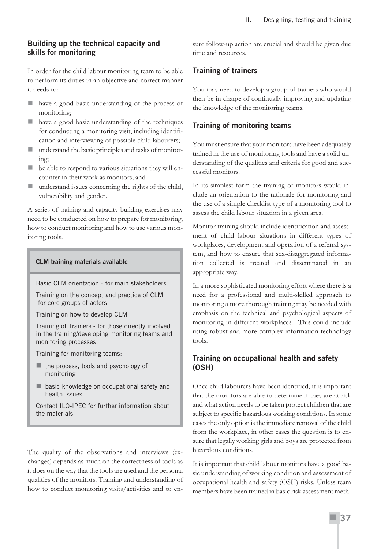#### **Building up the technical capacity and skills for monitoring**

In order for the child labour monitoring team to be able to perform its duties in an objective and correct manner it needs to:

- have a good basic understanding of the process of monitoring;
- have a good basic understanding of the techniques for conducting a monitoring visit, including identification and interviewing of possible child labourers;
- understand the basic principles and tasks of monitoring;
- $\blacksquare$  be able to respond to various situations they will encounter in their work as monitors; and
- understand issues concerning the rights of the child, vulnerability and gender.

A series of training and capacity-building exercises may need to be conducted on how to prepare for monitoring, how to conduct monitoring and how to use various monitoring tools.

#### **CLM training materials available**

Basic CLM orientation - for main stakeholders

Training on the concept and practice of CLM -for core groups of actors

Training on how to develop CLM

Training of Trainers - for those directly involved in the training/developing monitoring teams and monitoring processes

Training for monitoring teams:

- $\blacksquare$  the process, tools and psychology of monitoring
- **basic knowledge on occupational safety and** health issues

Contact ILO-IPEC for further information about the materials

The quality of the observations and interviews (exchanges) depends as much on the correctness of tools as it does on the way that the tools are used and the personal qualities of the monitors. Training and understanding of how to conduct monitoring visits/activities and to ensure follow-up action are crucial and should be given due time and resources.

#### **Training of trainers**

You may need to develop a group of trainers who would then be in charge of continually improving and updating the knowledge of the monitoring teams.

#### **Training of monitoring teams**

You must ensure that your monitors have been adequately trained in the use of monitoring tools and have a solid understanding of the qualities and criteria for good and successful monitors.

In its simplest form the training of monitors would include an orientation to the rationale for monitoring and the use of a simple checklist type of a monitoring tool to assess the child labour situation in a given area.

Monitor training should include identification and assessment of child labour situations in different types of workplaces, development and operation of a referral system, and how to ensure that sex-disaggregated information collected is treated and disseminated in an appropriate way.

In a more sophisticated monitoring effort where there is a need for a professional and multi-skilled approach to monitoring a more thorough training may be needed with emphasis on the technical and psychological aspects of monitoring in different workplaces. This could include using robust and more complex information technology tools.

## **Training on occupational health and safety (OSH)**

Once child labourers have been identified, it is important that the monitors are able to determine if they are at risk and what action needs to be taken protect children that are subject to specific hazardous working conditions. In some cases the only option is the immediate removal of the child from the workplace, in other cases the question is to ensure that legally working girls and boys are protected from hazardous conditions.

It is important that child labour monitors have a good basic understanding of working condition and assessment of occupational health and safety (OSH) risks. Unless team members have been trained in basic risk assessment meth-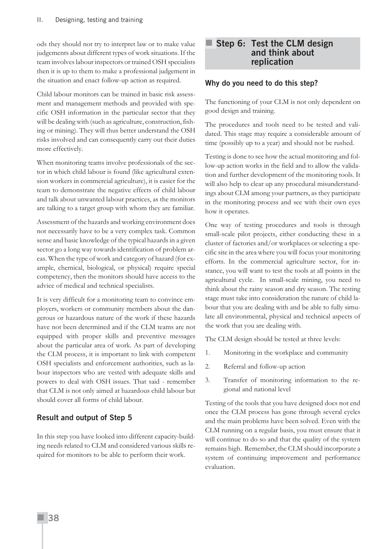ods they should not try to interpret law or to make value judgements about different types of work situations. If the team involves labour inspectors or trained OSH specialists then it is up to them to make a professional judgement in the situation and enact follow-up action as required.

Child labour monitors can be trained in basic risk assessment and management methods and provided with specific OSH information in the particular sector that they will be dealing with (such as agriculture, construction, fishing or mining). They will thus better understand the OSH risks involved and can consequently carry out their duties more effectively.

When monitoring teams involve professionals of the sector in which child labour is found (like agricultural extension workers in commercial agriculture), it is easier for the team to demonstrate the negative effects of child labour and talk about unwanted labour practices, as the monitors are talking to a target group with whom they are familiar.

Assessment of the hazards and working environment does not necessarily have to be a very complex task. Common sense and basic knowledge of the typical hazards in a given sector go a long way towards identification of problem areas. When the type of work and category of hazard (for example, chemical, biological, or physical) require special competency, then the monitors should have access to the advice of medical and technical specialists.

It is very difficult for a monitoring team to convince employers, workers or community members about the dangerous or hazardous nature of the work if these hazards have not been determined and if the CLM teams are not equipped with proper skills and preventive messages about the particular area of work. As part of developing the CLM process, it is important to link with competent OSH specialists and enforcement authorities, such as labour inspectors who are vested with adequate skills and powers to deal with OSH issues. That said - remember that CLM is not only aimed at hazardous child labour but should cover all forms of child labour.

#### **Result and output of Step 5**

In this step you have looked into different capacity-building needs related to CLM and considered various skills required for monitors to be able to perform their work.

### **Step 6: Test the CLM design and think about replication**

#### **Why do you need to do this step?**

The functioning of your CLM is not only dependent on good design and training.

The procedures and tools need to be tested and validated. This stage may require a considerable amount of time (possibly up to a year) and should not be rushed.

Testing is done to see how the actual monitoring and follow-up action works in the field and to allow the validation and further development of the monitoring tools. It will also help to clear up any procedural misunderstandings about CLM among your partners, as they participate in the monitoring process and see with their own eyes how it operates.

One way of testing procedures and tools is through small-scale pilot projects, either conducting these in a cluster of factories and/or workplaces or selecting a specific site in the area where you will focus your monitoring efforts. In the commercial agriculture sector, for instance, you will want to test the tools at all points in the agricultural cycle. In small-scale mining, you need to think about the rainy season and dry season. The testing stage must take into consideration the nature of child labour that you are dealing with and be able to fully simulate all environmental, physical and technical aspects of the work that you are dealing with.

The CLM design should be tested at three levels:

- 1. Monitoring in the workplace and community
- 2. Referral and follow-up action
- 3. Transfer of monitoring information to the regional and national level

Testing of the tools that you have designed does not end once the CLM process has gone through several cycles and the main problems have been solved. Even with the CLM running on a regular basis, you must ensure that it will continue to do so and that the quality of the system remains high. Remember, the CLM should incorporate a system of continuing improvement and performance evaluation.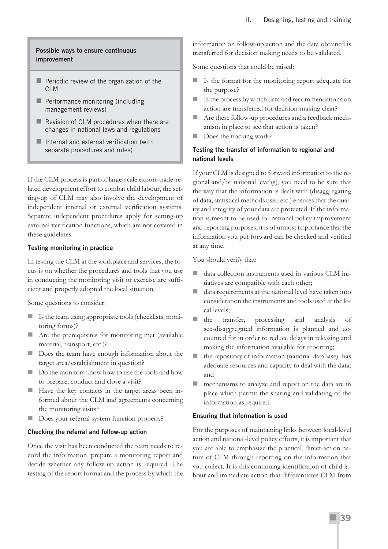#### **Possible ways to ensure continuous improvement**

- $\blacksquare$  Periodic review of the organization of the CLM
- **Performance monitoring (including** management reviews)
- Revision of CLM procedures when there are changes in national laws and regulations
- **Internal and external verification (with** separate procedures and rules)

If the CLM process is part of large-scale export-trade-related development effort to combat child labour, the setting-up of CLM may also involve the development of independent internal or external verification systems. Separate independent procedures apply for setting-up external verification functions, which are not covered in these guidelines.

#### **Testing monitoring in practice**

In testing the CLM at the workplace and services, the focus is on whether the procedures and tools that you use in conducting the monitoring visit or exercise are sufficient and properly adopted the local situation.

Some questions to consider:

- Is the team using appropriate tools (checklists, monitoring forms)?
- Are the prerequisites for monitoring met (available material, transport, etc.)?
- Does the team have enough information about the target area/establishment in question?
- Do the monitors know how to use the tools and how to prepare, conduct and close a visit?
- Have the key contacts in the target areas been informed about the CLM and agreements concerning the monitoring visits?
- Does your referral system function properly?

#### **Checking the referral and follow-up action**

Once the visit has been conducted the team needs to record the information, prepare a monitoring report and decide whether any follow-up action is required. The testing of the report format and the process by which the information on follow-up action and the data obtained is transferred for decision making needs to be validated.

Some questions that could be raised:

- Is the format for the monitoring report adequate for the purpose?
- Is the process by which data and recommendations on action are transferred for decision-making clear?
- Are there follow-up procedures and a feedback mechanism in place to see that action is taken?
- Does the tracking work?

#### **Testing the transfer of information to regional and national levels**

If your CLM is designed to forward information to the regional and/or national level(s), you need to be sure that the way that the information is dealt with (disaggregating of data, statistical methods used etc.) ensures that the quality and integrity of your data are protected. If the information is meant to be used for national policy improvement and reporting purposes, it is of utmost importance that the information you put forward can be checked and verified at any time.

You should verify that:

- data collection instruments used in various CLM initiatives are compatible with each other;
- data requirements at the national level have taken into consideration the instruments and tools used at the local levels;
- the transfer, processing and analysis of sex-disaggregated information is planned and accounted for in order to reduce delays in releasing and making the information available for reporting;
- the repository of information (national database) has adequate resources and capacity to deal with the data; and
- **n** mechanisms to analyze and report on the data are in place which permit the sharing and validating of the information as required.

#### **Ensuring that information is used**

For the purposes of maintaining links between local-level action and national-level policy efforts, it is important that you are able to emphasize the practical, direct-action nature of CLM through reporting on the information that you collect. It is this continuing identification of child labour and immediate action that differentiates CLM from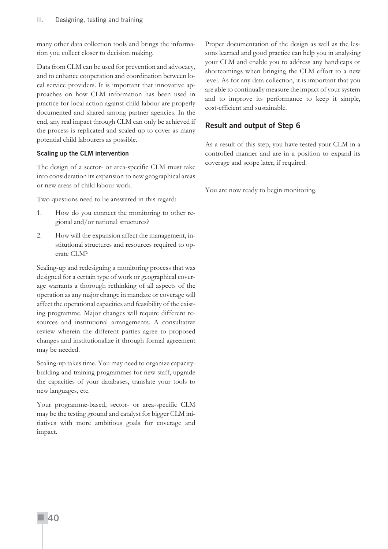many other data collection tools and brings the information you collect closer to decision making.

Data from CLM can be used for prevention and advocacy, and to enhance cooperation and coordination between local service providers. It is important that innovative approaches on how CLM information has been used in practice for local action against child labour are properly documented and shared among partner agencies. In the end, any real impact through CLM can only be achieved if the process is replicated and scaled up to cover as many potential child labourers as possible.

#### **Scaling up the CLM intervention**

The design of a sector- or area-specific CLM must take into consideration its expansion to new geographical areas or new areas of child labour work.

Two questions need to be answered in this regard:

- 1. How do you connect the monitoring to other regional and/or national structures?
- 2. How will the expansion affect the management, institutional structures and resources required to operate CLM?

Scaling-up and redesigning a monitoring process that was designed for a certain type of work or geographical coverage warrants a thorough rethinking of all aspects of the operation as any major change in mandate or coverage will affect the operational capacities and feasibility of the existing programme. Major changes will require different resources and institutional arrangements. A consultative review wherein the different parties agree to proposed changes and institutionalize it through formal agreement may be needed.

Scaling-up takes time. You may need to organize capacitybuilding and training programmes for new staff, upgrade the capacities of your databases, translate your tools to new languages, etc.

Your programme-based, sector- or area-specific CLM may be the testing ground and catalyst for bigger CLM initiatives with more ambitious goals for coverage and impact.

Proper documentation of the design as well as the lessons learned and good practice can help you in analysing your CLM and enable you to address any handicaps or shortcomings when bringing the CLM effort to a new level. As for any data collection, it is important that you are able to continually measure the impact of your system and to improve its performance to keep it simple, cost-efficient and sustainable.

### **Result and output of Step 6**

As a result of this step, you have tested your CLM in a controlled manner and are in a position to expand its coverage and scope later, if required.

You are now ready to begin monitoring.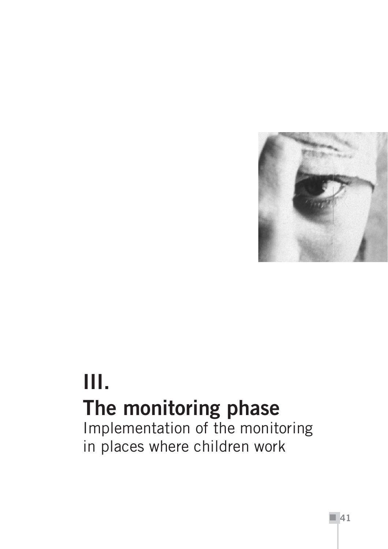

# **III. The monitoring phase**

Implementation of the monitoring in places where children work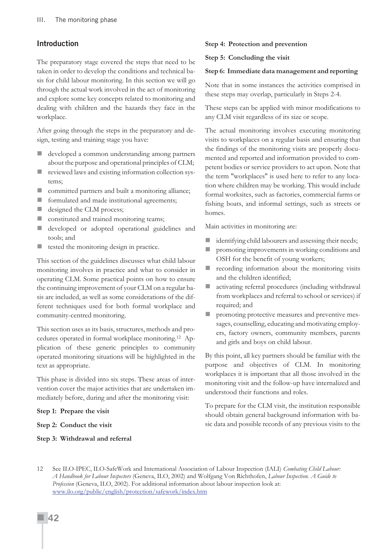#### **Introduction**

The preparatory stage covered the steps that need to be taken in order to develop the conditions and technical basis for child labour monitoring. In this section we will go through the actual work involved in the act of monitoring and explore some key concepts related to monitoring and dealing with children and the hazards they face in the workplace.

After going through the steps in the preparatory and design, testing and training stage you have:

- developed a common understanding among partners about the purpose and operational principles of CLM;
- reviewed laws and existing information collection systems;
- **EXECOMM** committed partners and built a monitoring alliance;
- **formulated and made institutional agreements;**
- eigned the CLM process;
- constituted and trained monitoring teams;
- developed or adopted operational guidelines and tools; and
- $\blacksquare$  tested the monitoring design in practice.

This section of the guidelines discusses what child labour monitoring involves in practice and what to consider in operating CLM. Some practical points on how to ensure the continuing improvement of your CLM on a regular basis are included, as well as some considerations of the different techniques used for both formal workplace and community-centred monitoring.

This section uses as its basis, structures, methods and procedures operated in formal workplace monitoring.12 Application of these generic principles to community operated monitoring situations will be highlighted in the text as appropriate.

This phase is divided into six steps. These areas of intervention cover the major activities that are undertaken immediately before, during and after the monitoring visit:

#### **Step 1: Prepare the visit**

#### **Step 2: Conduct the visit**

#### **Step 3: Withdrawal and referral**

#### **Step 4: Protection and prevention**

#### **Step 5: Concluding the visit**

#### **Step 6: Immediate data management and reporting**

Note that in some instances the activities comprised in these steps may overlap, particularly in Steps 2-4.

These steps can be applied with minor modifications to any CLM visit regardless of its size or scope.

The actual monitoring involves executing monitoring visits to workplaces on a regular basis and ensuring that the findings of the monitoring visits are properly documented and reported and information provided to competent bodies or service providers to act upon. Note that the term "workplaces" is used here to refer to any location where children may be working. This would include formal worksites, such as factories, commercial farms or fishing boats, and informal settings, such as streets or homes.

Main activities in monitoring are:

- identifying child labourers and assessing their needs;
- **P** promoting improvements in working conditions and OSH for the benefit of young workers;
- **recording information about the monitoring visits** and the children identified;
- activating referral procedures (including withdrawal from workplaces and referral to school or services) if required; and
- **P** promoting protective measures and preventive messages, counselling, educating and motivating employers, factory owners, community members, parents and girls and boys on child labour.

By this point, all key partners should be familiar with the purpose and objectives of CLM. In monitoring workplaces it is important that all those involved in the monitoring visit and the follow-up have internalized and understood their functions and roles.

To prepare for the CLM visit, the institution responsible should obtain general background information with basic data and possible records of any previous visits to the

<sup>12</sup> See ILO-IPEC, ILO-SafeWork and International Association of Labour Inspection (IALI) *Combating Child Labour: A Handbook for Labour Inspectors* (Geneva, ILO, 2002) and Wolfgang Von Richthofen, *Labour Inspection. A Guide to Profession* (Geneva, ILO, 2002). For additional information about labour inspection look at: www.ilo.org/public/english/protection/safework/index.htm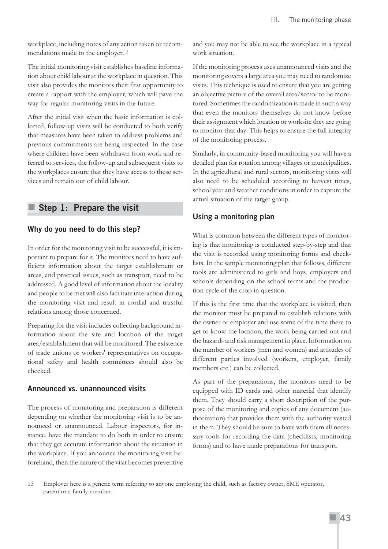workplace, including notes of any action taken or recommendations made to the employer.13

The initial monitoring visit establishes baseline information about child labour at the workplace in question. This visit also provides the monitors their first opportunity to create a rapport with the employer, which will pave the way for regular monitoring visits in the future.

After the initial visit when the basic information is collected, follow-up visits will be conducted to both verify that measures have been taken to address problems and previous commitments are being respected. In the case where children have been withdrawn from work and referred to services, the follow-up and subsequent visits to the workplaces ensure that they have access to these services and remain out of child labour.

## **Step 1: Prepare the visit**

#### **Why do you need to do this step?**

In order for the monitoring visit to be successful, it is important to prepare for it. The monitors need to have sufficient information about the target establishment or areas, and practical issues, such as transport, need to be addressed. A good level of information about the locality and people to be met will also facilitate interaction during the monitoring visit and result in cordial and trustful relations among those concerned.

Preparing for the visit includes collecting background information about the site and location of the target area/establishment that will be monitored. The existence of trade unions or workers' representatives on occupational safety and health committees should also be checked.

#### **Announced vs. unannounced visits**

The process of monitoring and preparation is different depending on whether the monitoring visit is to be announced or unannounced. Labour inspectors, for instance, have the mandate to do both in order to ensure that they get accurate information about the situation in the workplace. If you announce the monitoring visit beforehand, then the nature of the visit becomes preventive and you may not be able to see the workplace in a typical work situation.

If the monitoring process uses unannounced visits and the monitoring covers a large area you may need to randomize visits. This technique is used to ensure that you are getting an objective picture of the overall area/sector to be monitored. Sometimes the randomization is made in such a way that even the monitors themselves do not know before their assignment which location or worksite they are going to monitor that day. This helps to ensure the full integrity of the monitoring process.

Similarly, in community-based monitoring you will have a detailed plan for rotation among villages or municipalities. In the agricultural and rural sectors, monitoring visits will also need to be scheduled according to harvest times, school year and weather conditions in order to capture the actual situation of the target group.

## **Using a monitoring plan**

What is common between the different types of monitoring is that monitoring is conducted step-by-step and that the visit is recorded using monitoring forms and checklists. In the sample monitoring plan that follows, different tools are administered to girls and boys, employers and schools depending on the school terms and the production cycle of the crop in question.

If this is the first time that the workplace is visited, then the monitor must be prepared to establish relations with the owner or employer and use some of the time there to get to know the location, the work being carried out and the hazards and risk management in place. Information on the number of workers (men and women) and attitudes of different parties involved (workers, employer, family members etc.) can be collected.

As part of the preparations, the monitors need to be equipped with ID cards and other material that identify them. They should carry a short description of the purpose of the monitoring and copies of any document (authorization) that provides them with the authority vested in them. They should be sure to have with them all necessary tools for recording the data (checklists, monitoring forms) and to have made preparations for transport.

13 Employer here is a generic term referring to anyone employing the child, such as factory owner, SME operator, parent or a family member.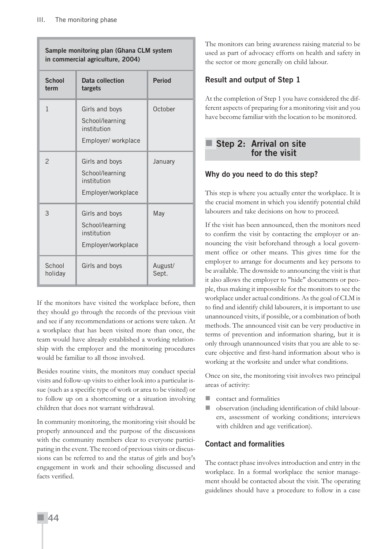| Sample monitoring plan (Ghana CLM system<br>in commercial agriculture, 2004) |                                                                         |                  |  |  |
|------------------------------------------------------------------------------|-------------------------------------------------------------------------|------------------|--|--|
| <b>School</b><br>term                                                        | Data collection<br>targets                                              | <b>Period</b>    |  |  |
| $\mathbf{1}$                                                                 | Girls and boys<br>School/learning<br>institution<br>Employer/ workplace | October          |  |  |
| $\overline{2}$                                                               | Girls and boys<br>School/learning<br>institution<br>Employer/workplace  | January          |  |  |
| 3                                                                            | Girls and boys<br>School/learning<br>institution<br>Employer/workplace  | May              |  |  |
| School<br>holiday                                                            | Girls and boys                                                          | August/<br>Sept. |  |  |

If the monitors have visited the workplace before, then they should go through the records of the previous visit and see if any recommendations or actions were taken. At a workplace that has been visited more than once, the team would have already established a working relationship with the employer and the monitoring procedures would be familiar to all those involved.

Besides routine visits, the monitors may conduct special visits and follow-up visits to either look into a particular issue (such as a specific type of work or area to be visited) or to follow up on a shortcoming or a situation involving children that does not warrant withdrawal.

In community monitoring, the monitoring visit should be properly announced and the purpose of the discussions with the community members clear to everyone participating in the event. The record of previous visits or discussions can be referred to and the status of girls and boy's engagement in work and their schooling discussed and facts verified.

The monitors can bring awareness raising material to be used as part of advocacy efforts on health and safety in the sector or more generally on child labour.

## **Result and output of Step 1**

At the completion of Step 1 you have considered the different aspects of preparing for a monitoring visit and you have become familiar with the location to be monitored.

## **Step 2: Arrival on site for the visit**

## **Why do you need to do this step?**

This step is where you actually enter the workplace. It is the crucial moment in which you identify potential child labourers and take decisions on how to proceed.

If the visit has been announced, then the monitors need to confirm the visit by contacting the employer or announcing the visit beforehand through a local government office or other means. This gives time for the employer to arrange for documents and key persons to be available. The downside to announcing the visit is that it also allows the employer to "hide" documents or people, thus making it impossible for the monitors to see the workplace under actual conditions. As the goal of CLM is to find and identify child labourers, it is important to use unannounced visits, if possible, or a combination of both methods. The announced visit can be very productive in terms of prevention and information sharing, but it is only through unannounced visits that you are able to secure objective and first-hand information about who is working at the worksite and under what conditions.

Once on site, the monitoring visit involves two principal areas of activity:

- contact and formalities
- observation (including identification of child labourers, assessment of working conditions; interviews with children and age verification).

## **Contact and formalities**

The contact phase involves introduction and entry in the workplace. In a formal workplace the senior management should be contacted about the visit. The operating guidelines should have a procedure to follow in a case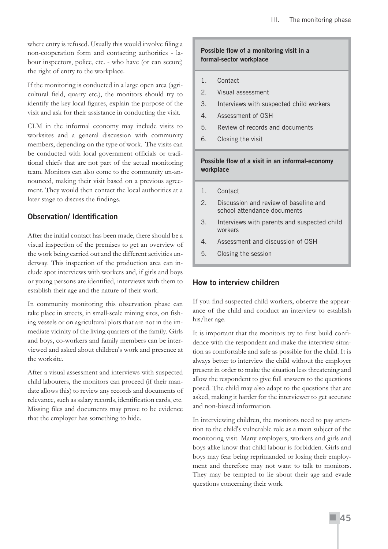where entry is refused. Usually this would involve filing a non-cooperation form and contacting authorities - labour inspectors, police, etc. - who have (or can secure) the right of entry to the workplace.

If the monitoring is conducted in a large open area (agricultural field, quarry etc.), the monitors should try to identify the key local figures, explain the purpose of the visit and ask for their assistance in conducting the visit.

CLM in the informal economy may include visits to worksites and a general discussion with community members, depending on the type of work. The visits can be conducted with local government officials or traditional chiefs that are not part of the actual monitoring team. Monitors can also come to the community un-announced, making their visit based on a previous agreement. They would then contact the local authorities at a later stage to discuss the findings.

## **Observation/ Identification**

After the initial contact has been made, there should be a visual inspection of the premises to get an overview of the work being carried out and the different activities underway. This inspection of the production area can include spot interviews with workers and, if girls and boys or young persons are identified, interviews with them to establish their age and the nature of their work.

In community monitoring this observation phase can take place in streets, in small-scale mining sites, on fishing vessels or on agricultural plots that are not in the immediate vicinity of the living quarters of the family. Girls and boys, co-workers and family members can be interviewed and asked about children's work and presence at the worksite.

After a visual assessment and interviews with suspected child labourers, the monitors can proceed (if their mandate allows this) to review any records and documents of relevance, such as salary records, identification cards, etc. Missing files and documents may prove to be evidence that the employer has something to hide.

#### **Possible flow of a monitoring visit in a formal-sector workplace**

- 1. Contact
- 2. Visual assessment
- 3. Interviews with suspected child workers
- 4. Assessment of OSH
- 5. Review of records and documents
- 6. Closing the visit

#### **Possible flow of a visit in an informal-economy workplace**

- 1. Contact
- 2. Discussion and review of baseline and school attendance documents
- 3. Interviews with parents and suspected child workers
- 4. Assessment and discussion of OSH
- 5. Closing the session

## **How to interview children**

If you find suspected child workers, observe the appearance of the child and conduct an interview to establish his/her age.

It is important that the monitors try to first build confidence with the respondent and make the interview situation as comfortable and safe as possible for the child. It is always better to interview the child without the employer present in order to make the situation less threatening and allow the respondent to give full answers to the questions posed. The child may also adapt to the questions that are asked, making it harder for the interviewer to get accurate and non-biased information.

In interviewing children, the monitors need to pay attention to the child's vulnerable role as a main subject of the monitoring visit. Many employers, workers and girls and boys alike know that child labour is forbidden. Girls and boys may fear being reprimanded or losing their employment and therefore may not want to talk to monitors. They may be tempted to lie about their age and evade questions concerning their work.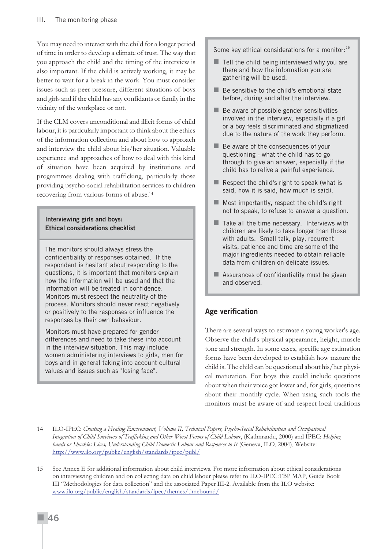You may need to interact with the child for a longer period of time in order to develop a climate of trust. The way that you approach the child and the timing of the interview is also important. If the child is actively working, it may be better to wait for a break in the work. You must consider issues such as peer pressure, different situations of boys and girls and if the child has any confidants or family in the vicinity of the workplace or not.

If the CLM covers unconditional and illicit forms of child labour, it is particularly important to think about the ethics of the information collection and about how to approach and interview the child about his/her situation. Valuable experience and approaches of how to deal with this kind of situation have been acquired by institutions and programmes dealing with trafficking, particularly those providing psycho-social rehabilitation services to children recovering from various forms of abuse.14

#### **Interviewing girls and boys: Ethical considerations checklist**

The monitors should always stress the confidentiality of responses obtained. If the respondent is hesitant about responding to the questions, it is important that monitors explain how the information will be used and that the information will be treated in confidence. Monitors must respect the neutrality of the process. Monitors should never react negatively or positively to the responses or influence the responses by their own behaviour.

Monitors must have prepared for gender differences and need to take these into account in the interview situation. This may include women administering interviews to girls, men for boys and in general taking into account cultural values and issues such as "losing face".

Some key ethical considerations for a monitor:  $15$ 

- $\blacksquare$  Tell the child being interviewed why you are there and how the information you are gathering will be used.
- $\blacksquare$  Be sensitive to the child's emotional state before, during and after the interview.
- $\blacksquare$  Be aware of possible gender sensitivities involved in the interview, especially if a girl or a boy feels discriminated and stigmatized due to the nature of the work they perform.
- Be aware of the consequences of your questioning - what the child has to go through to give an answer, especially if the child has to relive a painful experience.
- $\blacksquare$  Respect the child's right to speak (what is said, how it is said, how much is said).
- $\blacksquare$  Most importantly, respect the child's right not to speak, to refuse to answer a question.
- $\blacksquare$  Take all the time necessary. Interviews with children are likely to take longer than those with adults. Small talk, play, recurrent visits, patience and time are some of the major ingredients needed to obtain reliable data from children on delicate issues.
- Assurances of confidentiality must be given and observed.

## **Age verification**

There are several ways to estimate a young worker's age. Observe the child's physical appearance, height, muscle tone and strength. In some cases, specific age estimation forms have been developed to establish how mature the child is. The child can be questioned about his/her physical maturation. For boys this could include questions about when their voice got lower and, for girls, questions about their monthly cycle. When using such tools the monitors must be aware of and respect local traditions

<sup>14</sup> ILO-IPEC: *Creating a Healing Environment, Volume II, Technical Papers, Psycho-Social Rehabilitation and Occupational Integration of Child Survivors of Trafficking and Other Worst Forms of Child Labour*, (Kathmandu, 2000) and IPEC: *Helping hands or Shackles Lives, Understanding Child Domestic Labour and Responses to It* (Geneva, ILO, 2004), Website: http://www.ilo.org/public/english/standards/ipec/publ/

<sup>15</sup> See Annex E for additional information about child interviews. For more information about ethical considerations on interviewing children and on collecting data on child labour please refer to ILO-IPEC:TBP MAP, Guide Book III "Methodologies for data collection" and the associated Paper III-2. Available from the ILO website: www.ilo.org/public/english/standards/ipec/themes/timebound/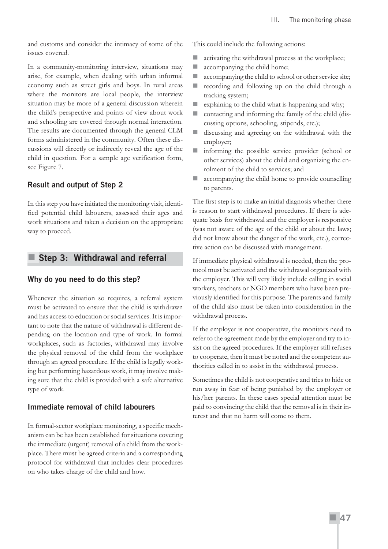and customs and consider the intimacy of some of the issues covered.

In a community-monitoring interview, situations may arise, for example, when dealing with urban informal economy such as street girls and boys. In rural areas where the monitors are local people, the interview situation may be more of a general discussion wherein the child's perspective and points of view about work and schooling are covered through normal interaction. The results are documented through the general CLM forms administered in the community. Often these discussions will directly or indirectly reveal the age of the child in question. For a sample age verification form, see Figure 7.

#### **Result and output of Step 2**

In this step you have initiated the monitoring visit, identified potential child labourers, assessed their ages and work situations and taken a decision on the appropriate way to proceed.

## **Step 3: Withdrawal and referral**

#### **Why do you need to do this step?**

Whenever the situation so requires, a referral system must be activated to ensure that the child is withdrawn and has access to education or social services. It is important to note that the nature of withdrawal is different depending on the location and type of work. In formal workplaces, such as factories, withdrawal may involve the physical removal of the child from the workplace through an agreed procedure. If the child is legally working but performing hazardous work, it may involve making sure that the child is provided with a safe alternative type of work.

#### **Immediate removal of child labourers**

In formal-sector workplace monitoring, a specific mechanism can be has been established for situations covering the immediate (urgent) removal of a child from the workplace. There must be agreed criteria and a corresponding protocol for withdrawal that includes clear procedures on who takes charge of the child and how.

This could include the following actions:

- **activating the withdrawal process at the workplace;**
- **a** accompanying the child home;
- **accompanying the child to school or other service site;**
- recording and following up on the child through a tracking system;
- $\blacksquare$  explaining to the child what is happening and why;
- contacting and informing the family of the child (discussing options, schooling, stipends, etc.);
- discussing and agreeing on the withdrawal with the employer;
- informing the possible service provider (school or other services) about the child and organizing the enrolment of the child to services; and
- **accompanying the child home to provide counselling** to parents.

The first step is to make an initial diagnosis whether there is reason to start withdrawal procedures. If there is adequate basis for withdrawal and the employer is responsive (was not aware of the age of the child or about the laws; did not know about the danger of the work, etc.), corrective action can be discussed with management.

If immediate physical withdrawal is needed, then the protocol must be activated and the withdrawal organized with the employer. This will very likely include calling in social workers, teachers or NGO members who have been previously identified for this purpose. The parents and family of the child also must be taken into consideration in the withdrawal process.

If the employer is not cooperative, the monitors need to refer to the agreement made by the employer and try to insist on the agreed procedures. If the employer still refuses to cooperate, then it must be noted and the competent authorities called in to assist in the withdrawal process.

Sometimes the child is not cooperative and tries to hide or run away in fear of being punished by the employer or his/her parents. In these cases special attention must be paid to convincing the child that the removal is in their interest and that no harm will come to them.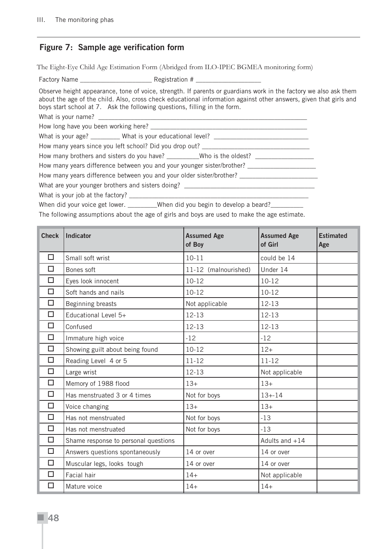## **Figure 7: Sample age verification form**

The Eight-Eye Child Age Estimation Form (Abridged from ILO-IPEC BGMEA monitoring form)

Factory Name **Example 20** Registration #

Observe height appearance, tone of voice, strength. If parents or guardians work in the factory we also ask them about the age of the child. Also, cross check educational information against other answers, given that girls and boys start school at 7. Ask the following questions, filling in the form.

What is your name?

How long have you been working here? \_\_\_\_\_\_\_\_\_\_\_\_\_\_\_\_\_\_\_\_\_\_\_\_\_\_\_\_\_\_\_\_\_\_\_\_\_\_\_\_\_\_\_\_\_\_\_\_

What is your age? \_\_\_\_\_\_\_\_\_ What is your educational level? \_\_\_\_\_\_\_\_\_\_\_\_\_\_\_\_\_\_\_\_

How many years since you left school? Did you drop out? \_\_\_\_\_\_\_\_\_\_\_\_\_\_\_\_\_\_\_\_\_\_\_\_

How many brothers and sisters do you have? \_\_\_\_\_\_\_\_Who is the oldest? \_\_\_\_\_\_\_\_\_\_\_\_\_\_\_\_

How many years difference between you and your younger sister/brother? \_\_\_\_\_\_\_\_\_

How many years difference between you and your older sister/brother?

What are your younger brothers and sisters doing? \_\_\_\_\_\_\_\_\_\_\_\_\_\_\_\_\_\_\_\_\_\_\_\_\_\_\_\_\_\_

What is your job at the factory? \_

When did your voice get lower. \_\_\_\_\_\_\_\_When did you begin to develop a beard? \_\_\_\_\_\_\_\_

The following assumptions about the age of girls and boys are used to make the age estimate.

| <b>Check</b> | Indicator                            | <b>Assumed Age</b><br>of Boy | <b>Assumed Age</b><br>of Girl | <b>Estimated</b><br>Age |
|--------------|--------------------------------------|------------------------------|-------------------------------|-------------------------|
| $\Box$       | Small soft wrist                     | $10 - 11$                    | could be 14                   |                         |
| □            | Bones soft                           | 11-12 (malnourished)         | Under 14                      |                         |
| □            | Eyes look innocent                   | $10-12$                      | $10 - 12$                     |                         |
| $\Box$       | Soft hands and nails                 | $10-12$                      | $10-12$                       |                         |
| □            | Beginning breasts                    | Not applicable               | 12-13                         |                         |
| $\Box$       | Educational Level 5+                 | $12 - 13$                    | $12 - 13$                     |                         |
| $\Box$       | Confused                             | $12 - 13$                    | $12 - 13$                     |                         |
| □            | Immature high voice                  | $-12$                        | $-12$                         |                         |
| $\Box$       | Showing guilt about being found      | $10 - 12$                    | $12+$                         |                         |
| □            | Reading Level 4 or 5                 | $11 - 12$                    | $11 - 12$                     |                         |
| $\Box$       | Large wrist                          | $12 - 13$                    | Not applicable                |                         |
| $\Box$       | Memory of 1988 flood                 | $13+$                        | $13+$                         |                         |
| $\Box$       | Has menstruated 3 or 4 times         | Not for boys                 | $13 + -14$                    |                         |
| □            | Voice changing                       | $13+$                        | $13+$                         |                         |
| $\Box$       | Has not menstruated                  | Not for boys                 | $-13$                         |                         |
| $\Box$       | Has not menstruated                  | Not for boys                 | $-13$                         |                         |
| $\Box$       | Shame response to personal questions |                              | Adults and $+14$              |                         |
| $\Box$       | Answers questions spontaneously      | 14 or over                   | 14 or over                    |                         |
| $\Box$       | Muscular legs, looks tough           | 14 or over                   | 14 or over                    |                         |
| П            | Facial hair                          | $14+$                        | Not applicable                |                         |
| □            | Mature voice                         | $14+$                        | $14+$                         |                         |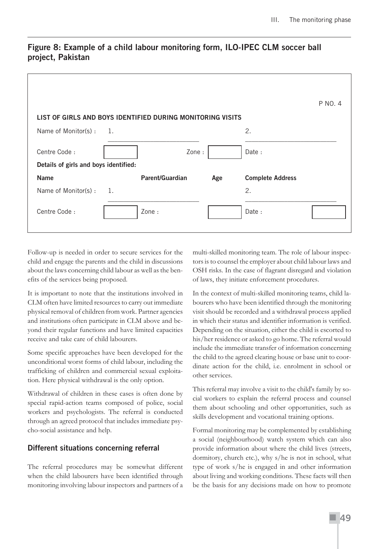|                                                            |                  |                 |     |                         | P NO. 4 |  |  |
|------------------------------------------------------------|------------------|-----------------|-----|-------------------------|---------|--|--|
| LIST OF GIRLS AND BOYS IDENTIFIED DURING MONITORING VISITS |                  |                 |     |                         |         |  |  |
| Name of Monitor(s) :                                       | $\overline{1}$ . |                 |     | 2.                      |         |  |  |
| Centre Code:                                               |                  | Zone:           |     | Date:                   |         |  |  |
| Details of girls and boys identified:                      |                  |                 |     |                         |         |  |  |
| <b>Name</b>                                                |                  | Parent/Guardian | Age | <b>Complete Address</b> |         |  |  |
| Name of Monitor(s) :                                       | 1.               |                 |     | 2.                      |         |  |  |
| Centre Code:                                               |                  | Zone:           |     | Date:                   |         |  |  |

## **Figure 8: Example of a child labour monitoring form, ILO-IPEC CLM soccer ball project, Pakistan**

Follow-up is needed in order to secure services for the child and engage the parents and the child in discussions about the laws concerning child labour as well as the benefits of the services being proposed.

It is important to note that the institutions involved in CLM often have limited resources to carry out immediate physical removal of children from work. Partner agencies and institutions often participate in CLM above and beyond their regular functions and have limited capacities receive and take care of child labourers.

Some specific approaches have been developed for the unconditional worst forms of child labour, including the trafficking of children and commercial sexual exploitation. Here physical withdrawal is the only option.

Withdrawal of children in these cases is often done by special rapid-action teams composed of police, social workers and psychologists. The referral is conducted through an agreed protocol that includes immediate psycho-social assistance and help.

## **Different situations concerning referral**

The referral procedures may be somewhat different when the child labourers have been identified through monitoring involving labour inspectors and partners of a multi-skilled monitoring team. The role of labour inspectors is to counsel the employer about child labour laws and OSH risks. In the case of flagrant disregard and violation of laws, they initiate enforcement procedures.

In the context of multi-skilled monitoring teams, child labourers who have been identified through the monitoring visit should be recorded and a withdrawal process applied in which their status and identifier information is verified. Depending on the situation, either the child is escorted to his/her residence or asked to go home. The referral would include the immediate transfer of information concerning the child to the agreed clearing house or base unit to coordinate action for the child, i.e. enrolment in school or other services.

This referral may involve a visit to the child's family by social workers to explain the referral process and counsel them about schooling and other opportunities, such as skills development and vocational training options.

Formal monitoring may be complemented by establishing a social (neighbourhood) watch system which can also provide information about where the child lives (streets, dormitory, church etc.), why s/he is not in school, what type of work s/he is engaged in and other information about living and working conditions. These facts will then be the basis for any decisions made on how to promote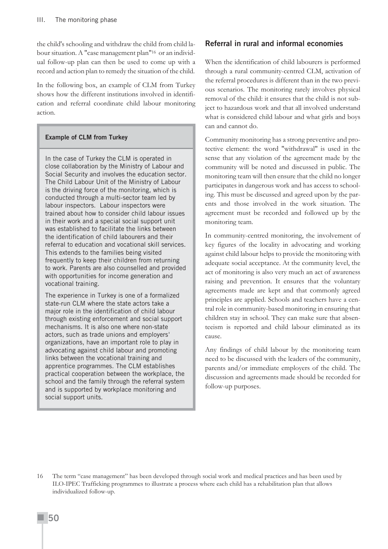the child's schooling and withdraw the child from child labour situation. A "case management plan"16 or an individual follow-up plan can then be used to come up with a record and action plan to remedy the situation of the child.

In the following box, an example of CLM from Turkey shows how the different institutions involved in identification and referral coordinate child labour monitoring action.

#### **Example of CLM from Turkey**

In the case of Turkey the CLM is operated in close collaboration by the Ministry of Labour and Social Security and involves the education sector. The Child Labour Unit of the Ministry of Labour is the driving force of the monitoring, which is conducted through a multi-sector team led by labour inspectors. Labour inspectors were trained about how to consider child labour issues in their work and a special social support unit was established to facilitate the links between the identification of child labourers and their referral to education and vocational skill services. This extends to the families being visited frequently to keep their children from returning to work. Parents are also counselled and provided with opportunities for income generation and vocational training.

The experience in Turkey is one of a formalized state-run CLM where the state actors take a major role in the identification of child labour through existing enforcement and social support mechanisms. It is also one where non-state actors, such as trade unions and employers' organizations, have an important role to play in advocating against child labour and promoting links between the vocational training and apprentice programmes. The CLM establishes practical cooperation between the workplace, the school and the family through the referral system and is supported by workplace monitoring and social support units.

#### **Referral in rural and informal economies**

When the identification of child labourers is performed through a rural community-centred CLM, activation of the referral procedures is different than in the two previous scenarios. The monitoring rarely involves physical removal of the child: it ensures that the child is not subject to hazardous work and that all involved understand what is considered child labour and what girls and boys can and cannot do.

Community monitoring has a strong preventive and protective element: the word "withdrawal" is used in the sense that any violation of the agreement made by the community will be noted and discussed in public. The monitoring team will then ensure that the child no longer participates in dangerous work and has access to schooling. This must be discussed and agreed upon by the parents and those involved in the work situation. The agreement must be recorded and followed up by the monitoring team.

In community-centred monitoring, the involvement of key figures of the locality in advocating and working against child labour helps to provide the monitoring with adequate social acceptance. At the community level, the act of monitoring is also very much an act of awareness raising and prevention. It ensures that the voluntary agreements made are kept and that commonly agreed principles are applied. Schools and teachers have a central role in community-based monitoring in ensuring that children stay in school. They can make sure that absenteeism is reported and child labour eliminated as its cause.

Any findings of child labour by the monitoring team need to be discussed with the leaders of the community, parents and/or immediate employers of the child. The discussion and agreements made should be recorded for follow-up purposes.

<sup>16</sup> The term "case management" has been developed through social work and medical practices and has been used by ILO-IPEC Trafficking programmes to illustrate a process where each child has a rehabilitation plan that allows individualized follow-up.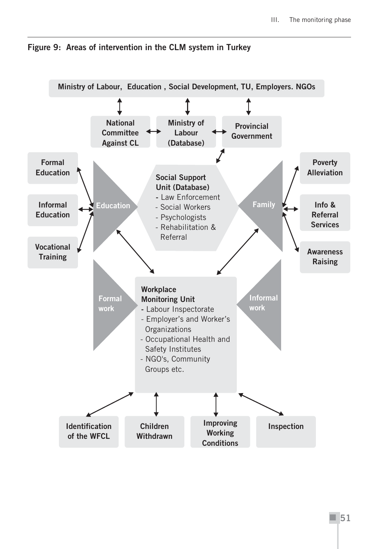

**Figure 9: Areas of intervention in the CLM system in Turkey**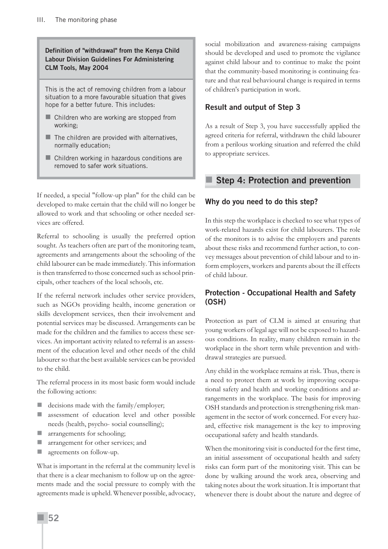**Definition of "withdrawal" from the Kenya Child Labour Division Guidelines For Administering CLM Tools, May 2004**

This is the act of removing children from a labour situation to a more favourable situation that gives hope for a better future. This includes:

- Children who are working are stopped from working;
- $\blacksquare$  The children are provided with alternatives, normally education;
- Children working in hazardous conditions are removed to safer work situations.

If needed, a special "follow-up plan" for the child can be developed to make certain that the child will no longer be allowed to work and that schooling or other needed services are offered.

Referral to schooling is usually the preferred option sought. As teachers often are part of the monitoring team, agreements and arrangements about the schooling of the child labourer can be made immediately. This information is then transferred to those concerned such as school principals, other teachers of the local schools, etc.

If the referral network includes other service providers, such as NGOs providing health, income generation or skills development services, then their involvement and potential services may be discussed. Arrangements can be made for the children and the families to access these services. An important activity related to referral is an assessment of the education level and other needs of the child labourer so that the best available services can be provided to the child.

The referral process in its most basic form would include the following actions:

- $\blacksquare$  decisions made with the family/employer;
- assessment of education level and other possible needs (health, psycho- social counselling);
- **T** arrangements for schooling;
- **T** arrangement for other services; and
- **agreements on follow-up.**

What is important in the referral at the community level is that there is a clear mechanism to follow up on the agreements made and the social pressure to comply with the agreements made is upheld. Whenever possible, advocacy, social mobilization and awareness-raising campaigns should be developed and used to promote the vigilance against child labour and to continue to make the point that the community-based monitoring is continuing feature and that real behavioural change is required in terms of children's participation in work.

## **Result and output of Step 3**

As a result of Step 3, you have successfully applied the agreed criteria for referral, withdrawn the child labourer from a perilous working situation and referred the child to appropriate services.

## **Step 4: Protection and prevention**

#### **Why do you need to do this step?**

In this step the workplace is checked to see what types of work-related hazards exist for child labourers. The role of the monitors is to advise the employers and parents about these risks and recommend further action, to convey messages about prevention of child labour and to inform employers, workers and parents about the ill effects of child labour.

## **Protection - Occupational Health and Safety (OSH)**

Protection as part of CLM is aimed at ensuring that young workers of legal age will not be exposed to hazardous conditions. In reality, many children remain in the workplace in the short term while prevention and withdrawal strategies are pursued.

Any child in the workplace remains at risk. Thus, there is a need to protect them at work by improving occupational safety and health and working conditions and arrangements in the workplace. The basis for improving OSH standards and protection is strengthening risk management in the sector of work concerned. For every hazard, effective risk management is the key to improving occupational safety and health standards.

When the monitoring visit is conducted for the first time, an initial assessment of occupational health and safety risks can form part of the monitoring visit. This can be done by walking around the work area, observing and taking notes about the work situation. It is important that whenever there is doubt about the nature and degree of

**52**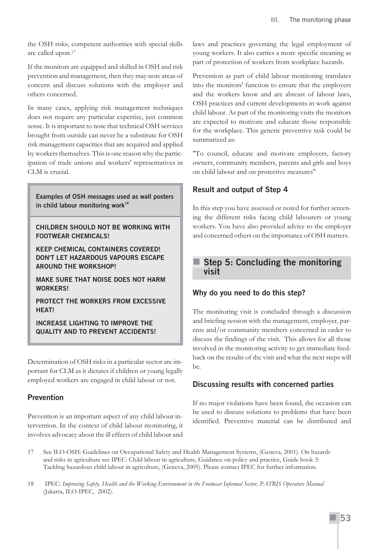the OSH risks, competent authorities with special skills are called upon.17

If the monitors are equipped and skilled in OSH and risk prevention and management, then they may note areas of concern and discuss solutions with the employer and others concerned.

In many cases, applying risk management techniques does not require any particular expertise, just common sense. It is important to note that technical OSH services brought from outside can never be a substitute for OSH risk management capacities that are acquired and applied by workers themselves. This is one reason why the participation of trade unions and workers' representatives in CLM is crucial.

**Examples of OSH messages used as wall posters in child labour monitoring work<sup>18</sup>**

**CHILDREN SHOULD NOT BE WORKING WITH FOOTWEAR CHEMICALS!**

**KEEP CHEMICAL CONTAINERS COVERED! DON'T LET HAZARDOUS VAPOURS ESCAPE AROUND THE WORKSHOP!**

**MAKE SURE THAT NOISE DOES NOT HARM WORKERS!**

**PROTECT THE WORKERS FROM EXCESSIVE HEAT!**

**INCREASE LIGHTING TO IMPROVE THE QUALITY AND TO PREVENT ACCIDENTS!**

Determination of OSH risks in a particular sector are important for CLM as it dictates if children or young legally employed workers are engaged in child labour or not.

## **Prevention**

Prevention is an important aspect of any child labour intervention. In the context of child labour monitoring, it involves advocacy about the ill effects of child labour and laws and practices governing the legal employment of young workers. It also carries a more specific meaning as part of protection of workers from workplace hazards.

Prevention as part of child labour monitoring translates into the monitors' function to ensure that the employers and the workers know and are abreast of labour laws, OSH practices and current developments in work against child labour. As part of the monitoring visits the monitors are expected to motivate and educate those responsible for the workplace. This generic preventive task could be summarized as:

"To council, educate and motivate employers, factory owners, community members, parents and girls and boys on child labour and on protective measures"

## **Result and output of Step 4**

In this step you have assessed or noted for further screening the different risks facing child labourers or young workers. You have also provided advice to the employer and concerned others on the importance of OSH matters.

## **Step 5: Concluding the monitoring visit**

## **Why do you need to do this step?**

The monitoring visit is concluded through a discussion and briefing session with the management, employer, parents and/or community members concerned in order to discuss the findings of the visit. This allows for all those involved in the monitoring activity to get immediate feedback on the results of the visit and what the next steps will be.

## **Discussing results with concerned parties**

If no major violations have been found, the occasion can be used to discuss solutions to problems that have been identified. Preventive material can be distributed and

- 17 See ILO-OSH: Guidelines on Occupational Safety and Health Management Systems, (Geneva, 2001). On hazards and risks in agriculture see IPEC: Child labour in agriculture, Guidance on policy and practice, Guide book 3: Tackling hazardous child labour in agriculture, (Geneva, 2005). Please contact IPEC for further information.
- 18 IPEC: *Improving Safety, Health and the Working Environment in the Footwear Informal Sector, PATRIS Operators Manual* (Jakarta, ILO-IPEC, 2002).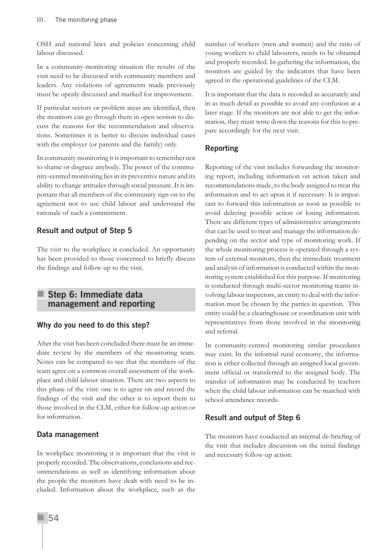OSH and national laws and policies concerning child labour discussed.

In a community-monitoring situation the results of the visit need to be discussed with community members and leaders. Any violations of agreements made previously must be openly discussed and marked for improvement.

If particular sectors or problem areas are identified, then the monitors can go through them in open session to discuss the reasons for the recommendation and observations. Sometimes it is better to discuss individual cases with the employer (or parents and the family) only.

In community monitoring it is important to remember not to shame or disgrace anybody. The power of the community-centred monitoring lies in its preventive nature and its ability to change attitudes through social pressure. It is important that all members of the community sign on to the agreement not to use child labour and understand the rationale of such a commitment.

## **Result and output of Step 5**

The visit to the workplace is concluded. An opportunity has been provided to those concerned to briefly discuss the findings and follow-up to the visit.

## **Step 6: Immediate data management and reporting**

## **Why do you need to do this step?**

After the visit has been concluded there must be an immediate review by the members of the monitoring team. Notes can be compared to see that the members of the team agree on a common overall assessment of the workplace and child labour situation. There are two aspects to this phase of the visit: one is to agree on and record the findings of the visit and the other is to report them to those involved in the CLM, either for follow-up action or for information.

## **Data management**

In workplace monitoring it is important that the visit is properly recorded. The observations, conclusions and recommendations as well as identifying information about the people the monitors have dealt with need to be included. Information about the workplace, such as the

number of workers (men and women) and the ratio of young workers to child labourers, needs to be obtained and properly recorded. In gathering the information, the monitors are guided by the indicators that have been agreed in the operational guidelines of the CLM.

It is important that the data is recorded as accurately and in as much detail as possible to avoid any confusion at a later stage. If the monitors are not able to get the information, they must write down the reasons for this to prepare accordingly for the next visit.

## **Reporting**

Reporting of the visit includes forwarding the monitoring report, including information on action taken and recommendations made, to the body assigned to treat the information and to act upon it if necessary. It is important to forward this information as soon as possible to avoid delaying possible action or losing information. There are different types of administrative arrangements that can be used to treat and manage the information depending on the sector and type of monitoring work. If the whole monitoring process is operated through a system of external monitors, then the immediate treatment and analysis of information is conducted within the monitoring system established for this purpose. If monitoring is conducted through multi-sector monitoring teams involving labour inspectors, an entity to deal with the information must be chosen by the parties in question. This entity could be a clearinghouse or coordination unit with representatives from those involved in the monitoring and referral.

In community-centred monitoring similar procedures may exist. In the informal rural economy, the information is either collected through an assigned local government official or transferred to the assigned body. The transfer of information may be conducted by teachers when the child labour information can be matched with school attendance records.

## **Result and output of Step 6**

The monitors have conducted an internal de-briefing of the visit that includes discussion on the initial findings and necessary follow-up action.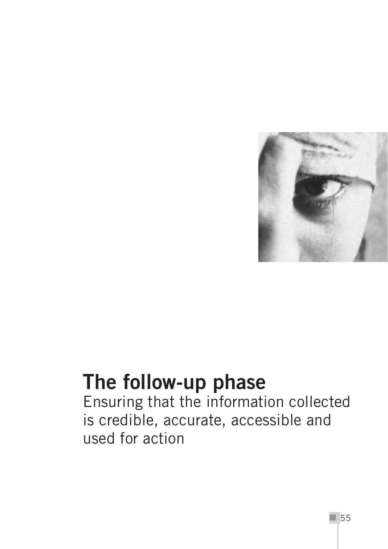

## **The follow-up phase**

Ensuring that the information collected is credible, accurate, accessible and used for action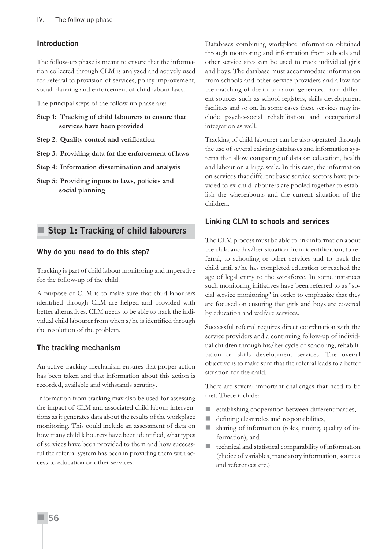#### **Introduction**

The follow-up phase is meant to ensure that the information collected through CLM is analyzed and actively used for referral to provision of services, policy improvement, social planning and enforcement of child labour laws.

The principal steps of the follow-up phase are:

- **Step 1: Tracking of child labourers to ensure that services have been provided**
- **Step 2: Quality control and verification**
- **Step 3: Providing data for the enforcement of laws**
- **Step 4: Information dissemination and analysis**
- **Step 5: Providing inputs to laws, policies and social planning**

## **Step 1: Tracking of child labourers**

#### **Why do you need to do this step?**

Tracking is part of child labour monitoring and imperative for the follow-up of the child.

A purpose of CLM is to make sure that child labourers identified through CLM are helped and provided with better alternatives. CLM needs to be able to track the individual child labourer from when s/he is identified through the resolution of the problem.

#### **The tracking mechanism**

An active tracking mechanism ensures that proper action has been taken and that information about this action is recorded, available and withstands scrutiny.

Information from tracking may also be used for assessing the impact of CLM and associated child labour interventions as it generates data about the results of the workplace monitoring. This could include an assessment of data on how many child labourers have been identified, what types of services have been provided to them and how successful the referral system has been in providing them with access to education or other services.

Databases combining workplace information obtained through monitoring and information from schools and other service sites can be used to track individual girls and boys. The database must accommodate information from schools and other service providers and allow for the matching of the information generated from different sources such as school registers, skills development facilities and so on. In some cases these services may include psycho-social rehabilitation and occupational integration as well.

Tracking of child labourer can be also operated through the use of several existing databases and information systems that allow comparing of data on education, health and labour on a large scale. In this case, the information on services that different basic service sectors have provided to ex-child labourers are pooled together to establish the whereabouts and the current situation of the children.

#### **Linking CLM to schools and services**

The CLM process must be able to link information about the child and his/her situation from identification, to referral, to schooling or other services and to track the child until s/he has completed education or reached the age of legal entry to the workforce. In some instances such monitoring initiatives have been referred to as "social service monitoring" in order to emphasize that they are focused on ensuring that girls and boys are covered by education and welfare services.

Successful referral requires direct coordination with the service providers and a continuing follow-up of individual children through his/her cycle of schooling, rehabilitation or skills development services. The overall objective is to make sure that the referral leads to a better situation for the child.

There are several important challenges that need to be met. These include:

- establishing cooperation between different parties,
- defining clear roles and responsibilities,
- sharing of information (roles, timing, quality of information), and
- $\blacksquare$  technical and statistical comparability of information (choice of variables, mandatory information, sources and references etc.).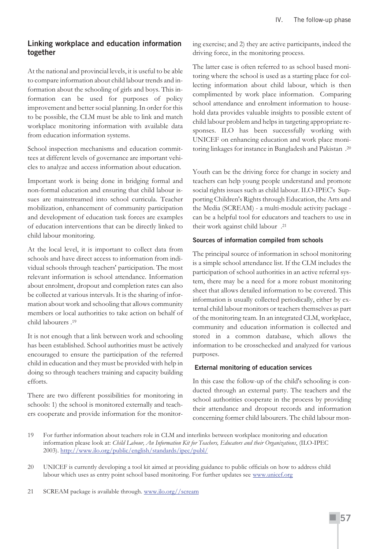## **Linking workplace and education information together**

At the national and provincial levels, it is useful to be able to compare information about child labour trends and information about the schooling of girls and boys. This information can be used for purposes of policy improvement and better social planning. In order for this to be possible, the CLM must be able to link and match workplace monitoring information with available data from education information systems.

School inspection mechanisms and education committees at different levels of governance are important vehicles to analyze and access information about education.

Important work is being done in bridging formal and non-formal education and ensuring that child labour issues are mainstreamed into school curricula. Teacher mobilization, enhancement of community participation and development of education task forces are examples of education interventions that can be directly linked to child labour monitoring.

At the local level, it is important to collect data from schools and have direct access to information from individual schools through teachers' participation. The most relevant information is school attendance. Information about enrolment, dropout and completion rates can also be collected at various intervals. It is the sharing of information about work and schooling that allows community members or local authorities to take action on behalf of child labourers .19

It is not enough that a link between work and schooling has been established. School authorities must be actively encouraged to ensure the participation of the referred child in education and they must be provided with help in doing so through teachers training and capacity building efforts.

There are two different possibilities for monitoring in schools: 1) the school is monitored externally and teachers cooperate and provide information for the monitoring exercise; and 2) they are active participants, indeed the driving force, in the monitoring process.

The latter case is often referred to as school based monitoring where the school is used as a starting place for collecting information about child labour, which is then complimented by work place information. Comparing school attendance and enrolment information to household data provides valuable insights to possible extent of child labour problem and helps in targeting appropriate responses. ILO has been successfully working with UNICEF on enhancing education and work place monitoring linkages for instance in Bangladesh and Pakistan .20

Youth can be the driving force for change in society and teachers can help young people understand and promote social rights issues such as child labour. ILO-IPEC's Supporting Children's Rights through Education, the Arts and the Media (SCREAM) - a multi-module activity package can be a helpful tool for educators and teachers to use in their work against child labour .21

#### **Sources of information compiled from schools**

The principal source of information in school monitoring is a simple school attendance list. If the CLM includes the participation of school authorities in an active referral system, there may be a need for a more robust monitoring sheet that allows detailed information to be covered. This information is usually collected periodically, either by external child labour monitors or teachers themselves as part of the monitoring team. In an integrated CLM, workplace, community and education information is collected and stored in a common database, which allows the information to be crosschecked and analyzed for various purposes.

#### **External monitoring of education services**

In this case the follow-up of the child's schooling is conducted through an external party. The teachers and the school authorities cooperate in the process by providing their attendance and dropout records and information concerning former child labourers. The child labour mon-

<sup>19</sup> For further information about teachers role in CLM and interlinks between workplace monitoring and education information please look at: *Child Labour, An Information Kit for Teachers, Educators and their Organizations*, (ILO-IPEC 2003). http://www.ilo.org/public/english/standards/ipec/publ/

<sup>20</sup> UNICEF is currently developing a tool kit aimed at providing guidance to public officials on how to address child labour which uses as entry point school based monitoring. For further updates see www.unicef.org

<sup>21</sup> SCREAM package is available through. www.ilo.org//scream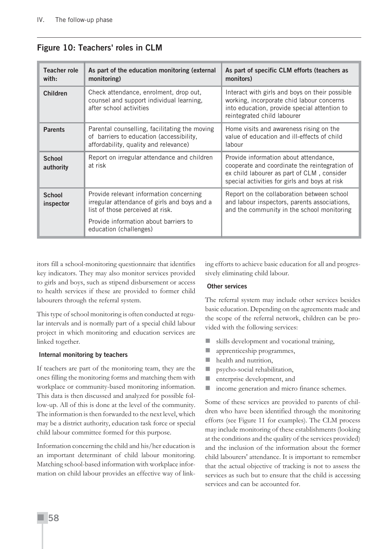| Teacher role<br>with:      | As part of the education monitoring (external<br>monitoring)                                                                                                                                   | As part of specific CLM efforts (teachers as<br>monitors)                                                                                                                             |
|----------------------------|------------------------------------------------------------------------------------------------------------------------------------------------------------------------------------------------|---------------------------------------------------------------------------------------------------------------------------------------------------------------------------------------|
| <b>Children</b>            | Check attendance, enrolment, drop out,<br>counsel and support individual learning,<br>after school activities                                                                                  | Interact with girls and boys on their possible<br>working, incorporate chid labour concerns<br>into education, provide special attention to<br>reintegrated child labourer            |
| <b>Parents</b>             | Parental counselling, facilitating the moving<br>of barriers to education (accessibility,<br>affordability, quality and relevance)                                                             | Home visits and awareness rising on the<br>value of education and ill-effects of child<br>labour                                                                                      |
| <b>School</b><br>authority | Report on irregular attendance and children<br>at risk                                                                                                                                         | Provide information about attendance,<br>cooperate and coordinate the reintegration of<br>ex child labourer as part of CLM, consider<br>special activities for girls and boys at risk |
| <b>School</b><br>inspector | Provide relevant information concerning<br>irregular attendance of girls and boys and a<br>list of those perceived at risk.<br>Provide information about barriers to<br>education (challenges) | Report on the collaboration between school<br>and labour inspectors, parents associations,<br>and the community in the school monitoring                                              |

## **Figure 10: Teachers' roles in CLM**

itors fill a school-monitoring questionnaire that identifies key indicators. They may also monitor services provided to girls and boys, such as stipend disbursement or access to health services if these are provided to former child labourers through the referral system.

This type of school monitoring is often conducted at regular intervals and is normally part of a special child labour project in which monitoring and education services are linked together.

#### **Internal monitoring by teachers**

If teachers are part of the monitoring team, they are the ones filling the monitoring forms and matching them with workplace or community-based monitoring information. This data is then discussed and analyzed for possible follow-up. All of this is done at the level of the community. The information is then forwarded to the next level, which may be a district authority, education task force or special child labour committee formed for this purpose.

Information concerning the child and his/her education is an important determinant of child labour monitoring. Matching school-based information with workplace information on child labour provides an effective way of linking efforts to achieve basic education for all and progressively eliminating child labour.

#### **Other services**

The referral system may include other services besides basic education. Depending on the agreements made and the scope of the referral network, children can be provided with the following services:

- skills development and vocational training,
- **a** apprenticeship programmes,
- **health** and nutrition,
- **psycho-social rehabilitation,**
- **n** enterprise development, and
- income generation and micro finance schemes.

Some of these services are provided to parents of children who have been identified through the monitoring efforts (see Figure 11 for examples). The CLM process may include monitoring of these establishments (looking at the conditions and the quality of the services provided) and the inclusion of the information about the former child labourers' attendance. It is important to remember that the actual objective of tracking is not to assess the services as such but to ensure that the child is accessing services and can be accounted for.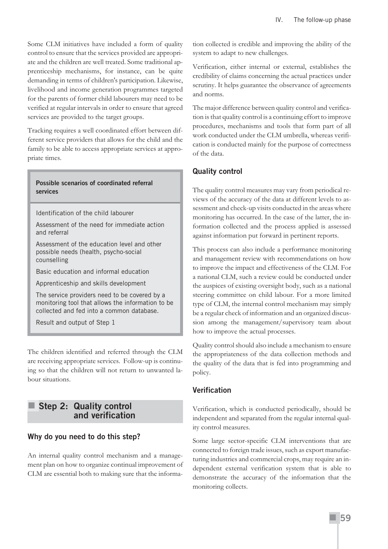Some CLM initiatives have included a form of quality control to ensure that the services provided are appropriate and the children are well treated. Some traditional apprenticeship mechanisms, for instance, can be quite demanding in terms of children's participation. Likewise, livelihood and income generation programmes targeted for the parents of former child labourers may need to be verified at regular intervals in order to ensure that agreed services are provided to the target groups.

Tracking requires a well coordinated effort between different service providers that allows for the child and the family to be able to access appropriate services at appropriate times.

#### **Possible scenarios of coordinated referral services**

Identification of the child labourer

Assessment of the need for immediate action and referral

Assessment of the education level and other possible needs (health, psycho-social counselling

Basic education and informal education

Apprenticeship and skills development

The service providers need to be covered by a monitoring tool that allows the information to be collected and fed into a common database.

Result and output of Step 1

The children identified and referred through the CLM are receiving appropriate services. Follow-up is continuing so that the children will not return to unwanted labour situations.

## **Step 2: Quality control and verification**

## **Why do you need to do this step?**

An internal quality control mechanism and a management plan on how to organize continual improvement of CLM are essential both to making sure that the information collected is credible and improving the ability of the system to adapt to new challenges.

Verification, either internal or external, establishes the credibility of claims concerning the actual practices under scrutiny. It helps guarantee the observance of agreements and norms.

The major difference between quality control and verification is that quality control is a continuing effort to improve procedures, mechanisms and tools that form part of all work conducted under the CLM umbrella, whereas verification is conducted mainly for the purpose of correctness of the data.

## **Quality control**

The quality control measures may vary from periodical reviews of the accuracy of the data at different levels to assessment and check-up visits conducted in the areas where monitoring has occurred. In the case of the latter, the information collected and the process applied is assessed against information put forward in pertinent reports.

This process can also include a performance monitoring and management review with recommendations on how to improve the impact and effectiveness of the CLM. For a national CLM, such a review could be conducted under the auspices of existing oversight body, such as a national steering committee on child labour. For a more limited type of CLM, the internal control mechanism may simply be a regular check of information and an organized discussion among the management/supervisory team about how to improve the actual processes.

Quality control should also include a mechanism to ensure the appropriateness of the data collection methods and the quality of the data that is fed into programming and policy.

## **Verification**

Verification, which is conducted periodically, should be independent and separated from the regular internal quality control measures.

Some large sector-specific CLM interventions that are connected to foreign trade issues, such as export manufacturing industries and commercial crops, may require an independent external verification system that is able to demonstrate the accuracy of the information that the monitoring collects.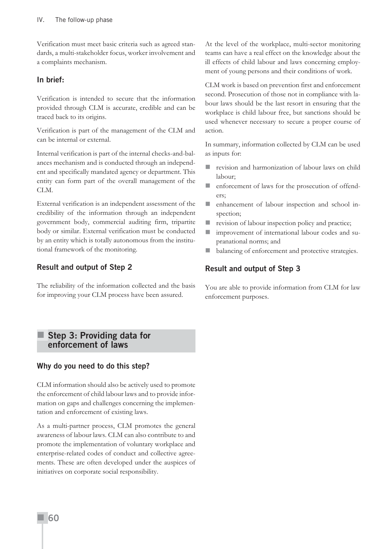Verification must meet basic criteria such as agreed standards, a multi-stakeholder focus, worker involvement and a complaints mechanism.

#### **In brief:**

Verification is intended to secure that the information provided through CLM is accurate, credible and can be traced back to its origins.

Verification is part of the management of the CLM and can be internal or external.

Internal verification is part of the internal checks-and-balances mechanism and is conducted through an independent and specifically mandated agency or department. This entity can form part of the overall management of the CLM.

External verification is an independent assessment of the credibility of the information through an independent government body, commercial auditing firm, tripartite body or similar. External verification must be conducted by an entity which is totally autonomous from the institutional framework of the monitoring.

## **Result and output of Step 2**

The reliability of the information collected and the basis for improving your CLM process have been assured.

At the level of the workplace, multi-sector monitoring teams can have a real effect on the knowledge about the ill effects of child labour and laws concerning employment of young persons and their conditions of work.

CLM work is based on prevention first and enforcement second. Prosecution of those not in compliance with labour laws should be the last resort in ensuring that the workplace is child labour free, but sanctions should be used whenever necessary to secure a proper course of action.

In summary, information collected by CLM can be used as inputs for:

- revision and harmonization of labour laws on child labour;
- **EXECUTE:** enforcement of laws for the prosecution of offenders;
- enhancement of labour inspection and school inspection;
- **revision of labour inspection policy and practice;**
- **I** improvement of international labour codes and supranational norms; and
- balancing of enforcement and protective strategies.

## **Result and output of Step 3**

You are able to provide information from CLM for law enforcement purposes.

#### **Step 3: Providing data for enforcement of laws**

## **Why do you need to do this step?**

CLM information should also be actively used to promote the enforcement of child labour laws and to provide information on gaps and challenges concerning the implementation and enforcement of existing laws.

As a multi-partner process, CLM promotes the general awareness of labour laws. CLM can also contribute to and promote the implementation of voluntary workplace and enterprise-related codes of conduct and collective agreements. These are often developed under the auspices of initiatives on corporate social responsibility.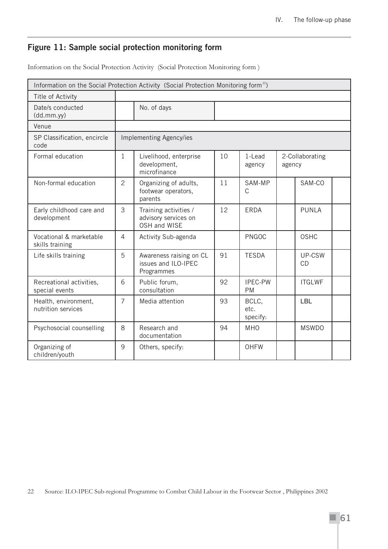## **Figure 11: Sample social protection monitoring form**

Information on the Social Protection Activity (Social Protection Monitoring form )

| Information on the Social Protection Activity (Social Protection Monitoring form <sup>22</sup> ) |                |                                                               |    |                             |                           |                     |  |
|--------------------------------------------------------------------------------------------------|----------------|---------------------------------------------------------------|----|-----------------------------|---------------------------|---------------------|--|
| Title of Activity                                                                                |                |                                                               |    |                             |                           |                     |  |
| Date/s conducted<br>(dd.mm.yy)                                                                   |                | No. of days                                                   |    |                             |                           |                     |  |
| Venue                                                                                            |                |                                                               |    |                             |                           |                     |  |
| SP Classification, encircle<br>code                                                              |                | Implementing Agency/ies                                       |    |                             |                           |                     |  |
| Formal education                                                                                 | 1              | Livelihood, enterprise<br>development,<br>microfinance        | 10 | 1-Lead<br>agency            | 2-Collaborating<br>agency |                     |  |
| Non-formal education                                                                             | $\overline{2}$ | Organizing of adults,<br>footwear operators,<br>parents       | 11 | SAM-MP<br>C                 |                           | SAM-CO              |  |
| Early childhood care and<br>development                                                          | 3              | Training activities /<br>advisory services on<br>OSH and WISE | 12 | <b>ERDA</b>                 |                           | <b>PUNLA</b>        |  |
| Vocational & marketable<br>skills training                                                       | 4              | Activity Sub-agenda                                           |    | <b>PNGOC</b>                |                           | <b>OSHC</b>         |  |
| Life skills training                                                                             | 5              | Awareness raising on CL<br>issues and ILO-IPEC<br>Programmes  | 91 | <b>TESDA</b>                |                           | UP-CSW<br><b>CD</b> |  |
| Recreational activities,<br>special events                                                       | 6              | Public forum,<br>consultation                                 | 92 | <b>IPEC-PW</b><br><b>PM</b> |                           | <b>ITGLWF</b>       |  |
| Health, environment,<br>nutrition services                                                       | $\overline{7}$ | Media attention                                               | 93 | BCLC,<br>etc.<br>specify:   |                           | <b>LBL</b>          |  |
| Psychosocial counselling                                                                         | 8              | Research and<br>documentation                                 | 94 | <b>MHO</b>                  |                           | <b>MSWDO</b>        |  |
| Organizing of<br>children/youth                                                                  | 9              | Others, specify:                                              |    | <b>OHFW</b>                 |                           |                     |  |

22 Source: ILO-IPEC Sub-regional Programme to Combat Child Labour in the Footwear Sector , Philippines 2002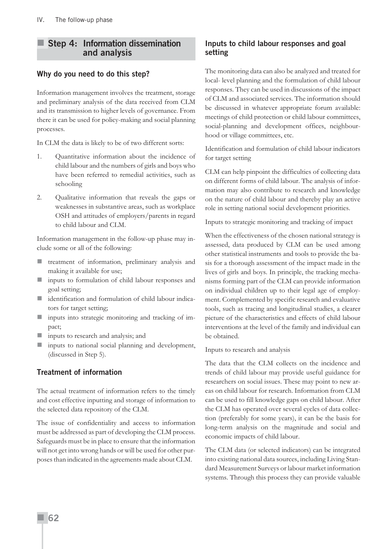## **Step 4: Information dissemination and analysis**

## **Why do you need to do this step?**

Information management involves the treatment, storage and preliminary analysis of the data received from CLM and its transmission to higher levels of governance. From there it can be used for policy-making and social planning processes.

In CLM the data is likely to be of two different sorts:

- 1. Quantitative information about the incidence of child labour and the numbers of girls and boys who have been referred to remedial activities, such as schooling
- 2. Qualitative information that reveals the gaps or weaknesses in substantive areas, such as workplace OSH and attitudes of employers/parents in regard to child labour and CLM.

Information management in the follow-up phase may include some or all of the following:

- treatment of information, preliminary analysis and making it available for use;
- inputs to formulation of child labour responses and goal setting;
- identification and formulation of child labour indicators for target setting;
- **inputs** into strategic monitoring and tracking of impact;
- **inputs to research and analysis; and**
- **inputs** to national social planning and development, (discussed in Step 5).

## **Treatment of information**

The actual treatment of information refers to the timely and cost effective inputting and storage of information to the selected data repository of the CLM.

The issue of confidentiality and access to information must be addressed as part of developing the CLM process. Safeguards must be in place to ensure that the information will not get into wrong hands or will be used for other purposes than indicated in the agreements made about CLM.

## **Inputs to child labour responses and goal setting**

The monitoring data can also be analyzed and treated for local- level planning and the formulation of child labour responses. They can be used in discussions of the impact of CLM and associated services. The information should be discussed in whatever appropriate forum available: meetings of child protection or child labour committees, social-planning and development offices, neighbourhood or village committees, etc.

Identification and formulation of child labour indicators for target setting

CLM can help pinpoint the difficulties of collecting data on different forms of child labour. The analysis of information may also contribute to research and knowledge on the nature of child labour and thereby play an active role in setting national social development priorities.

Inputs to strategic monitoring and tracking of impact

When the effectiveness of the chosen national strategy is assessed, data produced by CLM can be used among other statistical instruments and tools to provide the basis for a thorough assessment of the impact made in the lives of girls and boys. In principle, the tracking mechanisms forming part of the CLM can provide information on individual children up to their legal age of employment. Complemented by specific research and evaluative tools, such as tracing and longitudinal studies, a clearer picture of the characteristics and effects of child labour interventions at the level of the family and individual can be obtained.

Inputs to research and analysis

The data that the CLM collects on the incidence and trends of child labour may provide useful guidance for researchers on social issues. These may point to new areas on child labour for research. Information from CLM can be used to fill knowledge gaps on child labour. After the CLM has operated over several cycles of data collection (preferably for some years), it can be the basis for long-term analysis on the magnitude and social and economic impacts of child labour.

The CLM data (or selected indicators) can be integrated into existing national data sources, including Living Standard Measurement Surveys or labour market information systems. Through this process they can provide valuable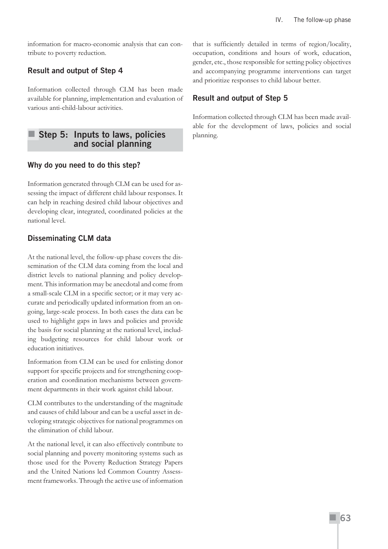information for macro-economic analysis that can contribute to poverty reduction.

## **Result and output of Step 4**

Information collected through CLM has been made available for planning, implementation and evaluation of various anti-child-labour activities.

## **Step 5: Inputs to laws, policies and social planning**

#### **Why do you need to do this step?**

Information generated through CLM can be used for assessing the impact of different child labour responses. It can help in reaching desired child labour objectives and developing clear, integrated, coordinated policies at the national level.

## **Disseminating CLM data**

At the national level, the follow-up phase covers the dissemination of the CLM data coming from the local and district levels to national planning and policy development. This information may be anecdotal and come from a small-scale CLM in a specific sector; or it may very accurate and periodically updated information from an ongoing, large-scale process. In both cases the data can be used to highlight gaps in laws and policies and provide the basis for social planning at the national level, including budgeting resources for child labour work or education initiatives.

Information from CLM can be used for enlisting donor support for specific projects and for strengthening cooperation and coordination mechanisms between government departments in their work against child labour.

CLM contributes to the understanding of the magnitude and causes of child labour and can be a useful asset in developing strategic objectives for national programmes on the elimination of child labour.

At the national level, it can also effectively contribute to social planning and poverty monitoring systems such as those used for the Poverty Reduction Strategy Papers and the United Nations led Common Country Assessment frameworks. Through the active use of information that is sufficiently detailed in terms of region/locality, occupation, conditions and hours of work, education, gender, etc., those responsible for setting policy objectives and accompanying programme interventions can target and prioritize responses to child labour better.

## **Result and output of Step 5**

Information collected through CLM has been made available for the development of laws, policies and social planning.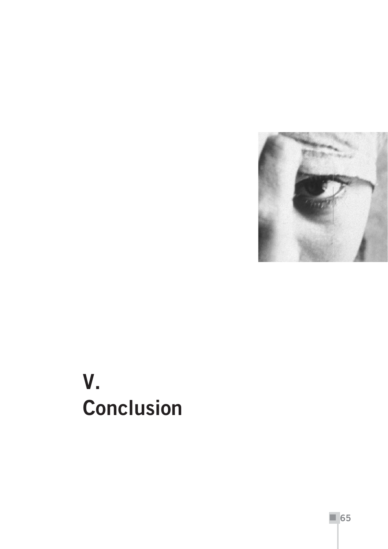

## **V. Conclusion**

**65**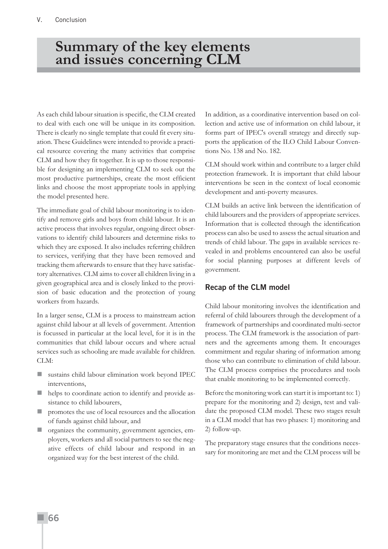### **Summary of the key elements and issues concerning CLM**

As each child labour situation is specific, the CLM created to deal with each one will be unique in its composition. There is clearly no single template that could fit every situation. These Guidelines were intended to provide a practical resource covering the many activities that comprise CLM and how they fit together. It is up to those responsible for designing an implementing CLM to seek out the most productive partnerships, create the most efficient links and choose the most appropriate tools in applying the model presented here.

The immediate goal of child labour monitoring is to identify and remove girls and boys from child labour. It is an active process that involves regular, ongoing direct observations to identify child labourers and determine risks to which they are exposed. It also includes referring children to services, verifying that they have been removed and tracking them afterwards to ensure that they have satisfactory alternatives. CLM aims to cover all children living in a given geographical area and is closely linked to the provision of basic education and the protection of young workers from hazards.

In a larger sense, CLM is a process to mainstream action against child labour at all levels of government. Attention is focussed in particular at the local level, for it is in the communities that child labour occurs and where actual services such as schooling are made available for children. CLM:

- sustains child labour elimination work beyond IPEC interventions,
- helps to coordinate action to identify and provide assistance to child labourers,
- promotes the use of local resources and the allocation of funds against child labour, and
- organizes the community, government agencies, employers, workers and all social partners to see the negative effects of child labour and respond in an organized way for the best interest of the child.

In addition, as a coordinative intervention based on collection and active use of information on child labour, it forms part of IPEC's overall strategy and directly supports the application of the ILO Child Labour Conventions No. 138 and No. 182.

CLM should work within and contribute to a larger child protection framework. It is important that child labour interventions be seen in the context of local economic development and anti-poverty measures.

CLM builds an active link between the identification of child labourers and the providers of appropriate services. Information that is collected through the identification process can also be used to assess the actual situation and trends of child labour. The gaps in available services revealed in and problems encountered can also be useful for social planning purposes at different levels of government.

#### **Recap of the CLM model**

Child labour monitoring involves the identification and referral of child labourers through the development of a framework of partnerships and coordinated multi-sector process. The CLM framework is the association of partners and the agreements among them. It encourages commitment and regular sharing of information among those who can contribute to elimination of child labour. The CLM process comprises the procedures and tools that enable monitoring to be implemented correctly.

Before the monitoring work can start it is important to: 1) prepare for the monitoring and 2) design, test and validate the proposed CLM model. These two stages result in a CLM model that has two phases: 1) monitoring and 2) follow-up.

The preparatory stage ensures that the conditions necessary for monitoring are met and the CLM process will be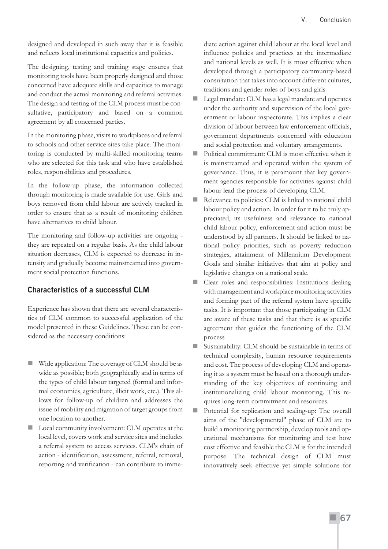designed and developed in such away that it is feasible and reflects local institutional capacities and policies.

The designing, testing and training stage ensures that monitoring tools have been properly designed and those concerned have adequate skills and capacities to manage and conduct the actual monitoring and referral activities. The design and testing of the CLM process must be consultative, participatory and based on a common agreement by all concerned parties.

In the monitoring phase, visits to workplaces and referral to schools and other service sites take place. The monitoring is conducted by multi-skilled monitoring teams who are selected for this task and who have established roles, responsibilities and procedures.

In the follow-up phase, the information collected through monitoring is made available for use. Girls and boys removed from child labour are actively tracked in order to ensure that as a result of monitoring children have alternatives to child labour.

The monitoring and follow-up activities are ongoing they are repeated on a regular basis. As the child labour situation decreases, CLM is expected to decrease in intensity and gradually become mainstreamed into government social protection functions.

#### **Characteristics of a successful CLM**

Experience has shown that there are several characteristics of CLM common to successful application of the model presented in these Guidelines. These can be considered as the necessary conditions:

- Wide application: The coverage of CLM should be as wide as possible; both geographically and in terms of the types of child labour targeted (formal and informal economies, agriculture, illicit work, etc.). This allows for follow-up of children and addresses the issue of mobility and migration of target groups from one location to another.
- Local community involvement: CLM operates at the local level, covers work and service sites and includes a referral system to access services. CLM's chain of action - identification, assessment, referral, removal, reporting and verification - can contribute to imme-

diate action against child labour at the local level and influence policies and practices at the intermediate and national levels as well. It is most effective when developed through a participatory community-based consultation that takes into account different cultures, traditions and gender roles of boys and girls

- Legal mandate: CLM has a legal mandate and operates under the authority and supervision of the local government or labour inspectorate. This implies a clear division of labour between law enforcement officials, government departments concerned with education and social protection and voluntary arrangements.
- Political commitment: CLM is most effective when it is mainstreamed and operated within the system of governance. Thus, it is paramount that key government agencies responsible for activities against child labour lead the process of developing CLM.
- Relevance to policies: CLM is linked to national child labour policy and action. In order for it to be truly appreciated, its usefulness and relevance to national child labour policy, enforcement and action must be understood by all partners. It should be linked to national policy priorities, such as poverty reduction strategies, attainment of Millennium Development Goals and similar initiatives that aim at policy and legislative changes on a national scale.
- Clear roles and responsibilities: Institutions dealing with management and workplace monitoring activities and forming part of the referral system have specific tasks. It is important that those participating in CLM are aware of these tasks and that there is as specific agreement that guides the functioning of the CLM process
- Sustainability: CLM should be sustainable in terms of technical complexity, human resource requirements and cost. The process of developing CLM and operating it as a system must be based on a thorough understanding of the key objectives of continuing and institutionalizing child labour monitoring. This requires long-term commitment and resources.
- Potential for replication and scaling-up: The overall aims of the "developmental" phase of CLM are to build a monitoring partnership, develop tools and operational mechanisms for monitoring and test how cost effective and feasible the CLM is for the intended purpose. The technical design of CLM must innovatively seek effective yet simple solutions for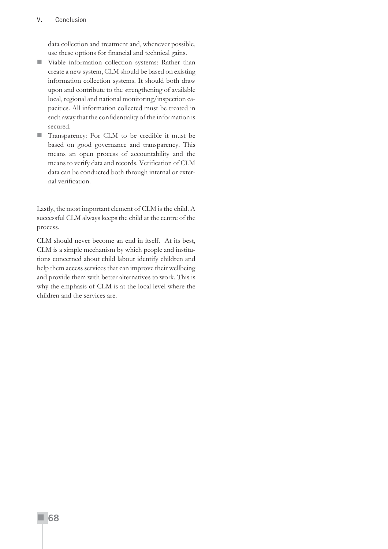#### V. Conclusion

data collection and treatment and, whenever possible, use these options for financial and technical gains.

- Viable information collection systems: Rather than create a new system, CLM should be based on existing information collection systems. It should both draw upon and contribute to the strengthening of available local, regional and national monitoring/inspection capacities. All information collected must be treated in such away that the confidentiality of the information is secured.
- Transparency: For CLM to be credible it must be based on good governance and transparency. This means an open process of accountability and the means to verify data and records. Verification of CLM data can be conducted both through internal or external verification.

Lastly, the most important element of CLM is the child. A successful CLM always keeps the child at the centre of the process.

CLM should never become an end in itself. At its best, CLM is a simple mechanism by which people and institutions concerned about child labour identify children and help them access services that can improve their wellbeing and provide them with better alternatives to work. This is why the emphasis of CLM is at the local level where the children and the services are.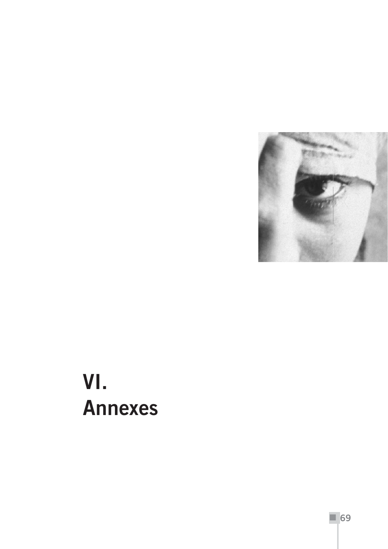

# **VI. Annexes**

**69**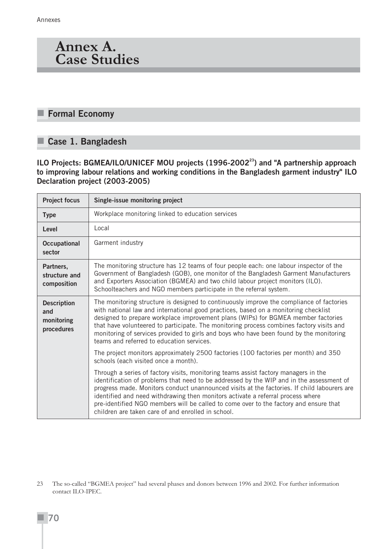### **Annex A. Case Studies**

### **Formal Economy**

#### **Case 1. Bangladesh**

**ILO Projects: BGMEA/ILO/UNICEF MOU projects (1996-200223) and "A partnership approach to improving labour relations and working conditions in the Bangladesh garment industry" ILO Declaration project (2003-2005)**

| <b>Project focus</b>                                  | Single-issue monitoring project                                                                                                                                                                                                                                                                                                                                                                                                                                                                                  |  |  |  |  |
|-------------------------------------------------------|------------------------------------------------------------------------------------------------------------------------------------------------------------------------------------------------------------------------------------------------------------------------------------------------------------------------------------------------------------------------------------------------------------------------------------------------------------------------------------------------------------------|--|--|--|--|
| <b>Type</b>                                           | Workplace monitoring linked to education services                                                                                                                                                                                                                                                                                                                                                                                                                                                                |  |  |  |  |
| Level                                                 | Local                                                                                                                                                                                                                                                                                                                                                                                                                                                                                                            |  |  |  |  |
| <b>Occupational</b><br>sector                         | Garment industry                                                                                                                                                                                                                                                                                                                                                                                                                                                                                                 |  |  |  |  |
| Partners,<br>structure and<br>composition             | The monitoring structure has 12 teams of four people each: one labour inspector of the<br>Government of Bangladesh (GOB), one monitor of the Bangladesh Garment Manufacturers<br>and Exporters Association (BGMEA) and two child labour project monitors (ILO).<br>Schoolteachers and NGO members participate in the referral system.                                                                                                                                                                            |  |  |  |  |
| <b>Description</b><br>and<br>monitoring<br>procedures | The monitoring structure is designed to continuously improve the compliance of factories<br>with national law and international good practices, based on a monitoring checklist<br>designed to prepare workplace improvement plans (WIPs) for BGMEA member factories<br>that have volunteered to participate. The monitoring process combines factory visits and<br>monitoring of services provided to girls and boys who have been found by the monitoring<br>teams and referred to education services.         |  |  |  |  |
|                                                       | The project monitors approximately 2500 factories (100 factories per month) and 350<br>schools (each visited once a month).                                                                                                                                                                                                                                                                                                                                                                                      |  |  |  |  |
|                                                       | Through a series of factory visits, monitoring teams assist factory managers in the<br>identification of problems that need to be addressed by the WIP and in the assessment of<br>progress made. Monitors conduct unannounced visits at the factories. If child labourers are<br>identified and need withdrawing then monitors activate a referral process where<br>pre-identified NGO members will be called to come over to the factory and ensure that<br>children are taken care of and enrolled in school. |  |  |  |  |

<sup>23</sup> The so-called "BGMEA project" had several phases and donors between 1996 and 2002. For further information contact ILO-IPEC.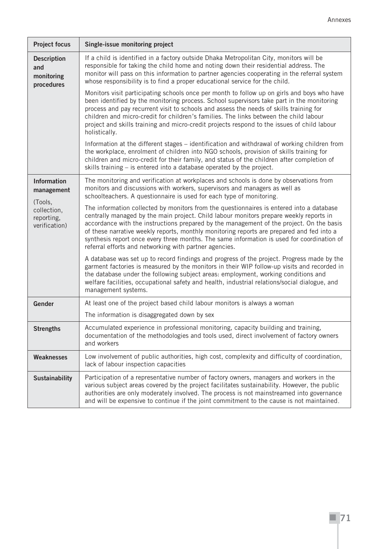| <b>Project focus</b>                                  | Single-issue monitoring project                                                                                                                                                                                                                                                                                                                                                                                                                                                                                                     |  |  |  |
|-------------------------------------------------------|-------------------------------------------------------------------------------------------------------------------------------------------------------------------------------------------------------------------------------------------------------------------------------------------------------------------------------------------------------------------------------------------------------------------------------------------------------------------------------------------------------------------------------------|--|--|--|
| <b>Description</b><br>and<br>monitoring<br>procedures | If a child is identified in a factory outside Dhaka Metropolitan City, monitors will be<br>responsible for taking the child home and noting down their residential address. The<br>monitor will pass on this information to partner agencies cooperating in the referral system<br>whose responsibility is to find a proper educational service for the child.                                                                                                                                                                      |  |  |  |
|                                                       | Monitors visit participating schools once per month to follow up on girls and boys who have<br>been identified by the monitoring process. School supervisors take part in the monitoring<br>process and pay recurrent visit to schools and assess the needs of skills training for<br>children and micro-credit for children's families. The links between the child labour<br>project and skills training and micro-credit projects respond to the issues of child labour<br>holistically.                                         |  |  |  |
|                                                       | Information at the different stages – identification and withdrawal of working children from<br>the workplace, enrolment of children into NGO schools, provision of skills training for<br>children and micro-credit for their family, and status of the children after completion of<br>skills training - is entered into a database operated by the project.                                                                                                                                                                      |  |  |  |
| <b>Information</b><br>management                      | The monitoring and verification at workplaces and schools is done by observations from<br>monitors and discussions with workers, supervisors and managers as well as<br>schoolteachers. A questionnaire is used for each type of monitoring.                                                                                                                                                                                                                                                                                        |  |  |  |
| (Tools,<br>collection,<br>reporting,<br>verification) | The information collected by monitors from the questionnaires is entered into a database<br>centrally managed by the main project. Child labour monitors prepare weekly reports in<br>accordance with the instructions prepared by the management of the project. On the basis<br>of these narrative weekly reports, monthly monitoring reports are prepared and fed into a<br>synthesis report once every three months. The same information is used for coordination of<br>referral efforts and networking with partner agencies. |  |  |  |
|                                                       | A database was set up to record findings and progress of the project. Progress made by the<br>garment factories is measured by the monitors in their WIP follow-up visits and recorded in<br>the database under the following subject areas: employment, working conditions and<br>welfare facilities, occupational safety and health, industrial relations/social dialogue, and<br>management systems.                                                                                                                             |  |  |  |
| Gender                                                | At least one of the project based child labour monitors is always a woman                                                                                                                                                                                                                                                                                                                                                                                                                                                           |  |  |  |
|                                                       | The information is disaggregated down by sex                                                                                                                                                                                                                                                                                                                                                                                                                                                                                        |  |  |  |
| <b>Strengths</b>                                      | Accumulated experience in professional monitoring, capacity building and training,<br>documentation of the methodologies and tools used, direct involvement of factory owners<br>and workers                                                                                                                                                                                                                                                                                                                                        |  |  |  |
| <b>Weaknesses</b>                                     | Low involvement of public authorities, high cost, complexity and difficulty of coordination,<br>lack of labour inspection capacities                                                                                                                                                                                                                                                                                                                                                                                                |  |  |  |
| <b>Sustainability</b>                                 | Participation of a representative number of factory owners, managers and workers in the<br>various subject areas covered by the project facilitates sustainability. However, the public<br>authorities are only moderately involved. The process is not mainstreamed into governance<br>and will be expensive to continue if the joint commitment to the cause is not maintained.                                                                                                                                                   |  |  |  |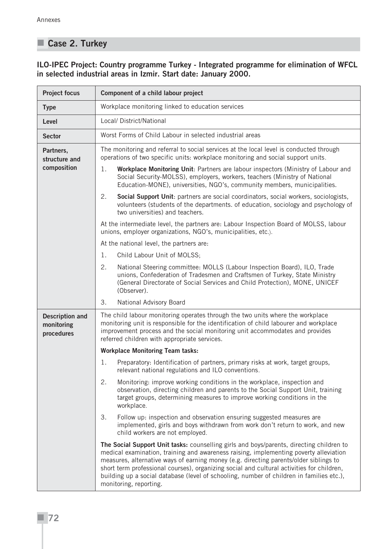### **Case 2. Turkey**

#### **ILO-IPEC Project: Country programme Turkey - Integrated programme for elimination of WFCL in selected industrial areas in Izmir. Start date: January 2000.**

| <b>Project focus</b>                               | Component of a child labour project                                                                                                                                                                                                                                                                                                                                                                                                                                                           |  |  |  |  |
|----------------------------------------------------|-----------------------------------------------------------------------------------------------------------------------------------------------------------------------------------------------------------------------------------------------------------------------------------------------------------------------------------------------------------------------------------------------------------------------------------------------------------------------------------------------|--|--|--|--|
| <b>Type</b>                                        | Workplace monitoring linked to education services                                                                                                                                                                                                                                                                                                                                                                                                                                             |  |  |  |  |
| Level                                              | Local/ District/National                                                                                                                                                                                                                                                                                                                                                                                                                                                                      |  |  |  |  |
| <b>Sector</b>                                      | Worst Forms of Child Labour in selected industrial areas                                                                                                                                                                                                                                                                                                                                                                                                                                      |  |  |  |  |
| Partners,<br>structure and                         | The monitoring and referral to social services at the local level is conducted through<br>operations of two specific units: workplace monitoring and social support units.                                                                                                                                                                                                                                                                                                                    |  |  |  |  |
| composition                                        | 1.<br>Workplace Monitoring Unit: Partners are labour inspectors (Ministry of Labour and<br>Social Security-MOLSS), employers, workers, teachers (Ministry of National<br>Education-MONE), universities, NGO's, community members, municipalities.                                                                                                                                                                                                                                             |  |  |  |  |
|                                                    | 2.<br>Social Support Unit: partners are social coordinators, social workers, sociologists,<br>volunteers (students of the departments. of education, sociology and psychology of<br>two universities) and teachers.                                                                                                                                                                                                                                                                           |  |  |  |  |
|                                                    | At the intermediate level, the partners are: Labour Inspection Board of MOLSS, labour<br>unions, employer organizations, NGO's, municipalities, etc.).                                                                                                                                                                                                                                                                                                                                        |  |  |  |  |
|                                                    | At the national level, the partners are:                                                                                                                                                                                                                                                                                                                                                                                                                                                      |  |  |  |  |
|                                                    | 1.<br>Child Labour Unit of MOLSS;                                                                                                                                                                                                                                                                                                                                                                                                                                                             |  |  |  |  |
|                                                    | 2.<br>National Steering committee: MOLLS (Labour Inspection Board), ILO, Trade<br>unions, Confederation of Tradesmen and Craftsmen of Turkey, State Ministry<br>(General Directorate of Social Services and Child Protection), MONE, UNICEF<br>(Observer).                                                                                                                                                                                                                                    |  |  |  |  |
|                                                    | 3.<br>National Advisory Board                                                                                                                                                                                                                                                                                                                                                                                                                                                                 |  |  |  |  |
| <b>Description and</b><br>monitoring<br>procedures | The child labour monitoring operates through the two units where the workplace<br>monitoring unit is responsible for the identification of child labourer and workplace<br>improvement process and the social monitoring unit accommodates and provides<br>referred children with appropriate services.                                                                                                                                                                                       |  |  |  |  |
|                                                    | <b>Workplace Monitoring Team tasks:</b>                                                                                                                                                                                                                                                                                                                                                                                                                                                       |  |  |  |  |
|                                                    | 1.<br>Preparatory: Identification of partners, primary risks at work, target groups,<br>relevant national regulations and ILO conventions.                                                                                                                                                                                                                                                                                                                                                    |  |  |  |  |
|                                                    | 2.<br>Monitoring: improve working conditions in the workplace, inspection and<br>observation, directing children and parents to the Social Support Unit, training<br>target groups, determining measures to improve working conditions in the<br>workplace.                                                                                                                                                                                                                                   |  |  |  |  |
|                                                    | 3.<br>Follow up: inspection and observation ensuring suggested measures are<br>implemented, girls and boys withdrawn from work don't return to work, and new<br>child workers are not employed.                                                                                                                                                                                                                                                                                               |  |  |  |  |
|                                                    | The Social Support Unit tasks: counselling girls and boys/parents, directing children to<br>medical examination, training and awareness raising, implementing poverty alleviation<br>measures, alternative ways of earning money (e.g. directing parents/older siblings to<br>short term professional courses), organizing social and cultural activities for children,<br>building up a social database (level of schooling, number of children in families etc.),<br>monitoring, reporting. |  |  |  |  |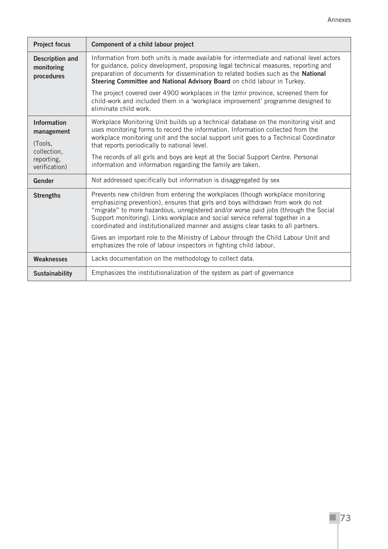| <b>Project focus</b>                               | Component of a child labour project                                                                                                                                                                                                                                                                                                                                                                                               |  |  |  |  |
|----------------------------------------------------|-----------------------------------------------------------------------------------------------------------------------------------------------------------------------------------------------------------------------------------------------------------------------------------------------------------------------------------------------------------------------------------------------------------------------------------|--|--|--|--|
| <b>Description and</b><br>monitoring<br>procedures | Information from both units is made available for intermediate and national level actors<br>for guidance, policy development, proposing legal technical measures, reporting and<br>preparation of documents for dissemination to related bodies such as the National<br>Steering Committee and National Advisory Board on child labour in Turkey.                                                                                 |  |  |  |  |
|                                                    | The project covered over 4900 workplaces in the Izmir province, screened them for<br>child-work and included them in a 'workplace improvement' programme designed to<br>eliminate child work.                                                                                                                                                                                                                                     |  |  |  |  |
| <b>Information</b><br>management<br>(Tools,        | Workplace Monitoring Unit builds up a technical database on the monitoring visit and<br>uses monitoring forms to record the information. Information collected from the<br>workplace monitoring unit and the social support unit goes to a Technical Coordinator<br>that reports periodically to national level.                                                                                                                  |  |  |  |  |
| collection,<br>reporting,<br>verification)         | The records of all girls and boys are kept at the Social Support Centre. Personal<br>information and information regarding the family are taken.                                                                                                                                                                                                                                                                                  |  |  |  |  |
| Gender                                             | Not addressed specifically but information is disaggregated by sex                                                                                                                                                                                                                                                                                                                                                                |  |  |  |  |
| <b>Strengths</b>                                   | Prevents new children from entering the workplaces (though workplace monitoring<br>emphasizing prevention), ensures that girls and boys withdrawn from work do not<br>"migrate" to more hazardous, unregistered and/or worse paid jobs (through the Social<br>Support monitoring). Links workplace and social service referral together in a<br>coordinated and institutionalized manner and assigns clear tasks to all partners. |  |  |  |  |
|                                                    | Gives an important role to the Ministry of Labour through the Child Labour Unit and<br>emphasizes the role of labour inspectors in fighting child labour.                                                                                                                                                                                                                                                                         |  |  |  |  |
| Weaknesses                                         | Lacks documentation on the methodology to collect data.                                                                                                                                                                                                                                                                                                                                                                           |  |  |  |  |
| <b>Sustainability</b>                              | Emphasizes the institutionalization of the system as part of governance                                                                                                                                                                                                                                                                                                                                                           |  |  |  |  |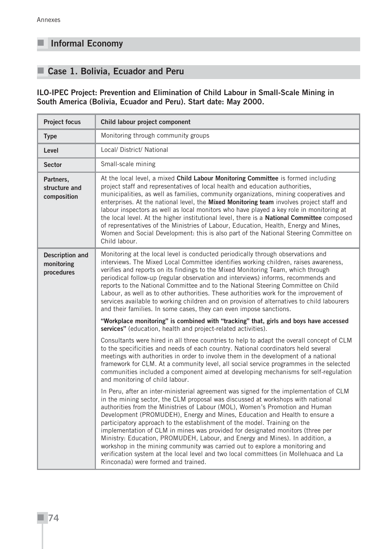### **Informal Economy**

### **Case 1. Bolivia, Ecuador and Peru**

#### **ILO-IPEC Project: Prevention and Elimination of Child Labour in Small-Scale Mining in South America (Bolivia, Ecuador and Peru). Start date: May 2000.**

| <b>Project focus</b>                               | Child labour project component                                                                                                                                                                                                                                                                                                                                                                                                                                                                                                                                                                                                                                                                                                                                                                         |  |  |  |  |
|----------------------------------------------------|--------------------------------------------------------------------------------------------------------------------------------------------------------------------------------------------------------------------------------------------------------------------------------------------------------------------------------------------------------------------------------------------------------------------------------------------------------------------------------------------------------------------------------------------------------------------------------------------------------------------------------------------------------------------------------------------------------------------------------------------------------------------------------------------------------|--|--|--|--|
| <b>Type</b>                                        | Monitoring through community groups                                                                                                                                                                                                                                                                                                                                                                                                                                                                                                                                                                                                                                                                                                                                                                    |  |  |  |  |
| Level                                              | Local/ District/ National                                                                                                                                                                                                                                                                                                                                                                                                                                                                                                                                                                                                                                                                                                                                                                              |  |  |  |  |
| <b>Sector</b>                                      | Small-scale mining                                                                                                                                                                                                                                                                                                                                                                                                                                                                                                                                                                                                                                                                                                                                                                                     |  |  |  |  |
| Partners,<br>structure and<br>composition          | At the local level, a mixed Child Labour Monitoring Committee is formed including<br>project staff and representatives of local health and education authorities,<br>municipalities, as well as families, community organizations, mining cooperatives and<br>enterprises. At the national level, the Mixed Monitoring team involves project staff and<br>labour inspectors as well as local monitors who have played a key role in monitoring at<br>the local level. At the higher institutional level, there is a National Committee composed<br>of representatives of the Ministries of Labour, Education, Health, Energy and Mines,<br>Women and Social Development: this is also part of the National Steering Committee on<br>Child labour.                                                      |  |  |  |  |
| <b>Description and</b><br>monitoring<br>procedures | Monitoring at the local level is conducted periodically through observations and<br>interviews. The Mixed Local Committee identifies working children, raises awareness,<br>verifies and reports on its findings to the Mixed Monitoring Team, which through<br>periodical follow-up (regular observation and interviews) informs, recommends and<br>reports to the National Committee and to the National Steering Committee on Child<br>Labour, as well as to other authorities. These authorities work for the improvement of<br>services available to working children and on provision of alternatives to child labourers<br>and their families. In some cases, they can even impose sanctions.                                                                                                   |  |  |  |  |
|                                                    | "Workplace monitoring" is combined with "tracking" that, girls and boys have accessed<br>services" (education, health and project-related activities).                                                                                                                                                                                                                                                                                                                                                                                                                                                                                                                                                                                                                                                 |  |  |  |  |
|                                                    | Consultants were hired in all three countries to help to adapt the overall concept of CLM<br>to the specificities and needs of each country. National coordinators held several<br>meetings with authorities in order to involve them in the development of a national<br>framework for CLM. At a community level, all social service programmes in the selected<br>communities included a component aimed at developing mechanisms for self-regulation<br>and monitoring of child labour.                                                                                                                                                                                                                                                                                                             |  |  |  |  |
|                                                    | In Peru, after an inter-ministerial agreement was signed for the implementation of CLM<br>in the mining sector, the CLM proposal was discussed at workshops with national<br>authorities from the Ministries of Labour (MOL), Women's Promotion and Human<br>Development (PROMUDEH), Energy and Mines, Education and Health to ensure a<br>participatory approach to the establishment of the model. Training on the<br>implementation of CLM in mines was provided for designated monitors (three per<br>Ministry: Education, PROMUDEH, Labour, and Energy and Mines). In addition, a<br>workshop in the mining community was carried out to explore a monitoring and<br>verification system at the local level and two local committees (in Mollehuaca and La<br>Rinconada) were formed and trained. |  |  |  |  |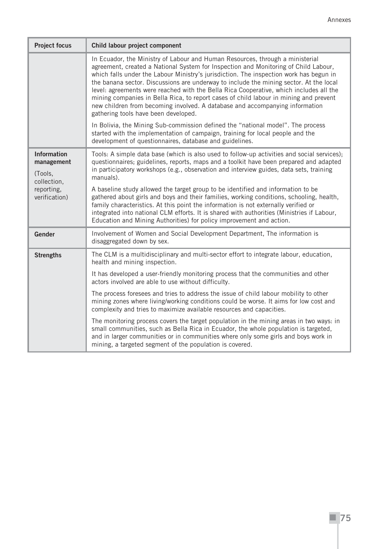| <b>Project focus</b>                                                                      | Child labour project component                                                                                                                                                                                                                                                                                                                                                                                                                                                                                                                                                                                                                                      |  |  |  |  |
|-------------------------------------------------------------------------------------------|---------------------------------------------------------------------------------------------------------------------------------------------------------------------------------------------------------------------------------------------------------------------------------------------------------------------------------------------------------------------------------------------------------------------------------------------------------------------------------------------------------------------------------------------------------------------------------------------------------------------------------------------------------------------|--|--|--|--|
|                                                                                           | In Ecuador, the Ministry of Labour and Human Resources, through a ministerial<br>agreement, created a National System for Inspection and Monitoring of Child Labour,<br>which falls under the Labour Ministry's jurisdiction. The inspection work has begun in<br>the banana sector. Discussions are underway to include the mining sector. At the local<br>level: agreements were reached with the Bella Rica Cooperative, which includes all the<br>mining companies in Bella Rica, to report cases of child labour in mining and prevent<br>new children from becoming involved. A database and accompanying information<br>gathering tools have been developed. |  |  |  |  |
|                                                                                           | In Bolivia, the Mining Sub-commission defined the "national model". The process<br>started with the implementation of campaign, training for local people and the<br>development of questionnaires, database and guidelines.                                                                                                                                                                                                                                                                                                                                                                                                                                        |  |  |  |  |
| <b>Information</b><br>management<br>(Tools,<br>collection,<br>reporting,<br>verification) | Tools: A simple data base (which is also used to follow-up activities and social services);<br>questionnaires; guidelines, reports, maps and a toolkit have been prepared and adapted<br>in participatory workshops (e.g., observation and interview guides, data sets, training<br>manuals).                                                                                                                                                                                                                                                                                                                                                                       |  |  |  |  |
|                                                                                           | A baseline study allowed the target group to be identified and information to be<br>gathered about girls and boys and their families, working conditions, schooling, health,<br>family characteristics. At this point the information is not externally verified or<br>integrated into national CLM efforts. It is shared with authorities (Ministries if Labour,<br>Education and Mining Authorities) for policy improvement and action.                                                                                                                                                                                                                           |  |  |  |  |
| Gender                                                                                    | Involvement of Women and Social Development Department, The information is<br>disaggregated down by sex.                                                                                                                                                                                                                                                                                                                                                                                                                                                                                                                                                            |  |  |  |  |
| <b>Strengths</b>                                                                          | The CLM is a multidisciplinary and multi-sector effort to integrate labour, education,<br>health and mining inspection.                                                                                                                                                                                                                                                                                                                                                                                                                                                                                                                                             |  |  |  |  |
|                                                                                           | It has developed a user-friendly monitoring process that the communities and other<br>actors involved are able to use without difficulty.                                                                                                                                                                                                                                                                                                                                                                                                                                                                                                                           |  |  |  |  |
|                                                                                           | The process foresees and tries to address the issue of child labour mobility to other<br>mining zones where living/working conditions could be worse. It aims for low cost and<br>complexity and tries to maximize available resources and capacities.                                                                                                                                                                                                                                                                                                                                                                                                              |  |  |  |  |
|                                                                                           | The monitoring process covers the target population in the mining areas in two ways: in<br>small communities, such as Bella Rica in Ecuador, the whole population is targeted,<br>and in larger communities or in communities where only some girls and boys work in<br>mining, a targeted segment of the population is covered.                                                                                                                                                                                                                                                                                                                                    |  |  |  |  |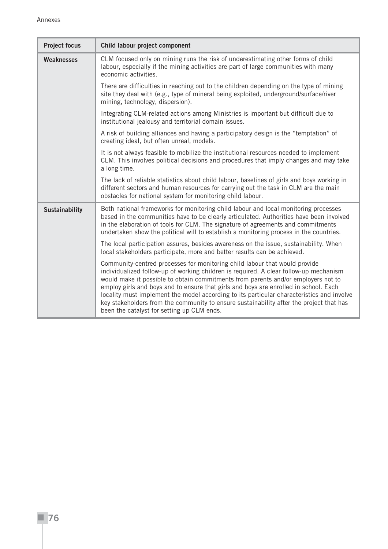| <b>Project focus</b>  | Child labour project component                                                                                                                                                                                                                                                                                                                                                                                                                                                                                                                                                         |  |  |  |  |  |
|-----------------------|----------------------------------------------------------------------------------------------------------------------------------------------------------------------------------------------------------------------------------------------------------------------------------------------------------------------------------------------------------------------------------------------------------------------------------------------------------------------------------------------------------------------------------------------------------------------------------------|--|--|--|--|--|
| <b>Weaknesses</b>     | CLM focused only on mining runs the risk of underestimating other forms of child<br>labour, especially if the mining activities are part of large communities with many<br>economic activities.                                                                                                                                                                                                                                                                                                                                                                                        |  |  |  |  |  |
|                       | There are difficulties in reaching out to the children depending on the type of mining<br>site they deal with (e.g., type of mineral being exploited, underground/surface/river<br>mining, technology, dispersion).                                                                                                                                                                                                                                                                                                                                                                    |  |  |  |  |  |
|                       | Integrating CLM-related actions among Ministries is important but difficult due to<br>institutional jealousy and territorial domain issues.                                                                                                                                                                                                                                                                                                                                                                                                                                            |  |  |  |  |  |
|                       | A risk of building alliances and having a participatory design is the "temptation" of<br>creating ideal, but often unreal, models.                                                                                                                                                                                                                                                                                                                                                                                                                                                     |  |  |  |  |  |
|                       | It is not always feasible to mobilize the institutional resources needed to implement<br>CLM. This involves political decisions and procedures that imply changes and may take<br>a long time.                                                                                                                                                                                                                                                                                                                                                                                         |  |  |  |  |  |
|                       | The lack of reliable statistics about child labour, baselines of girls and boys working in<br>different sectors and human resources for carrying out the task in CLM are the main<br>obstacles for national system for monitoring child labour.                                                                                                                                                                                                                                                                                                                                        |  |  |  |  |  |
| <b>Sustainability</b> | Both national frameworks for monitoring child labour and local monitoring processes<br>based in the communities have to be clearly articulated. Authorities have been involved<br>in the elaboration of tools for CLM. The signature of agreements and commitments<br>undertaken show the political will to establish a monitoring process in the countries.                                                                                                                                                                                                                           |  |  |  |  |  |
|                       | The local participation assures, besides awareness on the issue, sustainability. When<br>local stakeholders participate, more and better results can be achieved.                                                                                                                                                                                                                                                                                                                                                                                                                      |  |  |  |  |  |
|                       | Community-centred processes for monitoring child labour that would provide<br>individualized follow-up of working children is required. A clear follow-up mechanism<br>would make it possible to obtain commitments from parents and/or employers not to<br>employ girls and boys and to ensure that girls and boys are enrolled in school. Each<br>locality must implement the model according to its particular characteristics and involve<br>key stakeholders from the community to ensure sustainability after the project that has<br>been the catalyst for setting up CLM ends. |  |  |  |  |  |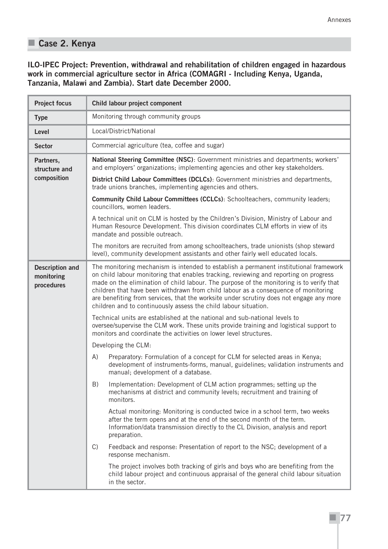### **Case 2. Kenya**

**ILO-IPEC Project: Prevention, withdrawal and rehabilitation of children engaged in hazardous work in commercial agriculture sector in Africa (COMAGRI - Including Kenya, Uganda, Tanzania, Malawi and Zambia). Start date December 2000.**

| <b>Project focus</b>                               | Child labour project component                                                                                                                                                                                                                                                                                                                                                                                                                                                                                                 |  |  |  |  |
|----------------------------------------------------|--------------------------------------------------------------------------------------------------------------------------------------------------------------------------------------------------------------------------------------------------------------------------------------------------------------------------------------------------------------------------------------------------------------------------------------------------------------------------------------------------------------------------------|--|--|--|--|
| <b>Type</b>                                        | Monitoring through community groups                                                                                                                                                                                                                                                                                                                                                                                                                                                                                            |  |  |  |  |
| Level                                              | Local/District/National                                                                                                                                                                                                                                                                                                                                                                                                                                                                                                        |  |  |  |  |
| <b>Sector</b>                                      | Commercial agriculture (tea, coffee and sugar)                                                                                                                                                                                                                                                                                                                                                                                                                                                                                 |  |  |  |  |
| Partners,<br>structure and                         | National Steering Committee (NSC): Government ministries and departments; workers'<br>and employers' organizations; implementing agencies and other key stakeholders.                                                                                                                                                                                                                                                                                                                                                          |  |  |  |  |
| composition                                        | District Child Labour Committees (DCLCs): Government ministries and departments,<br>trade unions branches, implementing agencies and others.                                                                                                                                                                                                                                                                                                                                                                                   |  |  |  |  |
|                                                    | Community Child Labour Committees (CCLCs): Schoolteachers, community leaders;<br>councillors, women leaders.                                                                                                                                                                                                                                                                                                                                                                                                                   |  |  |  |  |
|                                                    | A technical unit on CLM is hosted by the Children's Division, Ministry of Labour and<br>Human Resource Development. This division coordinates CLM efforts in view of its<br>mandate and possible outreach.                                                                                                                                                                                                                                                                                                                     |  |  |  |  |
|                                                    | The monitors are recruited from among schoolteachers, trade unionists (shop steward<br>level), community development assistants and other fairly well educated locals.                                                                                                                                                                                                                                                                                                                                                         |  |  |  |  |
| <b>Description and</b><br>monitoring<br>procedures | The monitoring mechanism is intended to establish a permanent institutional framework<br>on child labour monitoring that enables tracking, reviewing and reporting on progress<br>made on the elimination of child labour. The purpose of the monitoring is to verify that<br>children that have been withdrawn from child labour as a consequence of monitoring<br>are benefiting from services, that the worksite under scrutiny does not engage any more<br>children and to continuously assess the child labour situation. |  |  |  |  |
|                                                    | Technical units are established at the national and sub-national levels to<br>oversee/supervise the CLM work. These units provide training and logistical support to<br>monitors and coordinate the activities on lower level structures.                                                                                                                                                                                                                                                                                      |  |  |  |  |
|                                                    | Developing the CLM:                                                                                                                                                                                                                                                                                                                                                                                                                                                                                                            |  |  |  |  |
|                                                    | A)<br>Preparatory: Formulation of a concept for CLM for selected areas in Kenya;<br>development of instruments-forms, manual, guidelines; validation instruments and<br>manual; development of a database.                                                                                                                                                                                                                                                                                                                     |  |  |  |  |
|                                                    | B)<br>Implementation: Development of CLM action programmes; setting up the<br>mechanisms at district and community levels; recruitment and training of<br>monitors.                                                                                                                                                                                                                                                                                                                                                            |  |  |  |  |
|                                                    | Actual monitoring: Monitoring is conducted twice in a school term, two weeks<br>after the term opens and at the end of the second month of the term.<br>Information/data transmission directly to the CL Division, analysis and report<br>preparation.                                                                                                                                                                                                                                                                         |  |  |  |  |
|                                                    | Feedback and response: Presentation of report to the NSC; development of a<br>C)<br>response mechanism.                                                                                                                                                                                                                                                                                                                                                                                                                        |  |  |  |  |
|                                                    | The project involves both tracking of girls and boys who are benefiting from the<br>child labour project and continuous appraisal of the general child labour situation<br>in the sector.                                                                                                                                                                                                                                                                                                                                      |  |  |  |  |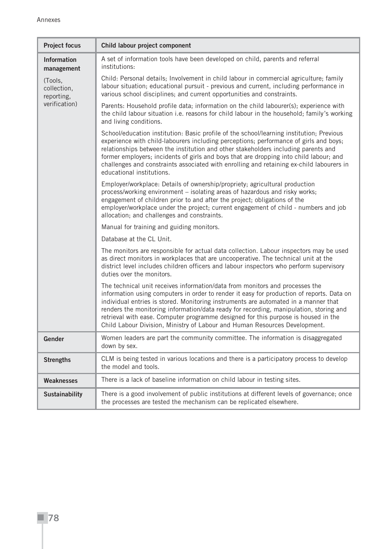| <b>Project focus</b>                 | Child labour project component                                                                                                                                                                                                                                                                                                                                                                                                                                                                                                 |  |  |  |  |  |
|--------------------------------------|--------------------------------------------------------------------------------------------------------------------------------------------------------------------------------------------------------------------------------------------------------------------------------------------------------------------------------------------------------------------------------------------------------------------------------------------------------------------------------------------------------------------------------|--|--|--|--|--|
| <b>Information</b><br>management     | A set of information tools have been developed on child, parents and referral<br>institutions:                                                                                                                                                                                                                                                                                                                                                                                                                                 |  |  |  |  |  |
| (Tools,<br>collection,<br>reporting, | Child: Personal details; Involvement in child labour in commercial agriculture; family<br>labour situation; educational pursuit - previous and current, including performance in<br>various school disciplines; and current opportunities and constraints.                                                                                                                                                                                                                                                                     |  |  |  |  |  |
| verification)                        | Parents: Household profile data; information on the child labourer(s); experience with<br>the child labour situation i.e. reasons for child labour in the household; family's working<br>and living conditions.                                                                                                                                                                                                                                                                                                                |  |  |  |  |  |
|                                      | School/education institution: Basic profile of the school/learning institution; Previous<br>experience with child-labourers including perceptions; performance of girls and boys;<br>relationships between the institution and other stakeholders including parents and<br>former employers; incidents of girls and boys that are dropping into child labour; and<br>challenges and constraints associated with enrolling and retaining ex-child labourers in<br>educational institutions.                                     |  |  |  |  |  |
|                                      | Employer/workplace: Details of ownership/propriety; agricultural production<br>process/working environment - isolating areas of hazardous and risky works;<br>engagement of children prior to and after the project; obligations of the<br>employer/workplace under the project; current engagement of child - numbers and job<br>allocation; and challenges and constraints.                                                                                                                                                  |  |  |  |  |  |
|                                      | Manual for training and guiding monitors.                                                                                                                                                                                                                                                                                                                                                                                                                                                                                      |  |  |  |  |  |
|                                      | Database at the CL Unit.                                                                                                                                                                                                                                                                                                                                                                                                                                                                                                       |  |  |  |  |  |
|                                      | The monitors are responsible for actual data collection. Labour inspectors may be used<br>as direct monitors in workplaces that are uncooperative. The technical unit at the<br>district level includes children officers and labour inspectors who perform supervisory<br>duties over the monitors.                                                                                                                                                                                                                           |  |  |  |  |  |
|                                      | The technical unit receives information/data from monitors and processes the<br>information using computers in order to render it easy for production of reports. Data on<br>individual entries is stored. Monitoring instruments are automated in a manner that<br>renders the monitoring information/data ready for recording, manipulation, storing and<br>retrieval with ease. Computer programme designed for this purpose is housed in the<br>Child Labour Division, Ministry of Labour and Human Resources Development. |  |  |  |  |  |
| Gender                               | Women leaders are part the community committee. The information is disaggregated<br>down by sex.                                                                                                                                                                                                                                                                                                                                                                                                                               |  |  |  |  |  |
| <b>Strengths</b>                     | CLM is being tested in various locations and there is a participatory process to develop<br>the model and tools.                                                                                                                                                                                                                                                                                                                                                                                                               |  |  |  |  |  |
| <b>Weaknesses</b>                    | There is a lack of baseline information on child labour in testing sites.                                                                                                                                                                                                                                                                                                                                                                                                                                                      |  |  |  |  |  |
| <b>Sustainability</b>                | There is a good involvement of public institutions at different levels of governance; once<br>the processes are tested the mechanism can be replicated elsewhere.                                                                                                                                                                                                                                                                                                                                                              |  |  |  |  |  |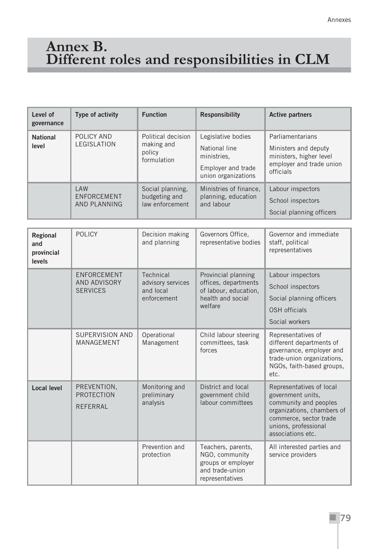## **Annex B. Different roles and responsibilities in CLM**

| Level of<br>governance   | Type of activity                           | <b>Function</b>                                           | <b>Responsibility</b>                                                                           | <b>Active partners</b>                                                                                       |
|--------------------------|--------------------------------------------|-----------------------------------------------------------|-------------------------------------------------------------------------------------------------|--------------------------------------------------------------------------------------------------------------|
| <b>National</b><br>level | POLICY AND<br>LEGISLATION                  | Political decision<br>making and<br>policy<br>formulation | Legislative bodies<br>National line<br>ministries,<br>Employer and trade<br>union organizations | Parliamentarians<br>Ministers and deputy<br>ministers, higher level<br>employer and trade union<br>officials |
|                          | <b>I AW</b><br>ENFORCEMENT<br>AND PLANNING | Social planning,<br>budgeting and<br>law enforcement      | Ministries of finance,<br>planning, education<br>and labour                                     | Labour inspectors<br>School inspectors<br>Social planning officers                                           |

| <b>Regional</b><br>and<br>provincial<br><b>levels</b> | <b>POLICY</b>                                  | Decision making<br>and planning                            | Governors Office,<br>representative bodies                                                           | Governor and immediate<br>staff, political<br>representatives                                                                                                               |
|-------------------------------------------------------|------------------------------------------------|------------------------------------------------------------|------------------------------------------------------------------------------------------------------|-----------------------------------------------------------------------------------------------------------------------------------------------------------------------------|
|                                                       | ENFORCEMENT<br>AND ADVISORY<br><b>SERVICES</b> | Technical<br>advisory services<br>and local<br>enforcement | Provincial planning<br>offices, departments<br>of labour, education,<br>health and social<br>welfare | Labour inspectors<br>School inspectors<br>Social planning officers<br><b>OSH</b> officials<br>Social workers                                                                |
|                                                       | <b>SUPERVISION AND</b><br>MANAGEMENT           | Operational<br>Management                                  | Child labour steering<br>committees, task<br>forces                                                  | Representatives of<br>different departments of<br>governance, employer and<br>trade-union organizations,<br>NGOs, faith-based groups,<br>etc.                               |
| <b>Local level</b>                                    | PREVENTION,<br><b>PROTECTION</b><br>RFFFRRAI   | Monitoring and<br>preliminary<br>analysis                  | District and local<br>government child<br>labour committees                                          | Representatives of local<br>government units,<br>community and peoples<br>organizations, chambers of<br>commerce, sector trade<br>unions, professional<br>associations etc. |
|                                                       |                                                | Prevention and<br>protection                               | Teachers, parents,<br>NGO, community<br>groups or employer<br>and trade-union<br>representatives     | All interested parties and<br>service providers                                                                                                                             |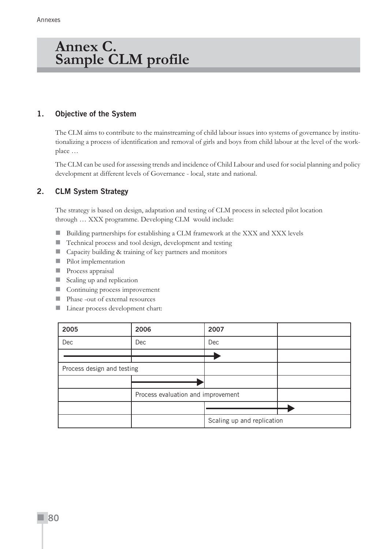### **Annex C. Sample CLM profile**

#### **1. Objective of the System**

The CLM aims to contribute to the mainstreaming of child labour issues into systems of governance by institutionalizing a process of identification and removal of girls and boys from child labour at the level of the workplace …

The CLM can be used for assessing trends and incidence of Child Labour and used for social planning and policy development at different levels of Governance - local, state and national.

#### **2. CLM System Strategy**

The strategy is based on design, adaptation and testing of CLM process in selected pilot location through … XXX programme. Developing CLM would include:

- Building partnerships for establishing a CLM framework at the XXX and XXX levels
- Technical process and tool design, development and testing
- Capacity building & training of key partners and monitors
- **Pilot implementation**
- **Process appraisal**
- Scaling up and replication
- Continuing process improvement
- **Phase -out of external resources**
- **Linear process development chart:**

| 2005                       | 2006                               | 2007                       |  |
|----------------------------|------------------------------------|----------------------------|--|
| Dec                        | Dec                                | Dec                        |  |
|                            |                                    |                            |  |
| Process design and testing |                                    |                            |  |
|                            |                                    |                            |  |
|                            | Process evaluation and improvement |                            |  |
|                            |                                    |                            |  |
|                            |                                    | Scaling up and replication |  |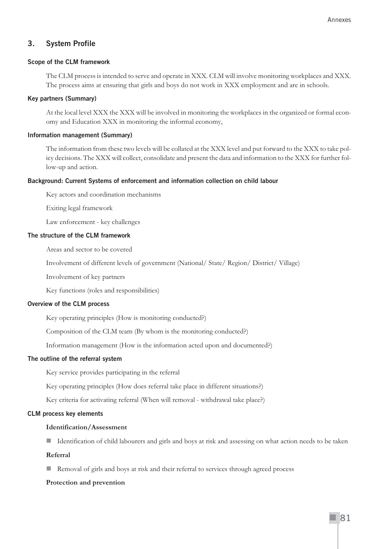#### **3. System Profile**

#### **Scope of the CLM framework**

The CLM process is intended to serve and operate in XXX. CLM will involve monitoring workplaces and XXX. The process aims at ensuring that girls and boys do not work in XXX employment and are in schools.

#### **Key partners (Summary)**

At the local level XXX the XXX will be involved in monitoring the workplaces in the organized or formal economy and Education XXX in monitoring the informal economy,

#### **Information management (Summary)**

The information from these two levels will be collated at the XXX level and put forward to the XXX to take policy decisions. The XXX will collect, consolidate and present the data and information to the XXX for further follow-up and action.

#### **Background: Current Systems of enforcement and information collection on child labour**

Key actors and coordination mechanisms

Exiting legal framework

Law enforcement - key challenges

#### **The structure of the CLM framework**

Areas and sector to be covered

Involvement of different levels of government (National/ State/ Region/ District/ Village)

Involvement of key partners

Key functions (roles and responsibilities)

#### **Overview of the CLM process**

Key operating principles (How is monitoring conducted?)

Composition of the CLM team (By whom is the monitoring conducted?)

Information management (How is the information acted upon and documented?)

#### **The outline of the referral system**

Key service provides participating in the referral

Key operating principles (How does referral take place in different situations?)

Key criteria for activating referral (When will removal - withdrawal take place?)

#### **CLM process key elements**

#### **Identification/Assessment**

I Identification of child labourers and girls and boys at risk and assessing on what action needs to be taken

#### **Referral**

Removal of girls and boys at risk and their referral to services through agreed process

#### **Protection and prevention**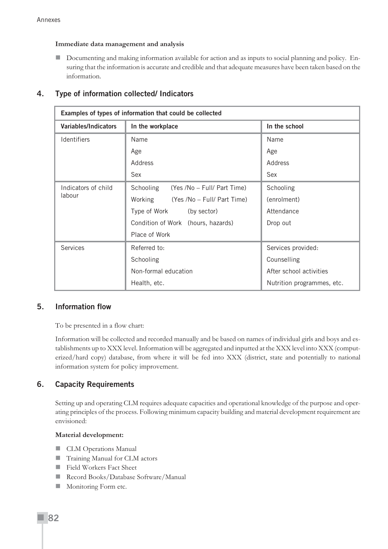**Immediate data management and analysis**

Documenting and making information available for action and as inputs to social planning and policy. Ensuring that the information is accurate and credible and that adequate measures have been taken based on the information.

| <b>Variables/Indicators</b> | In the workplace                         | In the school              |
|-----------------------------|------------------------------------------|----------------------------|
| Identifiers                 | Name                                     | Name                       |
|                             | Age                                      | Age                        |
|                             | Address                                  | Address                    |
|                             | Sex                                      | Sex                        |
| Indicators of child         | Schooling<br>(Yes /No - Full/ Part Time) | Schooling                  |
| labour                      | Working<br>(Yes /No – Full/ Part Time)   | (enrolment)                |
|                             | Type of Work<br>(by sector)              | Attendance                 |
|                             | Condition of Work (hours, hazards)       | Drop out                   |
|                             | Place of Work                            |                            |
| Services                    | Referred to:                             | Services provided:         |
|                             | Schooling                                | Counselling                |
|                             | Non-formal education                     | After school activities    |
|                             | Health, etc.                             | Nutrition programmes, etc. |

#### **4. Type of information collected/ Indicators**

#### **5. Information flow**

To be presented in a flow chart:

Information will be collected and recorded manually and be based on names of individual girls and boys and establishments up to XXX level. Information will be aggregated and inputted at the XXX level into XXX (computerized/hard copy) database, from where it will be fed into XXX (district, state and potentially to national information system for policy improvement.

#### **6. Capacity Requirements**

Setting up and operating CLM requires adequate capacities and operational knowledge of the purpose and operating principles of the process. Following minimum capacity building and material development requirement are envisioned:

#### **Material development:**

- **CLM Operations Manual**
- Training Manual for CLM actors
- Field Workers Fact Sheet
- Record Books/Database Software/Manual
- **Monitoring Form etc.**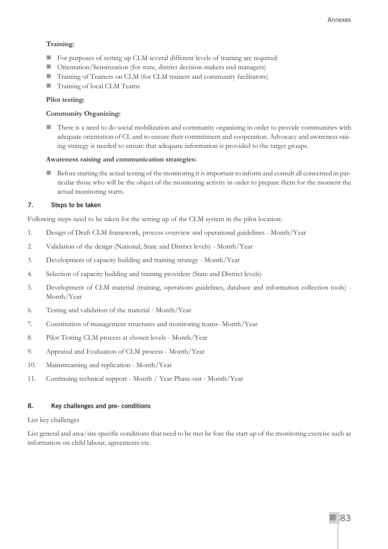#### **Training:**

- For purposes of setting up CLM several different levels of training are required:
- Orientation/Sensitization (for state, district decision-makers and managers)
- Training of Trainers on CLM (for CLM trainers and community facilitators)
- Training of local CLM Teams

#### **Pilot testing:**

#### **Community Organizing:**

There is a need to do social mobilization and community organizing in order to provide communities with adequate orientation of CL and to ensure their commitment and cooperation. Advocacy and awareness raising strategy is needed to ensure that adequate information is provided to the target groups.

#### **Awareness raising and communication strategies:**

Before starting the actual testing of the monitoring it is important to inform and consult all concerned in particular those who will be the object of the monitoring activity in order to prepare them for the moment the actual monitoring starts.

#### **7. Steps to be taken**

Following steps need to be taken for the setting up of the CLM system in the pilot location:

- 1. Design of Draft CLM framework, process overview and operational guidelines Month/Year
- 2. Validation of the design (National, State and District levels) Month/Year
- 3. Development of capacity building and training strategy Month/Year
- 4. Selection of capacity building and training providers (State and District levels)
- 5. Development of CLM material (training, operations guidelines, database and information collection tools) Month/Year
- 6. Testing and validation of the material Month/Year
- 7. Constitution of management structures and monitoring teams- Month/Year
- 8. Pilot Testing CLM process at chosen levels Month/Year
- 9. Appraisal and Evaluation of CLM process Month/Year
- 10. Mainstreaming and replication Month/Year
- 11. Continuing technical support Month / Year Phase-out Month/Year

#### **8. Key challenges and pre- conditions**

#### List key challenges

List general and area/site specific conditions that need to be met be fore the start up of the monitoring exercise such as information on child labour, agreements etc.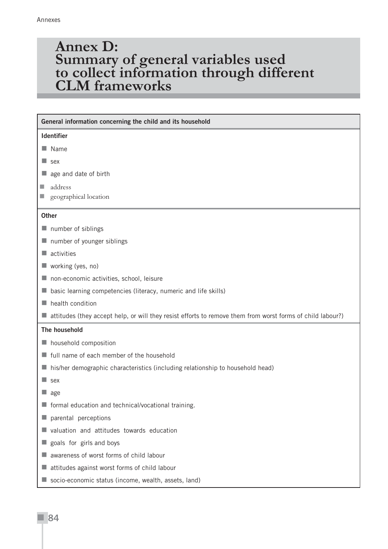### **Annex D: Summary of general variables used to collect information through different CLM frameworks**

#### **General information concerning the child and its household**

#### **Identifier**

- Name
- sex
- age and date of birth
- address
- **geographical location**

#### **Other**

- $\blacksquare$  number of siblings
- number of younger siblings
- activities
- working (yes, no)
- non-economic activities, school, leisure
- basic learning competencies (literacy, numeric and life skills)
- **health condition**
- $\blacksquare$  attitudes (they accept help, or will they resist efforts to remove them from worst forms of child labour?)

#### **The household**

- **household composition**
- $\blacksquare$  full name of each member of the household
- $\blacksquare$  his/her demographic characteristics (including relationship to household head)
- sex
- age
- $\blacksquare$  formal education and technical/vocational training.
- parental perceptions
- valuation and attitudes towards education
- goals for girls and boys
- awareness of worst forms of child labour
- attitudes against worst forms of child labour
- socio-economic status (income, wealth, assets, land)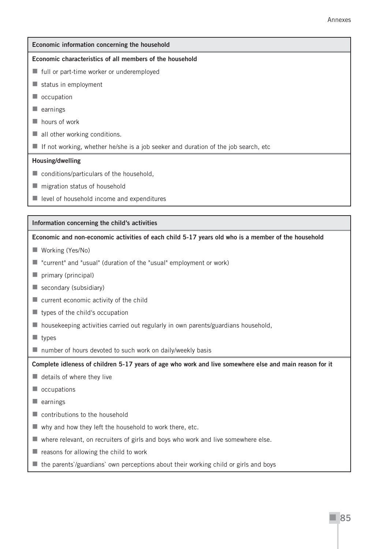| Economic information concerning the household                                      |
|------------------------------------------------------------------------------------|
| Economic characteristics of all members of the household                           |
| ■ full or part-time worker or underemployed                                        |
| $\blacksquare$ status in employment                                                |
| occupation                                                                         |
| earnings                                                                           |
| hours of work                                                                      |
| all other working conditions.                                                      |
| If not working, whether he/she is a job seeker and duration of the job search, etc |
| Housing/dwelling                                                                   |
| conditions/particulars of the household,<br><b>CONTRACTOR</b>                      |
|                                                                                    |

- $\blacksquare$  migration status of household
- $\blacksquare$  level of household income and expenditures

#### **Information concerning the child's activities**

**Economic and non-economic activities of each child 5-17 years old who is a member of the household**

- Working (Yes/No)
- "current" and "usual" (duration of the "usual" employment or work)
- primary (principal)
- secondary (subsidiary)
- **u** current economic activity of the child
- $\blacksquare$  types of the child's occupation
- housekeeping activities carried out regularly in own parents/guardians household,
- $\blacksquare$  types
- number of hours devoted to such work on daily/weekly basis

**Complete idleness of children 5-17 years of age who work and live somewhere else and main reason for it**

- $\blacksquare$  details of where they live
- ccupations
- $\blacksquare$  earnings
- contributions to the household
- $\blacksquare$  why and how they left the household to work there, etc.
- where relevant, on recruiters of girls and boys who work and live somewhere else.
- $\blacksquare$  reasons for allowing the child to work
- $\blacksquare$  the parents`/guardians` own perceptions about their working child or girls and boys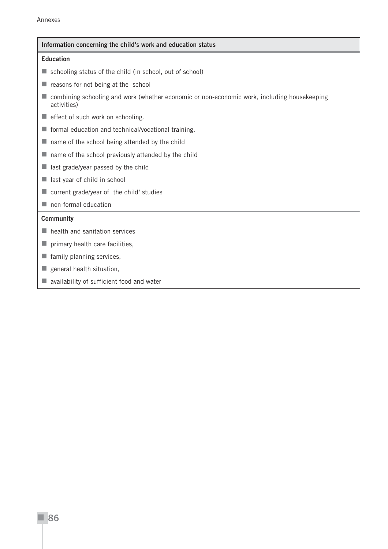#### **Information concerning the child's work and education status**

#### **Education**

- schooling status of the child (in school, out of school)
- $\blacksquare$  reasons for not being at the school
- combining schooling and work (whether economic or non-economic work, including housekeeping activities)
- $\blacksquare$  effect of such work on schooling.
- **formal education and technical/vocational training.**
- $\blacksquare$  name of the school being attended by the child
- $\blacksquare$  name of the school previously attended by the child
- $\blacksquare$  last grade/year passed by the child
- last year of child in school
- **n** current grade/year of the child' studies
- non-formal education

#### **Community**

- $\blacksquare$  health and sanitation services
- $\blacksquare$  primary health care facilities,
- $\blacksquare$  family planning services,
- general health situation,
- **a** availability of sufficient food and water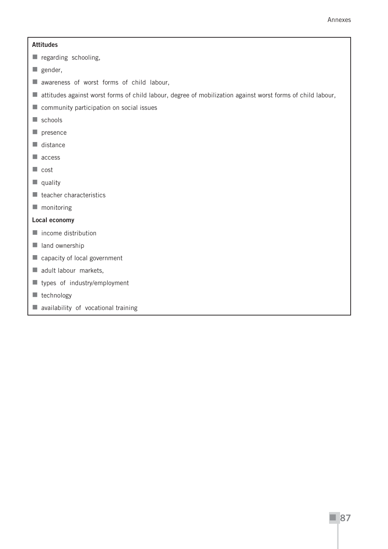#### **Attitudes**

- regarding schooling,
- $\blacksquare$  gender,
- **a** awareness of worst forms of child labour,
- attitudes against worst forms of child labour, degree of mobilization against worst forms of child labour,
- **n** community participation on social issues
- $\blacksquare$  schools
- $\blacksquare$  presence
- $\blacksquare$  distance
- access
- cost
- $\blacksquare$  quality
- $\blacksquare$  teacher characteristics
- **monitoring**

#### **Local economy**

- $\blacksquare$  income distribution
- land ownership
- capacity of local government
- adult labour markets,
- types of industry/employment
- $\blacksquare$  technology
- **availability of vocational training**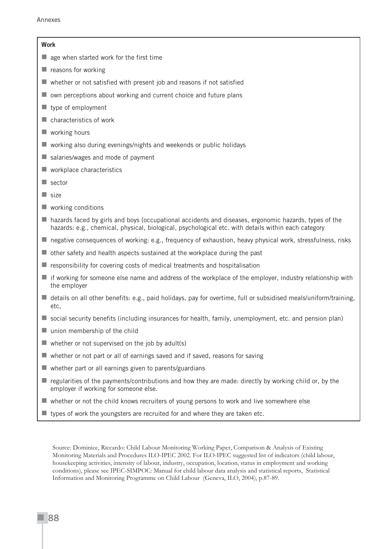#### **Work**

- $\blacksquare$  age when started work for the first time
- $\blacksquare$  reasons for working
- $\blacksquare$  whether or not satisfied with present job and reasons if not satisfied
- $\blacksquare$  own perceptions about working and current choice and future plans
- $\blacksquare$  type of employment
- **Characteristics of work**
- working hours
- $\blacksquare$  working also during evenings/nights and weekends or public holidays
- salaries/wages and mode of payment
- **Workplace characteristics**
- sector
- size
- working conditions
- hazards faced by girls and boys (occupational accidents and diseases, ergonomic hazards, types of the hazards: e.g., chemical, physical, biological, psychological etc. with details within each category
- negative consequences of working: e.g., frequency of exhaustion, heavy physical work, stressfulness, risks
- other safety and health aspects sustained at the workplace during the past
- $\blacksquare$  responsibility for covering costs of medical treatments and hospitalisation
- $\blacksquare$  if working for someone else name and address of the workplace of the employer, industry relationship with the employer
- $\blacksquare$  details on all other benefits: e.g., paid holidays, pay for overtime, full or subsidised meals/uniform/training, etc,
- social security benefits (including insurances for health, family, unemployment, etc. and pension plan)
- $\blacksquare$  union membership of the child
- $\blacksquare$  whether or not supervised on the job by adult(s)
- whether or not part or all of earnings saved and if saved, reasons for saving
- $\blacksquare$  whether part or all earnings given to parents/guardians
- $\blacksquare$  regularities of the payments/contributions and how they are made: directly by working child or, by the employer if working for someone else.
- $\blacksquare$  whether or not the child knows recruiters of young persons to work and live somewhere else
- $\blacksquare$  types of work the youngsters are recruited for and where they are taken etc.

Source: Dominice, Riccardo: Child Labour Monitoring Working Paper, Comparison & Analysis of Existing Monitoring Materials and Procedures ILO-IPEC 2002. For ILO-IPEC suggested list of indicators (child labour, housekeeping activities, intensity of labour, industry, occupation, location, status in employment and working conditions), please see IPEC-SIMPOC: Manual for child labour data analysis and statistical reports, Statistical Information and Monitoring Programme on Child Labour (Geneva, ILO, 2004), p.87-89.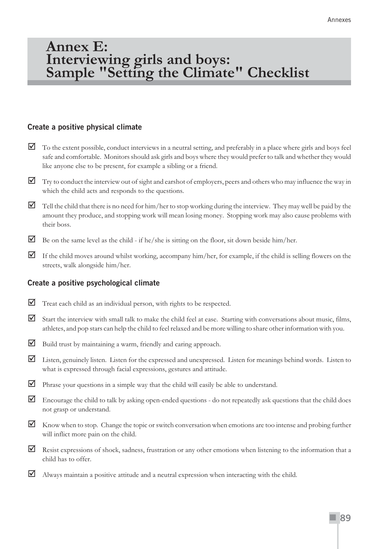### **Annex E: Interviewing girls and boys: Sample "Setting the Climate" Checklist**

#### **Create a positive physical climate**

- $\Box$  To the extent possible, conduct interviews in a neutral setting, and preferably in a place where girls and boys feel safe and comfortable. Monitors should ask girls and boys where they would prefer to talk and whether they would like anyone else to be present, for example a sibling or a friend.
- $\Box$  Try to conduct the interview out of sight and earshot of employers, peers and others who may influence the way in which the child acts and responds to the questions.
- $\Box$  Tell the child that there is no need for him/her to stop working during the interview. They may well be paid by the amount they produce, and stopping work will mean losing money. Stopping work may also cause problems with their boss.
- $\triangleright$  Be on the same level as the child if he/she is sitting on the floor, sit down beside him/her.
- If the child moves around whilst working, accompany him/her, for example, if the child is selling flowers on the streets, walk alongside him/her.

#### **Create a positive psychological climate**

- Treat each child as an individual person, with rights to be respected.
- Start the interview with small talk to make the child feel at ease. Starting with conversations about music, films, athletes, and pop stars can help the child to feel relaxed and be more willing to share other information with you.
- Build trust by maintaining a warm, friendly and caring approach.
- Listen, genuinely listen. Listen for the expressed and unexpressed. Listen for meanings behind words. Listen to what is expressed through facial expressions, gestures and attitude.
- $\triangledown$  Phrase your questions in a simple way that the child will easily be able to understand.
- $\blacksquare$  Encourage the child to talk by asking open-ended questions do not repeatedly ask questions that the child does not grasp or understand.
- Know when to stop. Change the topic or switch conversation when emotions are too intense and probing further will inflict more pain on the child.
- Resist expressions of shock, sadness, frustration or any other emotions when listening to the information that a child has to offer.
- $\blacksquare$  Always maintain a positive attitude and a neutral expression when interacting with the child.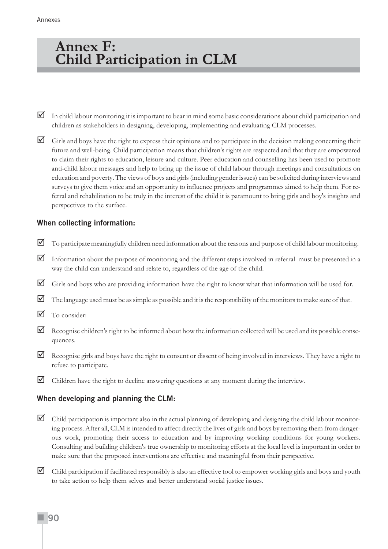### **Annex F: Child Participation in CLM**

- In child labour monitoring it is important to bear in mind some basic considerations about child participation and children as stakeholders in designing, developing, implementing and evaluating CLM processes.
- $\Box$  Girls and boys have the right to express their opinions and to participate in the decision making concerning their future and well-being. Child participation means that children's rights are respected and that they are empowered to claim their rights to education, leisure and culture. Peer education and counselling has been used to promote anti-child labour messages and help to bring up the issue of child labour through meetings and consultations on education and poverty. The views of boys and girls (including gender issues) can be solicited during interviews and surveys to give them voice and an opportunity to influence projects and programmes aimed to help them. For referral and rehabilitation to be truly in the interest of the child it is paramount to bring girls and boy's insights and perspectives to the surface.

#### **When collecting information:**

- To participate meaningfully children need information about the reasons and purpose of child labour monitoring.
- Information about the purpose of monitoring and the different steps involved in referral must be presented in a way the child can understand and relate to, regardless of the age of the child.
- Girls and boys who are providing information have the right to know what that information will be used for.
- The language used must be as simple as possible and it is the responsibility of the monitors to make sure of that.
- To consider:
- $\blacksquare$  Recognise children's right to be informed about how the information collected will be used and its possible consequences.
- Recognise girls and boys have the right to consent or dissent of being involved in interviews. They have a right to refuse to participate.
- $\Box$  Children have the right to decline answering questions at any moment during the interview.

#### **When developing and planning the CLM:**

- $\Box$  Child participation is important also in the actual planning of developing and designing the child labour monitoring process. After all, CLM is intended to affect directly the lives of girls and boys by removing them from dangerous work, promoting their access to education and by improving working conditions for young workers. Consulting and building children's true ownership to monitoring efforts at the local level is important in order to make sure that the proposed interventions are effective and meaningful from their perspective.
- Child participation if facilitated responsibly is also an effective tool to empower working girls and boys and youth to take action to help them selves and better understand social justice issues.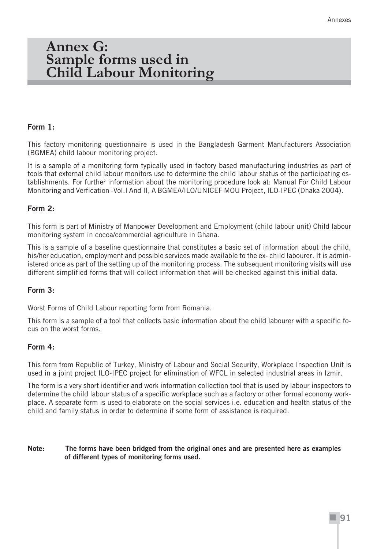### **Annex G: Sample forms used in Child Labour Monitoring**

#### **Form 1:**

This factory monitoring questionnaire is used in the Bangladesh Garment Manufacturers Association (BGMEA) child labour monitoring project.

It is a sample of a monitoring form typically used in factory based manufacturing industries as part of tools that external child labour monitors use to determine the child labour status of the participating establishments. For further information about the monitoring procedure look at: Manual For Child Labour Monitoring and Verfication -Vol.I And II, A BGMEA/ILO/UNICEF MOU Project, ILO-IPEC (Dhaka 2004).

#### **Form 2:**

This form is part of Ministry of Manpower Development and Employment (child labour unit) Child labour monitoring system in cocoa/commercial agriculture in Ghana.

This is a sample of a baseline questionnaire that constitutes a basic set of information about the child, his/her education, employment and possible services made available to the ex- child labourer. It is administered once as part of the setting up of the monitoring process. The subsequent monitoring visits will use different simplified forms that will collect information that will be checked against this initial data.

#### **Form 3:**

Worst Forms of Child Labour reporting form from Romania.

This form is a sample of a tool that collects basic information about the child labourer with a specific focus on the worst forms.

#### **Form 4:**

This form from Republic of Turkey, Ministry of Labour and Social Security, Workplace Inspection Unit is used in a joint project ILO-IPEC project for elimination of WFCL in selected industrial areas in Izmir.

The form is a very short identifier and work information collection tool that is used by labour inspectors to determine the child labour status of a specific workplace such as a factory or other formal economy workplace. A separate form is used to elaborate on the social services i.e. education and health status of the child and family status in order to determine if some form of assistance is required.

#### **Note: The forms have been bridged from the original ones and are presented here as examples of different types of monitoring forms used.**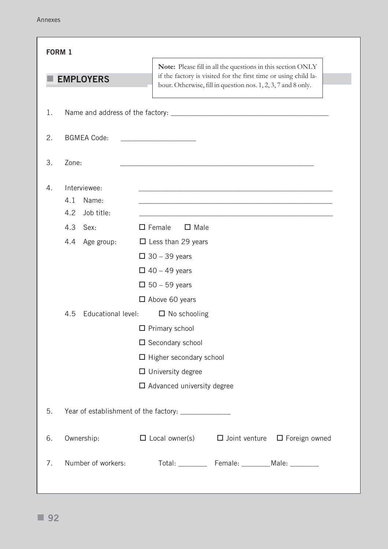| <b>FORM 1</b> |                                                                                                                    |                                                                                                                                                                                                                                                                                                                                                |
|---------------|--------------------------------------------------------------------------------------------------------------------|------------------------------------------------------------------------------------------------------------------------------------------------------------------------------------------------------------------------------------------------------------------------------------------------------------------------------------------------|
|               | <b>EMPLOYERS</b>                                                                                                   | Note: Please fill in all the questions in this section ONLY<br>if the factory is visited for the first time or using child la-<br>bour. Otherwise, fill in question nos. 1, 2, 3, 7 and 8 only.                                                                                                                                                |
| 1.            |                                                                                                                    |                                                                                                                                                                                                                                                                                                                                                |
| 2.            | <b>BGMEA Code:</b>                                                                                                 |                                                                                                                                                                                                                                                                                                                                                |
| 3.            | Zone:                                                                                                              |                                                                                                                                                                                                                                                                                                                                                |
| 4.            | Interviewee:<br>4.1<br>Name:<br>4.2<br>Job title:<br>4.3<br>Sex:<br>4.4<br>Age group:<br>Educational level:<br>4.5 | $\square$ Female<br>$\Box$ Male<br>$\Box$ Less than 29 years<br>$\Box$ 30 – 39 years<br>$\Box$ 40 – 49 years<br>$\Box$ 50 – 59 years<br>$\Box$ Above 60 years<br>$\Box$ No schooling<br>$\Box$ Primary school<br>$\square$ Secondary school<br>$\Box$ Higher secondary school<br>$\Box$ University degree<br>$\Box$ Advanced university degree |
| 5.            |                                                                                                                    | Year of establishment of the factory: ________________                                                                                                                                                                                                                                                                                         |
| 6.            | Ownership:                                                                                                         | $\Box$ Local owner(s) $\Box$ Joint venture $\Box$ Foreign owned                                                                                                                                                                                                                                                                                |
| 7.            | Number of workers:                                                                                                 | Total: ____________ Female: __________Male: _________                                                                                                                                                                                                                                                                                          |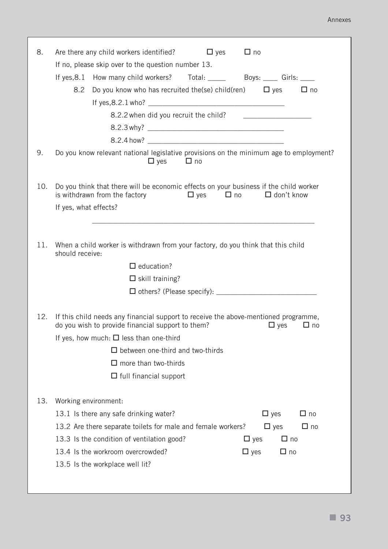#### Annexes

| 8.  | Are there any child workers identified?<br>$\Box$ yes<br>$\Box$ no                                                                                                  |
|-----|---------------------------------------------------------------------------------------------------------------------------------------------------------------------|
|     | If no, please skip over to the question number 13.                                                                                                                  |
|     | If yes, 8.1 How many child workers? Total: _____ Boys: ____ Girls: ____                                                                                             |
|     | 8.2<br>Do you know who has recruited the(se) child(ren)<br>$\Box$ yes<br>$\Box$ no                                                                                  |
|     |                                                                                                                                                                     |
|     |                                                                                                                                                                     |
|     |                                                                                                                                                                     |
|     |                                                                                                                                                                     |
| 9.  | Do you know relevant national legislative provisions on the minimum age to employment?<br>$\Box$ yes $\Box$ no                                                      |
| 10. | Do you think that there will be economic effects on your business if the child worker<br>$\Box$ yes $\Box$ no<br>is withdrawn from the factory<br>$\Box$ don't know |
|     | If yes, what effects?                                                                                                                                               |
|     |                                                                                                                                                                     |
| 11. | When a child worker is withdrawn from your factory, do you think that this child<br>should receive:                                                                 |
|     | $\Box$ education?                                                                                                                                                   |
|     | $\Box$ skill training?                                                                                                                                              |
|     |                                                                                                                                                                     |
| 12. | If this child needs any financial support to receive the above-mentioned programme,<br>do you wish to provide financial support to them?<br>$\Box$ yes<br>$\Box$ no |
|     | If yes, how much: $\Box$ less than one-third                                                                                                                        |
|     | $\Box$ between one-third and two-thirds                                                                                                                             |
|     | $\square$ more than two-thirds                                                                                                                                      |
|     | $\Box$ full financial support                                                                                                                                       |
| 13. | Working environment:                                                                                                                                                |
|     | $\Box$ no<br>13.1 Is there any safe drinking water?<br>$\Box$ yes                                                                                                   |
|     | $\Box$ yes<br>13.2 Are there separate toilets for male and female workers?<br>$\Box$ no                                                                             |
|     | $\Box$ no<br>13.3 Is the condition of ventilation good?<br>$\Box$ yes                                                                                               |
|     | 13.4 Is the workroom overcrowded?<br>$\Box$ yes<br>$\Box$ no                                                                                                        |
|     | 13.5 Is the workplace well lit?                                                                                                                                     |
|     |                                                                                                                                                                     |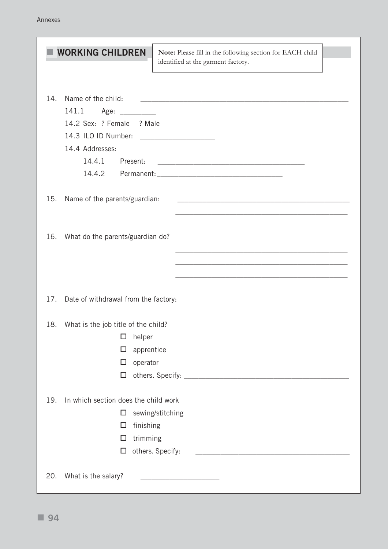| <b>WORKING CHILDREN</b>                                                                                                                                                           | Note: Please fill in the following section for EACH child<br>identified at the garment factory.                       |
|-----------------------------------------------------------------------------------------------------------------------------------------------------------------------------------|-----------------------------------------------------------------------------------------------------------------------|
| 14.<br>Name of the child:<br>141.1<br>Age: _________<br>14.2 Sex: ? Female ? Male<br>14.3 ILO ID Number: _____________________<br>14.4 Addresses:<br>14.4.1<br>Present:<br>14.4.2 | <u> 2000 - Jan James James Jan James James Jan James James Jan James James Jan Jan James James Jan Jan Jan Jan Ja</u> |
| 15.<br>Name of the parents/guardian:                                                                                                                                              |                                                                                                                       |
| What do the parents/guardian do?<br>16.                                                                                                                                           |                                                                                                                       |
| Date of withdrawal from the factory:<br>17.                                                                                                                                       |                                                                                                                       |
| What is the job title of the child?<br>18.<br>helper<br>$\Box$<br>apprentice<br>□<br>operator<br>□<br>□                                                                           |                                                                                                                       |
| 19.<br>In which section does the child work<br>□<br>finishing<br>□<br>trimming<br>□<br>□                                                                                          | sewing/stitching<br>others. Specify:                                                                                  |
| What is the salary?<br>20.                                                                                                                                                        |                                                                                                                       |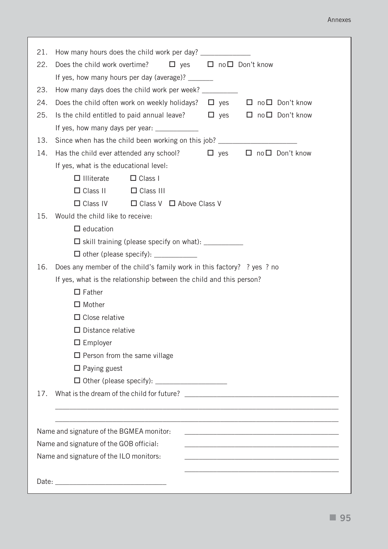#### Annexes

| 21.<br>22.<br>23.<br>24.<br>25.<br>13.<br>14. | How many hours does the child work per day? ________________<br>Does the child work overtime? $\Box$ yes<br>If yes, how many hours per day (average)? _______<br>How many days does the child work per week? _________<br>Does the child often work on weekly holidays? $\square$ yes $\square$ no $\square$ Don't know<br>Is the child entitled to paid annual leave? $\Box$ yes $\Box$ no $\Box$ Don't know<br>If yes, how many days per year:<br>Since when has the child been working on this job? _____________________________<br>Has the child ever attended any school? | $\Box$ no $\Box$ Don't know |  |                                        |
|-----------------------------------------------|---------------------------------------------------------------------------------------------------------------------------------------------------------------------------------------------------------------------------------------------------------------------------------------------------------------------------------------------------------------------------------------------------------------------------------------------------------------------------------------------------------------------------------------------------------------------------------|-----------------------------|--|----------------------------------------|
|                                               |                                                                                                                                                                                                                                                                                                                                                                                                                                                                                                                                                                                 |                             |  |                                        |
|                                               |                                                                                                                                                                                                                                                                                                                                                                                                                                                                                                                                                                                 |                             |  |                                        |
|                                               |                                                                                                                                                                                                                                                                                                                                                                                                                                                                                                                                                                                 |                             |  |                                        |
|                                               |                                                                                                                                                                                                                                                                                                                                                                                                                                                                                                                                                                                 |                             |  |                                        |
|                                               |                                                                                                                                                                                                                                                                                                                                                                                                                                                                                                                                                                                 |                             |  |                                        |
|                                               |                                                                                                                                                                                                                                                                                                                                                                                                                                                                                                                                                                                 |                             |  |                                        |
|                                               |                                                                                                                                                                                                                                                                                                                                                                                                                                                                                                                                                                                 |                             |  |                                        |
|                                               |                                                                                                                                                                                                                                                                                                                                                                                                                                                                                                                                                                                 |                             |  |                                        |
|                                               |                                                                                                                                                                                                                                                                                                                                                                                                                                                                                                                                                                                 |                             |  | $\Box$ yes $\Box$ no $\Box$ Don't know |
|                                               | If yes, what is the educational level:                                                                                                                                                                                                                                                                                                                                                                                                                                                                                                                                          |                             |  |                                        |
|                                               | $\Box$ Class I<br>$\Box$ Illiterate                                                                                                                                                                                                                                                                                                                                                                                                                                                                                                                                             |                             |  |                                        |
|                                               | $\Box$ Class II $\Box$ Class III                                                                                                                                                                                                                                                                                                                                                                                                                                                                                                                                                |                             |  |                                        |
|                                               | $\Box$ Class IV $\Box$ Class V $\Box$ Above Class V                                                                                                                                                                                                                                                                                                                                                                                                                                                                                                                             |                             |  |                                        |
| 15.                                           | Would the child like to receive:                                                                                                                                                                                                                                                                                                                                                                                                                                                                                                                                                |                             |  |                                        |
|                                               | $\Box$ education                                                                                                                                                                                                                                                                                                                                                                                                                                                                                                                                                                |                             |  |                                        |
|                                               | □ skill training (please specify on what): ___________                                                                                                                                                                                                                                                                                                                                                                                                                                                                                                                          |                             |  |                                        |
|                                               | $\Box$ other (please specify): $\_\_\_\_\_\_\_\_\_\_\_\_\_\_\_\_\_\_\_\_$                                                                                                                                                                                                                                                                                                                                                                                                                                                                                                       |                             |  |                                        |
| 16.                                           | Does any member of the child's family work in this factory? ? yes ? no                                                                                                                                                                                                                                                                                                                                                                                                                                                                                                          |                             |  |                                        |
|                                               | If yes, what is the relationship between the child and this person?                                                                                                                                                                                                                                                                                                                                                                                                                                                                                                             |                             |  |                                        |
|                                               | $\Box$ Father                                                                                                                                                                                                                                                                                                                                                                                                                                                                                                                                                                   |                             |  |                                        |
|                                               | $\Box$ Mother                                                                                                                                                                                                                                                                                                                                                                                                                                                                                                                                                                   |                             |  |                                        |
|                                               | $\Box$ Close relative                                                                                                                                                                                                                                                                                                                                                                                                                                                                                                                                                           |                             |  |                                        |
|                                               | $\Box$ Distance relative                                                                                                                                                                                                                                                                                                                                                                                                                                                                                                                                                        |                             |  |                                        |
|                                               | $\Box$ Employer                                                                                                                                                                                                                                                                                                                                                                                                                                                                                                                                                                 |                             |  |                                        |
|                                               | $\Box$ Person from the same village                                                                                                                                                                                                                                                                                                                                                                                                                                                                                                                                             |                             |  |                                        |
|                                               | $\Box$ Paying guest                                                                                                                                                                                                                                                                                                                                                                                                                                                                                                                                                             |                             |  |                                        |
|                                               |                                                                                                                                                                                                                                                                                                                                                                                                                                                                                                                                                                                 |                             |  |                                        |
| 17.                                           |                                                                                                                                                                                                                                                                                                                                                                                                                                                                                                                                                                                 |                             |  |                                        |
|                                               |                                                                                                                                                                                                                                                                                                                                                                                                                                                                                                                                                                                 |                             |  |                                        |
|                                               |                                                                                                                                                                                                                                                                                                                                                                                                                                                                                                                                                                                 |                             |  |                                        |
|                                               | Name and signature of the BGMEA monitor:                                                                                                                                                                                                                                                                                                                                                                                                                                                                                                                                        |                             |  |                                        |
|                                               | Name and signature of the GOB official:                                                                                                                                                                                                                                                                                                                                                                                                                                                                                                                                         |                             |  |                                        |
|                                               | Name and signature of the ILO monitors:                                                                                                                                                                                                                                                                                                                                                                                                                                                                                                                                         |                             |  |                                        |
|                                               |                                                                                                                                                                                                                                                                                                                                                                                                                                                                                                                                                                                 |                             |  |                                        |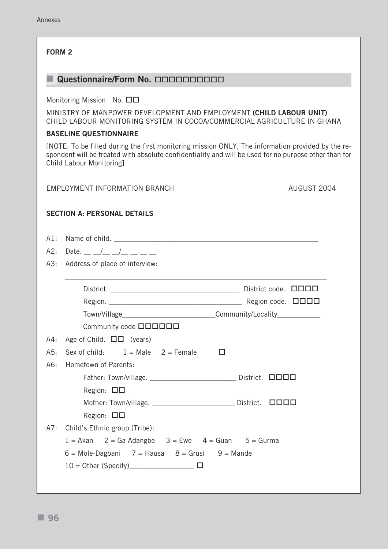#### **FORM 2**

### **Questionnaire/Form No. 0000000000**

Monitoring Mission No.  $\square$ 

MINISTRY OF MANPOWER DEVELOPMENT AND EMPLOYMENT **(CHILD LABOUR UNIT)** CHILD LABOUR MONITORING SYSTEM IN COCOA/COMMERCIAL AGRICULTURE IN GHANA

#### **BASELINE QUESTIONNAIRE**

[NOTE: To be filled during the first monitoring mission ONLY, The information provided by the respondent will be treated with absolute confidentiality and will be used for no purpose other than for Child Labour Monitoring]

#### EMPLOYMENT INFORMATION BRANCH **AUGUST 2004**

#### **SECTION A: PERSONAL DETAILS**

| A1: |                                                                                  |
|-----|----------------------------------------------------------------------------------|
| A2: | Date. __ _/_ _/_ _/_ _ _                                                         |
|     | A3: Address of place of interview:                                               |
|     |                                                                                  |
|     | District code. <b>QQQQ</b>                                                       |
|     |                                                                                  |
|     | Town/Village__________________________________Community/Locality________________ |
|     | Community code <b>QOOOOO</b>                                                     |
| A4: | Age of Child. $\Box \Box$ (years)                                                |
| A5: | Sex of child: $1 = Male$ $2 = Female$<br>□                                       |
| A6: | Hometown of Parents:                                                             |
|     | Father: Town/village. ____________________________ District. 0000                |
|     | Region: $\square \square$                                                        |
|     | Mother: Town/village. _________________________ District.<br><b>NNNN</b>         |
|     | Region: $\Box$ $\Box$                                                            |
|     | A7: Child's Ethnic group (Tribe):                                                |
|     | $1 = Akan$ 2 = Ga Adangbe 3 = Ewe 4 = Guan 5 = Gurma                             |
|     | $6 =$ Mole-Dagbani 7 = Hausa $8 =$ Grusi 9 = Mande                               |
|     | □                                                                                |
|     |                                                                                  |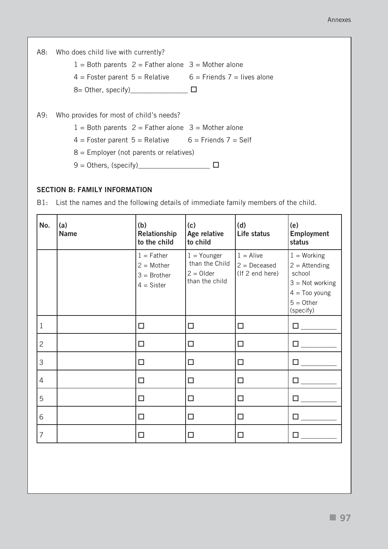|     | A8: Who does child live with currently?                      |  |
|-----|--------------------------------------------------------------|--|
|     | $1 =$ Both parents $2 =$ Father alone $3 =$ Mother alone     |  |
|     | $4 =$ Foster parent 5 = Relative 6 = Friends 7 = lives alone |  |
|     |                                                              |  |
|     |                                                              |  |
| A9: | Who provides for most of child's needs?                      |  |
|     | $1 =$ Both parents $2 =$ Father alone $3 =$ Mother alone     |  |
|     | $4 =$ Foster parent $5 =$ Relative $6 =$ Friends $7 =$ Self  |  |
|     | $8$ = Employer (not parents or relatives)                    |  |
|     | $9 =$ Others, (specify)                                      |  |
|     |                                                              |  |

#### **SECTION B: FAMILY INFORMATION**

B1: List the names and the following details of immediate family members of the child.

| No.            | (a)<br><b>Name</b> | (b)<br>Relationship<br>to the child                           | (c)<br>Age relative<br>to child                                  | (d)<br>Life status                               | (e)<br>Employment<br>status                                                                                     |
|----------------|--------------------|---------------------------------------------------------------|------------------------------------------------------------------|--------------------------------------------------|-----------------------------------------------------------------------------------------------------------------|
|                |                    | $1 =$ Father<br>$2 = Mother$<br>$3 = Brother$<br>$4 = Sister$ | $1 =$ Younger<br>than the Child<br>$2 =$ Older<br>than the child | $1 =$ Alive<br>$2 = Deceased$<br>(If 2 end here) | $1 = Working$<br>$2 =$ Attending<br>school<br>$3 = Not working$<br>$4 =$ Too young<br>$5 = 0$ ther<br>(specify) |
| $\mathbf 1$    |                    | □                                                             | $\Box$                                                           | $\Box$                                           | $\square$ , and the set of $\square$                                                                            |
| $\overline{2}$ |                    | $\Box$                                                        | $\Box$                                                           | $\Box$                                           | $\square$ , and the set of $\square$                                                                            |
| 3              |                    | $\Box$                                                        | $\Box$                                                           | $\Box$                                           | $\square$ , and the set of $\square$                                                                            |
| $\overline{4}$ |                    | $\Box$                                                        | $\Box$                                                           | $\Box$                                           | $\square$ and $\square$                                                                                         |
| 5              |                    | □                                                             | $\Box$                                                           | $\Box$                                           | $\Box$ and $\Box$ and $\Box$                                                                                    |
| 6              |                    | $\Box$                                                        | $\Box$                                                           | □                                                | □                                                                                                               |
| $\overline{7}$ |                    | п                                                             | П                                                                | □                                                |                                                                                                                 |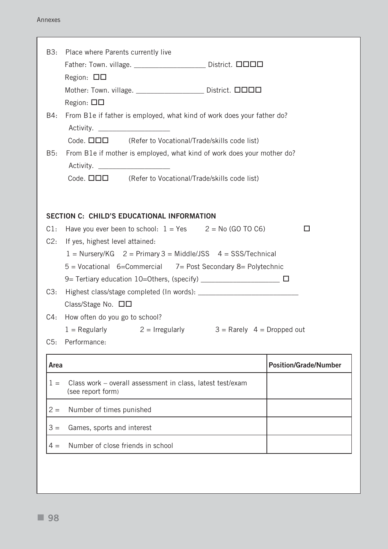| B3:   | Place where Parents currently live                                              |                              |
|-------|---------------------------------------------------------------------------------|------------------------------|
|       | Father: Town. village. _______________________ District. 0000                   |                              |
|       | Region: $\Box$ $\Box$                                                           |                              |
|       | Mother: Town. village. ____________________ District. 0000                      |                              |
|       | Region: $\square \square$                                                       |                              |
| B4:   | From B1e if father is employed, what kind of work does your father do?          |                              |
|       |                                                                                 |                              |
|       | Code. $\Box \Box \Box$ (Refer to Vocational/Trade/skills code list)             |                              |
| B5:   | From B1e if mother is employed, what kind of work does your mother do?          |                              |
|       |                                                                                 |                              |
|       | Code. $\Box \Box \Box$ (Refer to Vocational/Trade/skills code list)             |                              |
|       |                                                                                 |                              |
|       |                                                                                 |                              |
|       | <b>SECTION C: CHILD'S EDUCATIONAL INFORMATION</b>                               |                              |
| C1:   | Have you ever been to school: $1 = Yes$ $2 = No$ (GO TO C6)                     | □                            |
|       | C2: If yes, highest level attained:                                             |                              |
|       | $1 =$ Nursery/KG $2 =$ Primary 3 = Middle/JSS $4 =$ SSS/Technical               |                              |
|       | 5 = Vocational 6=Commercial 7= Post Secondary 8= Polytechnic                    |                              |
| C3:   |                                                                                 |                              |
|       | Class/Stage No. $\Box$ $\Box$                                                   |                              |
| C4:   | How often do you go to school?                                                  |                              |
|       | $1 =$ Regularly $2 =$ Irregularly $3 =$ Rarely $4 =$ Dropped out                |                              |
| C5:   | Performance:                                                                    |                              |
|       |                                                                                 |                              |
| Area  |                                                                                 | <b>Position/Grade/Number</b> |
| $1 =$ | Class work - overall assessment in class, latest test/exam<br>(see report form) |                              |
| $2 =$ | Number of times punished                                                        |                              |
| $3 =$ | Games, sports and interest                                                      |                              |
| $4 =$ | Number of close friends in school                                               |                              |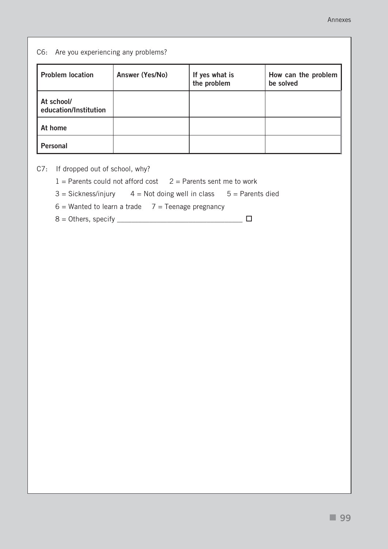#### C6: Are you experiencing any problems?

| <b>Problem location</b>             | Answer (Yes/No) | If yes what is<br>the problem | How can the problem<br>be solved |
|-------------------------------------|-----------------|-------------------------------|----------------------------------|
| At school/<br>education/Institution |                 |                               |                                  |
| At home                             |                 |                               |                                  |
| <b>Personal</b>                     |                 |                               |                                  |

C7: If dropped out of school, why?

 $1 =$  Parents could not afford cost  $2 =$  Parents sent me to work

 $3 = Sickness/injury$   $4 = Not doing well in class$   $5 = Parents died$ 

 $6 =$  Wanted to learn a trade  $7 =$  Teenage pregnancy

8 = Others, specify \_\_\_\_\_\_\_\_\_\_\_\_\_\_\_\_\_\_\_\_\_\_\_\_\_\_\_\_\_\_\_\_\_\_\_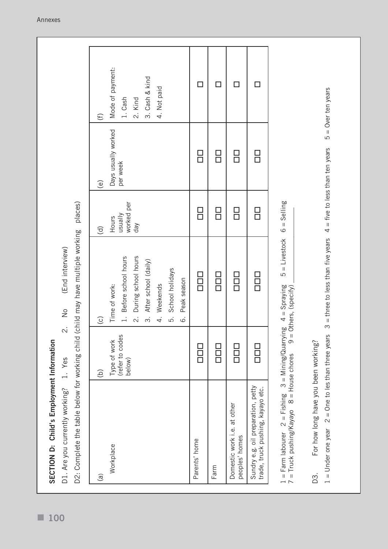| $\widehat{a}$                                                                                                                                                                         | $\odot$                   | $\odot$                                         | $\widehat{\sigma}$    | $\circlede$                       | $\bigoplus$          |
|---------------------------------------------------------------------------------------------------------------------------------------------------------------------------------------|---------------------------|-------------------------------------------------|-----------------------|-----------------------------------|----------------------|
|                                                                                                                                                                                       |                           |                                                 |                       |                                   |                      |
| Workplace                                                                                                                                                                             | Type of work              | Time of work:                                   | Hours                 | Days usually worked               | Mode of payment:     |
|                                                                                                                                                                                       | (refer to codes<br>below) | Before school hours<br>$\overline{a}$           | worked per<br>vllensu | per week                          | 1. Cash              |
|                                                                                                                                                                                       |                           | During school hours<br>$\overline{\mathcal{L}}$ | day                   |                                   | 2. Kind              |
|                                                                                                                                                                                       |                           | After school (daily)<br>$\dot{\mathfrak{c}}$    |                       |                                   | 3. Cash & kind       |
|                                                                                                                                                                                       |                           | Weekends<br>4.                                  |                       |                                   | 4. Not paid          |
|                                                                                                                                                                                       |                           | School holidays<br>5.                           |                       |                                   |                      |
|                                                                                                                                                                                       |                           | Peak season<br>$\dot{\circ}$                    |                       |                                   |                      |
| Parents' home                                                                                                                                                                         | $\Box$                    | 0<br>0<br>0                                     | 8<br>0                | <u>다</u>                          | П                    |
| Farm                                                                                                                                                                                  | 0<br>0<br>0               | 100<br>100                                      | 8<br>0                | 口<br>口                            |                      |
| Domestic work i.e. at other<br>peoples' homes                                                                                                                                         | 0<br>0<br>0               | 1<br>1<br>1                                     | <u>日</u>              | <u>ロ</u>                          | П                    |
| Sundry e.g. oil preparation, petty<br>trade, truck pushing, kayayo etc.                                                                                                               | 88<br>89                  | 0<br>0<br>0                                     | 日<br>ロ                | 日<br>ロ                            | □                    |
| 1 = Farm labourer $2$ = Fishing $3$ = Mining/Quarrying $4$ = Spraying<br>7 = Truck pushing/Kayayo $8$ = House chores $9$ = Others. (specify)<br>Truck pushing/Kayayo 8 = House chores |                           | $5 =$ Livestock<br>Others, (specify)            | $6 =$ Selling         |                                   |                      |
| For how long have you been working?<br>D3.                                                                                                                                            |                           |                                                 |                       |                                   |                      |
| $1 =$ Under one year $2 =$ One to les than three years                                                                                                                                |                           | $3 =$ three to less than five years             |                       | $4 =$ five to less than ten years | $5 =$ Over ten years |

**SECTION D: Child's Employment Information**

SECTION D: Child's Employment Information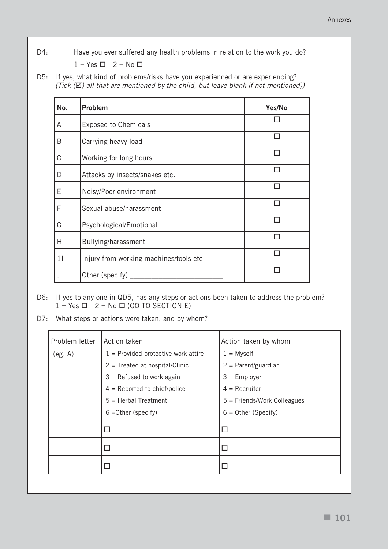D4: Have you ever suffered any health problems in relation to the work you do?  $1 = Yes \Box 2 = No \Box$ 

D5: If yes, what kind of problems/risks have you experienced or are experiencing? (Tick  $(\mathbb{Z})$  all that are mentioned by the child, but leave blank if not mentioned))

| No.         | Problem                                 | Yes/No |
|-------------|-----------------------------------------|--------|
| A           | <b>Exposed to Chemicals</b>             |        |
| B           | Carrying heavy load                     |        |
| $\mathsf C$ | Working for long hours                  |        |
| D           | Attacks by insects/snakes etc.          |        |
| E           | Noisy/Poor environment                  |        |
| F           | Sexual abuse/harassment                 |        |
| G           | Psychological/Emotional                 |        |
| H           | Bullying/harassment                     |        |
| 11          | Injury from working machines/tools etc. |        |
|             | Other (specify)                         |        |

D6: If yes to any one in QD5, has any steps or actions been taken to address the problem?  $1 = Yes \ \n\Box \ \ 2 = No \ \n\Box \ (GO \ TO \ SECTION \ E)$ 

D7: What steps or actions were taken, and by whom?

| Problem letter | Action taken                          | Action taken by whom          |
|----------------|---------------------------------------|-------------------------------|
| (eg. A)        | $1$ = Provided protective work attire | $1 =$ Myself                  |
|                | $2$ = Treated at hospital/Clinic      | $2 = Parent/guardian$         |
|                | $3$ = Refused to work again           | $3 =$ Employer                |
|                | $4 =$ Reported to chief/police        | $4 = Recruiter$               |
|                | $5 =$ Herbal Treatment                | $5 =$ Friends/Work Colleagues |
|                | $6 = Other$ (specify)                 | $6 =$ Other (Specify)         |
|                | □                                     | □                             |
|                |                                       | Г                             |
|                |                                       |                               |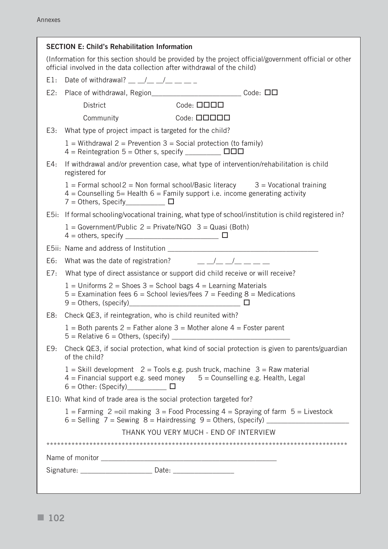|                                                                                                                                                                                  | <b>SECTION E: Child's Rehabilitation Information</b>                                                                                                                                             |  |  |  |  |  |
|----------------------------------------------------------------------------------------------------------------------------------------------------------------------------------|--------------------------------------------------------------------------------------------------------------------------------------------------------------------------------------------------|--|--|--|--|--|
| (Information for this section should be provided by the project official/government official or other<br>official involved in the data collection after withdrawal of the child) |                                                                                                                                                                                                  |  |  |  |  |  |
|                                                                                                                                                                                  | E1: Date of withdrawal? $\frac{\nu}{\nu}$ $\frac{\nu}{\nu}$ $\frac{\nu}{\nu}$ $\frac{\nu}{\nu}$ $\frac{\nu}{\nu}$                                                                                |  |  |  |  |  |
| E2:                                                                                                                                                                              |                                                                                                                                                                                                  |  |  |  |  |  |
|                                                                                                                                                                                  | $Code: \square \square \square$<br><b>District</b>                                                                                                                                               |  |  |  |  |  |
|                                                                                                                                                                                  | Community Code: $\square \square \square \square$                                                                                                                                                |  |  |  |  |  |
|                                                                                                                                                                                  | E3: What type of project impact is targeted for the child?                                                                                                                                       |  |  |  |  |  |
|                                                                                                                                                                                  | $1 =$ Withdrawal 2 = Prevention 3 = Social protection (to family)                                                                                                                                |  |  |  |  |  |
| E4:                                                                                                                                                                              | If withdrawal and/or prevention case, what type of intervention/rehabilitation is child<br>registered for                                                                                        |  |  |  |  |  |
|                                                                                                                                                                                  | $1 =$ Formal school $2 =$ Non formal school/Basic literacy $3 =$ Vocational training<br>$4$ = Counselling 5= Health 6 = Family support i.e. income generating activity                           |  |  |  |  |  |
|                                                                                                                                                                                  | E5i: If formal schooling/vocational training, what type of school/institution is child registered in?                                                                                            |  |  |  |  |  |
|                                                                                                                                                                                  | $1 = Government/Public 2 = Private/NGO 3 = Quasi (Both)$<br>$4 = \text{others}, \text{ specify } \_$                                                                                             |  |  |  |  |  |
|                                                                                                                                                                                  |                                                                                                                                                                                                  |  |  |  |  |  |
|                                                                                                                                                                                  | E6: What was the date of registration? $\qquad \qquad \underline{\qquad}$ $\underline{\qquad}$ $\underline{\qquad}$ $\underline{\qquad}$ $\qquad \underline{\qquad}$ $\qquad \underline{\qquad}$ |  |  |  |  |  |
| E7:                                                                                                                                                                              | What type of direct assistance or support did child receive or will receive?                                                                                                                     |  |  |  |  |  |
|                                                                                                                                                                                  | $1 =$ Uniforms 2 = Shoes 3 = School bags 4 = Learning Materials<br>$5$ = Examination fees 6 = School levies/fees 7 = Feeding 8 = Medications                                                     |  |  |  |  |  |
|                                                                                                                                                                                  | E8: Check QE3, if reintegration, who is child reunited with?                                                                                                                                     |  |  |  |  |  |
|                                                                                                                                                                                  | $1 =$ Both parents 2 = Father alone 3 = Mother alone 4 = Foster parent                                                                                                                           |  |  |  |  |  |
| E9:                                                                                                                                                                              | Check QE3, if social protection, what kind of social protection is given to parents/guardian<br>of the child?                                                                                    |  |  |  |  |  |
|                                                                                                                                                                                  | $1 =$ Skill development $2 =$ Tools e.g. push truck, machine $3 =$ Raw material<br>$4$ = Financial support e.g. seed money $5$ = Counselling e.g. Health, Legal                                  |  |  |  |  |  |
|                                                                                                                                                                                  | E10: What kind of trade area is the social protection targeted for?                                                                                                                              |  |  |  |  |  |
|                                                                                                                                                                                  | $1 =$ Farming 2 = oil making 3 = Food Processing 4 = Spraying of farm 5 = Livestock                                                                                                              |  |  |  |  |  |
|                                                                                                                                                                                  | THANK YOU VERY MUCH - END OF INTERVIEW                                                                                                                                                           |  |  |  |  |  |
|                                                                                                                                                                                  |                                                                                                                                                                                                  |  |  |  |  |  |
|                                                                                                                                                                                  |                                                                                                                                                                                                  |  |  |  |  |  |
|                                                                                                                                                                                  |                                                                                                                                                                                                  |  |  |  |  |  |
|                                                                                                                                                                                  |                                                                                                                                                                                                  |  |  |  |  |  |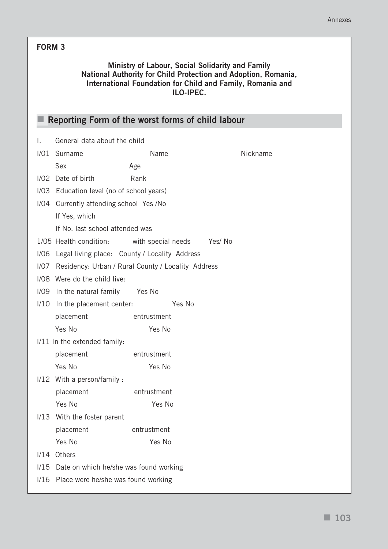# **FORM 3**

### **Ministry of Labour, Social Solidarity and Family National Authority for Child Protection and Adoption, Romania, International Foundation for Child and Family, Romania and ILO-IPEC.**

|      | Reporting Form of the worst forms of child labour |                                                    |          |  |  |  |  |  |
|------|---------------------------------------------------|----------------------------------------------------|----------|--|--|--|--|--|
| I.   | General data about the child                      |                                                    |          |  |  |  |  |  |
|      | I/01 Surname                                      | Name                                               | Nickname |  |  |  |  |  |
|      | Sex                                               | Age                                                |          |  |  |  |  |  |
| 1/02 | Date of birth                                     | Rank                                               |          |  |  |  |  |  |
|      | I/O3 Education level (no of school years)         |                                                    |          |  |  |  |  |  |
|      | I/O4 Currently attending school Yes /No           |                                                    |          |  |  |  |  |  |
|      | If Yes, which                                     |                                                    |          |  |  |  |  |  |
|      | If No, last school attended was                   |                                                    |          |  |  |  |  |  |
|      | 1/05 Health condition:                            | with special needs<br>Yes/No                       |          |  |  |  |  |  |
| 1/06 |                                                   | Legal living place: County / Locality Address      |          |  |  |  |  |  |
| 1/07 |                                                   | Residency: Urban / Rural County / Locality Address |          |  |  |  |  |  |
|      | I/08 Were do the child live:                      |                                                    |          |  |  |  |  |  |
| 1/09 | In the natural family                             | Yes No                                             |          |  |  |  |  |  |
| 1/10 | In the placement center:                          | Yes No                                             |          |  |  |  |  |  |
|      | placement                                         | entrustment                                        |          |  |  |  |  |  |
|      | Yes No                                            | Yes No                                             |          |  |  |  |  |  |
|      | I/11 In the extended family:                      |                                                    |          |  |  |  |  |  |
|      | placement                                         | entrustment                                        |          |  |  |  |  |  |
|      | Yes No                                            | Yes No                                             |          |  |  |  |  |  |
|      | I/12 With a person/family :                       |                                                    |          |  |  |  |  |  |
|      | placement                                         | entrustment                                        |          |  |  |  |  |  |
|      | Yes No                                            | Yes No                                             |          |  |  |  |  |  |
| 1/13 | With the foster parent                            |                                                    |          |  |  |  |  |  |
|      | placement                                         | entrustment                                        |          |  |  |  |  |  |
|      | Yes No                                            | Yes No                                             |          |  |  |  |  |  |
| 1/14 | Others                                            |                                                    |          |  |  |  |  |  |
| 1/15 | Date on which he/she was found working            |                                                    |          |  |  |  |  |  |
| 1/16 | Place were he/she was found working               |                                                    |          |  |  |  |  |  |
|      |                                                   |                                                    |          |  |  |  |  |  |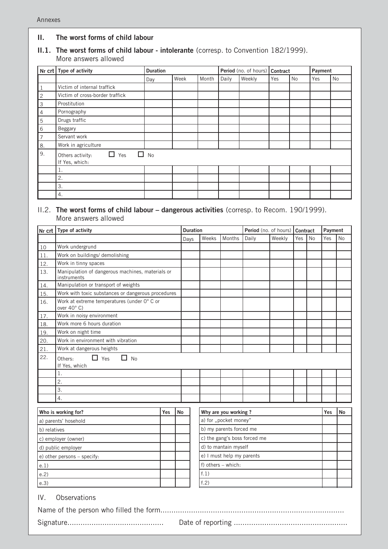#### **II. The worst forms of child labour**

#### **II.1. The worst forms of child labour - intolerante** (corresp. to Convention 182/1999). More answers allowed

|                | Nr crt   Type of activity                      | <b>Duration</b> |      | Period (no. of hours)   Contract |       |        |     | Payment |     |    |
|----------------|------------------------------------------------|-----------------|------|----------------------------------|-------|--------|-----|---------|-----|----|
|                |                                                | Day             | Week | Month                            | Daily | Weekly | Yes | No      | Yes | No |
|                | Victim of internal traffick                    |                 |      |                                  |       |        |     |         |     |    |
| $\overline{2}$ | Victim of cross-border traffick                |                 |      |                                  |       |        |     |         |     |    |
| 3              | Prostitution                                   |                 |      |                                  |       |        |     |         |     |    |
| 4              | Pornography                                    |                 |      |                                  |       |        |     |         |     |    |
| 5              | Drugs traffic                                  |                 |      |                                  |       |        |     |         |     |    |
| 6              | Beggary                                        |                 |      |                                  |       |        |     |         |     |    |
| $\overline{7}$ | Servant work                                   |                 |      |                                  |       |        |     |         |     |    |
| 8.             | Work in agriculture                            |                 |      |                                  |       |        |     |         |     |    |
| 9.             | П<br>Yes<br>Others activity:<br>If Yes, which: | $\Box$ No       |      |                                  |       |        |     |         |     |    |
|                | 1.                                             |                 |      |                                  |       |        |     |         |     |    |
|                | 2.                                             |                 |      |                                  |       |        |     |         |     |    |
|                | 3.                                             |                 |      |                                  |       |        |     |         |     |    |
|                | 4.                                             |                 |      |                                  |       |        |     |         |     |    |

#### II.2. **The worst forms of child labour – dangerous activities** (corresp. to Recom. 190/1999). More answers allowed

| Nr crt                                                     | Type of activity                                                |           | <b>Duration</b>              |                           | Period (no. of hours) |        | <b>Contract</b> |           | Payment   |    |
|------------------------------------------------------------|-----------------------------------------------------------------|-----------|------------------------------|---------------------------|-----------------------|--------|-----------------|-----------|-----------|----|
|                                                            |                                                                 | Days      | Weeks                        | Months                    | Daily                 | Weekly | Yes             | <b>No</b> | Yes       | No |
| 10                                                         | Work undergrund                                                 |           |                              |                           |                       |        |                 |           |           |    |
| 11.                                                        | Work on buildings/ demolishing                                  |           |                              |                           |                       |        |                 |           |           |    |
| 12.                                                        | Work in tinny spaces                                            |           |                              |                           |                       |        |                 |           |           |    |
| 13.                                                        | Manipulation of dangerous machines, materials or<br>instruments |           |                              |                           |                       |        |                 |           |           |    |
| 14.                                                        | Manipulation or transport of weights                            |           |                              |                           |                       |        |                 |           |           |    |
| 15.                                                        | Work with toxic substances or dangerous procedures              |           |                              |                           |                       |        |                 |           |           |    |
| 16.                                                        | Work at extreme temperatures (under 0° C or<br>over 40° C)      |           |                              |                           |                       |        |                 |           |           |    |
| 17.                                                        | Work in noisy environment                                       |           |                              |                           |                       |        |                 |           |           |    |
| 18.                                                        | Work more 6 hours duration                                      |           |                              |                           |                       |        |                 |           |           |    |
| 19.                                                        | Work on night time                                              |           |                              |                           |                       |        |                 |           |           |    |
| 20.                                                        | Work in environment with vibration                              |           |                              |                           |                       |        |                 |           |           |    |
| 21.                                                        | Work at dangerous heights                                       |           |                              |                           |                       |        |                 |           |           |    |
| 22.<br>$\Box$ Yes<br>$\Box$ No<br>Others:<br>If Yes, which |                                                                 |           |                              |                           |                       |        |                 |           |           |    |
|                                                            | 1.                                                              |           |                              |                           |                       |        |                 |           |           |    |
|                                                            | $\overline{2}$ .                                                |           |                              |                           |                       |        |                 |           |           |    |
|                                                            | 3.<br>$\overline{4}$ .                                          |           |                              |                           |                       |        |                 |           |           |    |
|                                                            |                                                                 |           |                              |                           |                       |        |                 |           |           |    |
|                                                            | Who is working for?<br>Yes                                      | <b>No</b> | Why are you working?         |                           |                       |        |                 | Yes       | <b>No</b> |    |
|                                                            | a) parents' hosehold                                            |           | a) for "pocket money"        |                           |                       |        |                 |           |           |    |
| b) relatives                                               |                                                                 |           | b) my parents forced me      |                           |                       |        |                 |           |           |    |
|                                                            | c) employer (owner)                                             |           | c) the gang's boss forced me |                           |                       |        |                 |           |           |    |
|                                                            | d) public employer                                              |           | d) to mantain myself         |                           |                       |        |                 |           |           |    |
|                                                            | e) other persons - specify:                                     |           |                              | e) I must help my parents |                       |        |                 |           |           |    |
| e.1)                                                       |                                                                 |           | f) others - which:           |                           |                       |        |                 |           |           |    |
| e.2)                                                       |                                                                 |           | f.1)                         |                           |                       |        |                 |           |           |    |
| e.3)                                                       |                                                                 |           | f.2)                         |                           |                       |        |                 |           |           |    |
|                                                            |                                                                 |           |                              |                           |                       |        |                 |           |           |    |
| IV.<br>Observations                                        |                                                                 |           |                              |                           |                       |        |                 |           |           |    |

 **104** Name of the person who filled the form.................................................................................... Signature............................................ Date of reporting ....................................................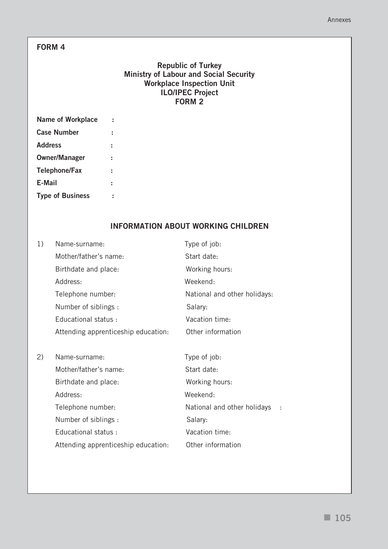## **FORM 4**

### **Republic of Turkey Ministry of Labour and Social Security Workplace Inspection Unit ILO/IPEC Project FORM 2**

| <b>Name of Workplace</b> |  |
|--------------------------|--|
| <b>Case Number</b>       |  |
| <b>Address</b>           |  |
| <b>Owner/Manager</b>     |  |
| <b>Telephone/Fax</b>     |  |
| E-Mail                   |  |
| <b>Type of Business</b>  |  |

## **INFORMATION ABOUT WORKING CHILDREN**

| 1)  | Name-surname:                       | Type of job:                 |  |  |  |  |
|-----|-------------------------------------|------------------------------|--|--|--|--|
|     | Mother/father's name:               | Start date:                  |  |  |  |  |
|     | Birthdate and place:                | Working hours:               |  |  |  |  |
|     | Address:                            | Weekend:                     |  |  |  |  |
|     | Telephone number:                   | National and other holidays: |  |  |  |  |
|     | Number of siblings :                | Salary:                      |  |  |  |  |
|     | Educational status:                 | Vacation time:               |  |  |  |  |
|     | Attending apprenticeship education: | Other information            |  |  |  |  |
|     |                                     |                              |  |  |  |  |
| (2) | Name-surname:                       | Type of job:                 |  |  |  |  |
|     | Mother/father's name:               | Start date:                  |  |  |  |  |
|     | Birthdate and place:                | Working hours:               |  |  |  |  |
|     | Address:                            | Weekend:                     |  |  |  |  |
|     | Telephone number:                   | National and other holidays  |  |  |  |  |
|     | Number of siblings :                | Salary:                      |  |  |  |  |
|     | Educational status :                | Vacation time:               |  |  |  |  |
|     | Attending apprenticeship education: | Other information            |  |  |  |  |